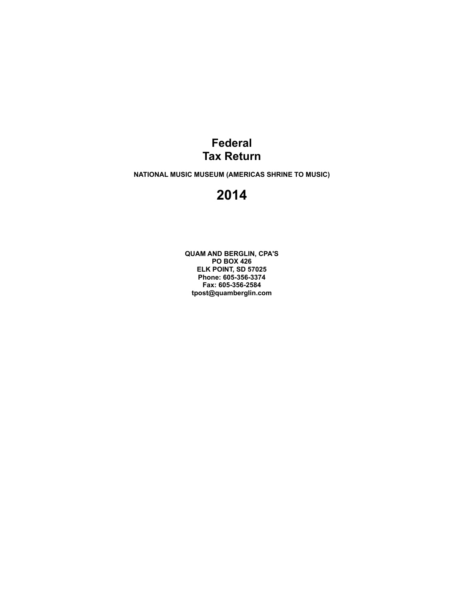### **Federal Tax Return**

**NATIONAL MUSIC MUSEUM (AMERICAS SHRINE TO MUSIC)**

### **2014**

**QUAM AND BERGLIN, CPA'S PO BOX 426 ELK POINT, SD 57025 Phone: 605-356-3374 Fax: 605-356-2584 tpost@quamberglin.com**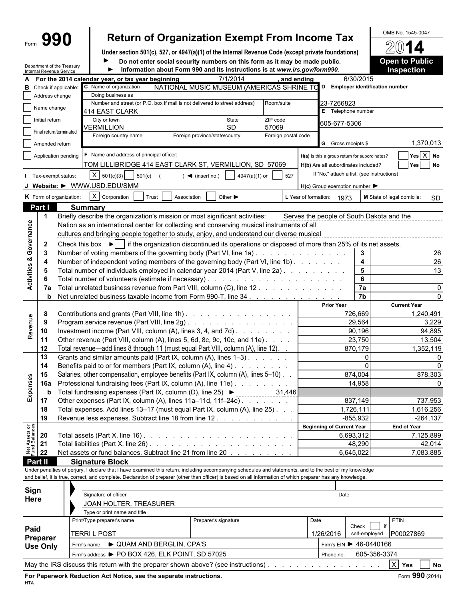# Form **990** Return of Organization Exempt From Income Tax  $\frac{60\text{dB No. }1545-0047}{\text{O}}$

**Under section 501(c), 527, or 4947(a)(1) of the Internal Revenue Code (except private foundations)**

Department of the Treasury Internal Revenue Service

**Do not enter social security numbers on this form as it may be made public. <b>Open to Public Information about Form 990 and its instructions is at** *www.irs.gov/form990.* **Inspection** ь

|                                    | nternal Revenue Service |                                                                                                                                                   |                                                                                                                                                              |       |                           | <b>INTERNATIONAL COMPUTER IN THE INSTRUCTION OF ALL INTERNATIONAL CONTRACTS</b> |                     |            |                                                     |                         | шэрссноп                   |                  |  |  |  |  |
|------------------------------------|-------------------------|---------------------------------------------------------------------------------------------------------------------------------------------------|--------------------------------------------------------------------------------------------------------------------------------------------------------------|-------|---------------------------|---------------------------------------------------------------------------------|---------------------|------------|-----------------------------------------------------|-------------------------|----------------------------|------------------|--|--|--|--|
|                                    |                         |                                                                                                                                                   | For the 2014 calendar year, or tax year beginning                                                                                                            |       |                           | 7/1/2014                                                                        |                     | and ending |                                                     | 6/30/2015               |                            |                  |  |  |  |  |
| в                                  |                         | Check if applicable:                                                                                                                              | C Name of organization                                                                                                                                       |       |                           | NATIONAL MUSIC MUSEUM (AMERICAS SHRINE TO                                       |                     |            | D Employer identification number                    |                         |                            |                  |  |  |  |  |
|                                    | Address change          |                                                                                                                                                   | Doing business as                                                                                                                                            |       |                           |                                                                                 |                     |            |                                                     |                         |                            |                  |  |  |  |  |
|                                    | Name change             |                                                                                                                                                   | Number and street (or P.O. box if mail is not delivered to street address)                                                                                   |       |                           |                                                                                 | Room/suite          |            | 23-7266823<br>E Telephone number                    |                         |                            |                  |  |  |  |  |
|                                    |                         |                                                                                                                                                   | 414 EAST CLARK                                                                                                                                               |       |                           |                                                                                 |                     |            |                                                     |                         |                            |                  |  |  |  |  |
|                                    | Initial return          |                                                                                                                                                   | City or town<br>VERMILLION                                                                                                                                   |       |                           | State<br><b>SD</b>                                                              | ZIP code<br>57069   |            | 605-677-5306                                        |                         |                            |                  |  |  |  |  |
|                                    | Final return/terminated |                                                                                                                                                   | Foreign country name                                                                                                                                         |       |                           | Foreign province/state/county                                                   | Foreign postal code |            |                                                     |                         |                            |                  |  |  |  |  |
|                                    | Amended return          |                                                                                                                                                   |                                                                                                                                                              |       |                           |                                                                                 |                     |            | <b>G</b> Gross receipts \$                          |                         |                            | 1,370,013        |  |  |  |  |
|                                    |                         |                                                                                                                                                   | F Name and address of principal officer:                                                                                                                     |       |                           |                                                                                 |                     |            |                                                     |                         |                            |                  |  |  |  |  |
|                                    |                         | Application pending                                                                                                                               |                                                                                                                                                              |       |                           |                                                                                 |                     |            | H(a) Is this a group return for subordinates?       |                         |                            | Yes X No         |  |  |  |  |
|                                    |                         |                                                                                                                                                   | TOM LILLIBRIDGE 414 EAST CLARK ST, VERMILLION, SD 57069                                                                                                      |       |                           |                                                                                 |                     |            | H(b) Are all subordinates included?                 |                         |                            | Yes<br><b>No</b> |  |  |  |  |
|                                    | Tax-exempt status:      |                                                                                                                                                   | X   501(c)(3)   501(c)                                                                                                                                       |       | $\sim$ (insert no.)       | 4947(a)(1) or                                                                   | 527                 |            | If "No," attach a list. (see instructions)          |                         |                            |                  |  |  |  |  |
|                                    |                         |                                                                                                                                                   | J Website: > WWW.USD.EDU/SMM                                                                                                                                 |       |                           |                                                                                 |                     |            | $H(c)$ Group exemption number $\blacktriangleright$ |                         |                            |                  |  |  |  |  |
|                                    |                         | K Form of organization:                                                                                                                           | $X$ Corporation                                                                                                                                              | Trust | Association               | Other $\blacktriangleright$                                                     |                     |            | L Year of formation: 1973                           |                         | M State of legal domicile: | <b>SD</b>        |  |  |  |  |
|                                    | Part I                  |                                                                                                                                                   | <b>Summary</b>                                                                                                                                               |       |                           |                                                                                 |                     |            |                                                     |                         |                            |                  |  |  |  |  |
|                                    | $\mathbf{1}$            |                                                                                                                                                   | Briefly describe the organization's mission or most significant activities:                                                                                  |       |                           |                                                                                 |                     |            | Serves the people of South Dakota and the           |                         |                            |                  |  |  |  |  |
|                                    |                         |                                                                                                                                                   | Nation as an international center for collecting and conserving musical instruments of all                                                                   |       |                           |                                                                                 |                     |            |                                                     |                         |                            |                  |  |  |  |  |
|                                    |                         |                                                                                                                                                   | cultures and bringing people together to study, enjoy, and understand our diverse musical                                                                    |       |                           |                                                                                 |                     |            |                                                     |                         |                            |                  |  |  |  |  |
|                                    | $\mathbf{2}$            |                                                                                                                                                   | Check this box $\blacktriangleright$   if the organization discontinued its operations or disposed of more than 25% of its net assets.                       |       |                           |                                                                                 |                     |            |                                                     |                         |                            |                  |  |  |  |  |
|                                    | -3                      |                                                                                                                                                   | Number of voting members of the governing body (Part VI, line 1a).                                                                                           |       |                           |                                                                                 |                     |            |                                                     | 3                       |                            | 26               |  |  |  |  |
|                                    | 4                       |                                                                                                                                                   | Number of independent voting members of the governing body (Part VI, line 1b)                                                                                |       |                           |                                                                                 |                     |            |                                                     | $\overline{\mathbf{4}}$ |                            | 26               |  |  |  |  |
| <b>Activities &amp; Governance</b> | 5                       |                                                                                                                                                   | Total number of individuals employed in calendar year 2014 (Part V, line 2a)                                                                                 |       |                           |                                                                                 |                     |            |                                                     | 5                       |                            | 13               |  |  |  |  |
|                                    |                         |                                                                                                                                                   |                                                                                                                                                              |       |                           |                                                                                 |                     |            |                                                     | 6                       |                            |                  |  |  |  |  |
|                                    | 7а                      |                                                                                                                                                   | Total unrelated business revenue from Part VIII, column (C), line 12                                                                                         |       |                           |                                                                                 |                     |            |                                                     | 7a                      |                            | 0                |  |  |  |  |
|                                    | b                       |                                                                                                                                                   | Net unrelated business taxable income from Form 990-T, line 34.                                                                                              |       |                           |                                                                                 |                     |            |                                                     | $\overline{7b}$         |                            |                  |  |  |  |  |
|                                    |                         |                                                                                                                                                   |                                                                                                                                                              |       |                           |                                                                                 |                     |            | <b>Prior Year</b>                                   |                         | <b>Current Year</b>        |                  |  |  |  |  |
|                                    | 8                       |                                                                                                                                                   | Contributions and grants (Part VIII, line 1h)                                                                                                                |       |                           |                                                                                 |                     |            |                                                     | 726,669                 |                            | 1,240,491        |  |  |  |  |
|                                    | -9                      |                                                                                                                                                   | Program service revenue (Part VIII, line 2g)                                                                                                                 |       |                           |                                                                                 |                     |            |                                                     | 29,564                  |                            | 3,229            |  |  |  |  |
| Revenue                            | 10                      |                                                                                                                                                   | Investment income (Part VIII, column (A), lines $3, 4$ , and $7d$ ).                                                                                         |       |                           |                                                                                 |                     |            |                                                     | 90,196                  |                            | 94,895           |  |  |  |  |
|                                    | 11                      |                                                                                                                                                   | Other revenue (Part VIII, column (A), lines 5, 6d, 8c, 9c, 10c, and 11e)                                                                                     |       |                           |                                                                                 |                     |            |                                                     | 23,750                  |                            | 13,504           |  |  |  |  |
|                                    | 12                      |                                                                                                                                                   | Total revenue—add lines 8 through 11 (must equal Part VIII, column (A), line 12).                                                                            |       |                           |                                                                                 |                     |            |                                                     | 870,179                 |                            | 1,352,119        |  |  |  |  |
|                                    | 13                      |                                                                                                                                                   | Grants and similar amounts paid (Part IX, column (A), lines 1-3)                                                                                             |       |                           |                                                                                 |                     |            |                                                     | 0                       |                            |                  |  |  |  |  |
|                                    | 14                      |                                                                                                                                                   |                                                                                                                                                              |       |                           |                                                                                 |                     |            |                                                     |                         |                            |                  |  |  |  |  |
|                                    | 15                      |                                                                                                                                                   | Benefits paid to or for members (Part IX, column (A), line 4)<br>Salaries, other compensation, employee benefits (Part IX, column (A), lines 5-10)           |       |                           |                                                                                 |                     |            |                                                     | 874,004                 | 878,303                    |                  |  |  |  |  |
|                                    | 16a                     |                                                                                                                                                   |                                                                                                                                                              |       |                           |                                                                                 |                     |            |                                                     | 14,958                  |                            |                  |  |  |  |  |
| Expenses                           | b                       | Professional fundraising fees (Part IX, column (A), line 11e)<br>Total fundraising expenses (Part IX, column (D), line 25) ▶ _____________ 31,446 |                                                                                                                                                              |       |                           |                                                                                 |                     |            |                                                     |                         |                            |                  |  |  |  |  |
|                                    | 17                      |                                                                                                                                                   | Other expenses (Part IX, column (A), lines 11a-11d, 11f-24e)                                                                                                 |       |                           |                                                                                 |                     |            |                                                     | 837,149                 |                            | 737,953          |  |  |  |  |
|                                    | 18                      |                                                                                                                                                   | Total expenses. Add lines 13-17 (must equal Part IX, column (A), line 25). .                                                                                 |       |                           |                                                                                 |                     |            |                                                     | 1.726.111               |                            | 1,616,256        |  |  |  |  |
|                                    | 19                      |                                                                                                                                                   | Revenue less expenses. Subtract line 18 from line 12                                                                                                         |       |                           |                                                                                 |                     |            |                                                     | $-855,932$              |                            | $-264,137$       |  |  |  |  |
|                                    |                         |                                                                                                                                                   |                                                                                                                                                              |       |                           |                                                                                 |                     |            | <b>Beginning of Current Year</b>                    |                         | <b>End of Year</b>         |                  |  |  |  |  |
| Net Assets or<br>Fund Balances     | 20                      |                                                                                                                                                   |                                                                                                                                                              |       |                           |                                                                                 |                     |            | 6,693,312                                           |                         |                            | 7,125,899        |  |  |  |  |
|                                    | 21                      |                                                                                                                                                   |                                                                                                                                                              |       |                           |                                                                                 |                     |            |                                                     | 48,290                  |                            | 42,014           |  |  |  |  |
|                                    | 22                      |                                                                                                                                                   | Net assets or fund balances. Subtract line 21 from line 20                                                                                                   |       |                           |                                                                                 |                     |            | 6,645,022                                           |                         |                            | 7,083,885        |  |  |  |  |
|                                    | Part II                 |                                                                                                                                                   | <b>Signature Block</b>                                                                                                                                       |       |                           |                                                                                 |                     |            |                                                     |                         |                            |                  |  |  |  |  |
|                                    |                         |                                                                                                                                                   | Under penalties of perjury, I declare that I have examined this return, including accompanying schedules and statements, and to the best of my knowledge     |       |                           |                                                                                 |                     |            |                                                     |                         |                            |                  |  |  |  |  |
|                                    |                         |                                                                                                                                                   | and belief, it is true, correct, and complete. Declaration of preparer (other than officer) is based on all information of which preparer has any knowledge. |       |                           |                                                                                 |                     |            |                                                     |                         |                            |                  |  |  |  |  |
| Sign                               |                         |                                                                                                                                                   |                                                                                                                                                              |       |                           |                                                                                 |                     |            |                                                     |                         |                            |                  |  |  |  |  |
| Here                               |                         |                                                                                                                                                   | Signature of officer                                                                                                                                         |       |                           |                                                                                 |                     |            | Date                                                |                         |                            |                  |  |  |  |  |
|                                    |                         |                                                                                                                                                   | JOAN HOLTER, TREASURER                                                                                                                                       |       |                           |                                                                                 |                     |            |                                                     |                         |                            |                  |  |  |  |  |
|                                    |                         |                                                                                                                                                   | Type or print name and title                                                                                                                                 |       |                           |                                                                                 |                     |            |                                                     |                         |                            |                  |  |  |  |  |
|                                    |                         |                                                                                                                                                   | Print/Type preparer's name                                                                                                                                   |       |                           | Preparer's signature                                                            |                     | Date       |                                                     |                         | <b>PTIN</b>                |                  |  |  |  |  |
| Paid                               |                         |                                                                                                                                                   | <b>TERRIL POST</b>                                                                                                                                           |       |                           |                                                                                 |                     |            | 1/26/2016                                           | Check<br>self-employed  | P00027869                  |                  |  |  |  |  |
|                                    | Preparer                |                                                                                                                                                   |                                                                                                                                                              |       |                           |                                                                                 |                     |            |                                                     |                         |                            |                  |  |  |  |  |
|                                    | <b>Use Only</b>         |                                                                                                                                                   | Firm's name                                                                                                                                                  |       | ▶ QUAM AND BERGLIN, CPA'S |                                                                                 |                     |            | Firm's EIN > 46-0440166                             |                         |                            |                  |  |  |  |  |
|                                    |                         |                                                                                                                                                   | Firm's address > PO BOX 426, ELK POINT, SD 57025                                                                                                             |       |                           |                                                                                 |                     |            | Phone no.                                           | 605-356-3374            |                            |                  |  |  |  |  |
|                                    |                         |                                                                                                                                                   | May the IRS discuss this return with the preparer shown above? (see instructions).                                                                           |       |                           |                                                                                 |                     |            |                                                     |                         | $X$ Yes                    | <b>No</b>        |  |  |  |  |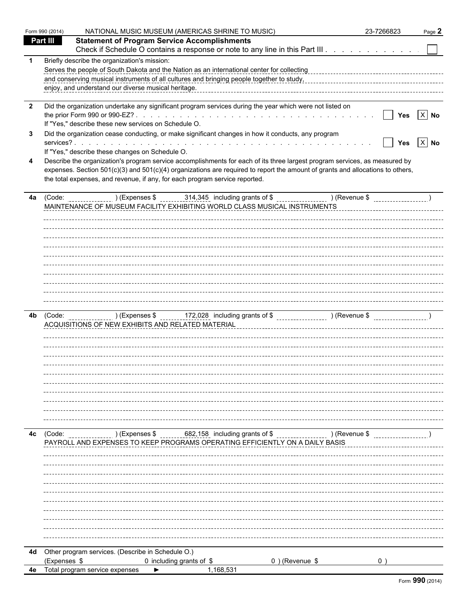|                                   | Form 990 (2014) | NATIONAL MUSIC MUSEUM (AMERICAS SHRINE TO MUSIC)                                                                                                                                                                                                                                                                                                                                                                                                                                                                                                                                                                                                                         | 23-7266823                                                           | Page 2             |
|-----------------------------------|-----------------|--------------------------------------------------------------------------------------------------------------------------------------------------------------------------------------------------------------------------------------------------------------------------------------------------------------------------------------------------------------------------------------------------------------------------------------------------------------------------------------------------------------------------------------------------------------------------------------------------------------------------------------------------------------------------|----------------------------------------------------------------------|--------------------|
|                                   | <b>Part III</b> | <b>Statement of Program Service Accomplishments</b><br>Check if Schedule O contains a response or note to any line in this Part III.                                                                                                                                                                                                                                                                                                                                                                                                                                                                                                                                     |                                                                      |                    |
| $\mathbf 1$                       |                 | Briefly describe the organization's mission:<br>enjoy, and understand our diverse musical heritage.                                                                                                                                                                                                                                                                                                                                                                                                                                                                                                                                                                      |                                                                      |                    |
| $\overline{\mathbf{2}}$<br>3<br>4 |                 | Did the organization undertake any significant program services during the year which were not listed on<br>If "Yes," describe these new services on Schedule O.<br>Did the organization cease conducting, or make significant changes in how it conducts, any program<br>If "Yes," describe these changes on Schedule O.<br>Describe the organization's program service accomplishments for each of its three largest program services, as measured by<br>expenses. Section 501(c)(3) and 501(c)(4) organizations are required to report the amount of grants and allocations to others,<br>the total expenses, and revenue, if any, for each program service reported. | $\boxed{\phantom{1}}$ Yes $\boxed{\phantom{1}}$ No<br>$\blacksquare$ | Yes $\boxed{X}$ No |
|                                   |                 | 4a (Code: ) (Expenses \$ 314,345 including grants of \$ ) (Revenue \$ )<br>MAINTENANCE OF MUSEUM FACILITY EXHIBITING WORLD CLASS MUSICAL INSTRUMENTS                                                                                                                                                                                                                                                                                                                                                                                                                                                                                                                     |                                                                      |                    |
| 4b                                |                 |                                                                                                                                                                                                                                                                                                                                                                                                                                                                                                                                                                                                                                                                          |                                                                      |                    |
| 4c                                |                 | (Code: ________________)(Expenses $$$ ________682,158_including grants of $$$ ______________________)(Revenue $$$<br>PAYROLL AND EXPENSES TO KEEP PROGRAMS OPERATING EFFICIENTLY ON A DAILY BASIS                                                                                                                                                                                                                                                                                                                                                                                                                                                                        |                                                                      |                    |
|                                   |                 |                                                                                                                                                                                                                                                                                                                                                                                                                                                                                                                                                                                                                                                                          |                                                                      |                    |
|                                   |                 | 4d Other program services. (Describe in Schedule O.)                                                                                                                                                                                                                                                                                                                                                                                                                                                                                                                                                                                                                     |                                                                      |                    |
|                                   | (Expenses \$    | 0 including grants of \$<br>0) (Revenue \$                                                                                                                                                                                                                                                                                                                                                                                                                                                                                                                                                                                                                               | $0$ )                                                                |                    |
|                                   |                 | 4e Total program service expenses<br>1,168,531                                                                                                                                                                                                                                                                                                                                                                                                                                                                                                                                                                                                                           |                                                                      |                    |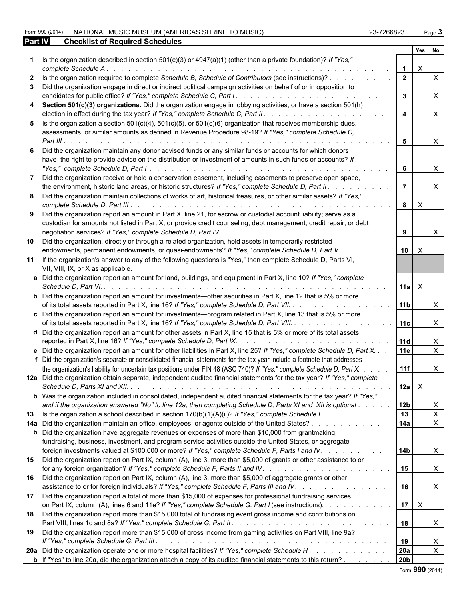Form 990 (2014) NATIONAL MUSIC MUSEUM (AMERICAS SHRINE TO MUSIC) 23-7266823 Page **3 Part IV Checklist of Required Schedules**

| Page 3 |
|--------|
|        |

|              |                                                                                                                                                                                                                                                       |                 | Yes          | No           |
|--------------|-------------------------------------------------------------------------------------------------------------------------------------------------------------------------------------------------------------------------------------------------------|-----------------|--------------|--------------|
|              | Is the organization described in section $501(c)(3)$ or $4947(a)(1)$ (other than a private foundation)? If "Yes,"<br>complete Schedule A.                                                                                                             |                 | X            |              |
| $\mathbf{2}$ | Is the organization required to complete Schedule B, Schedule of Contributors (see instructions)?                                                                                                                                                     | $\overline{2}$  |              | $\times$     |
|              | 3 Did the organization engage in direct or indirect political campaign activities on behalf of or in opposition to<br>candidates for public office? If "Yes," complete Schedule C, Part I<br>de la caractería de la caractería de la caractería       | 3               |              | X            |
|              | 4 Section 501(c)(3) organizations. Did the organization engage in lobbying activities, or have a section 501(h)<br>election in effect during the tax year? If "Yes," complete Schedule C, Part II. .                                                  |                 |              | X            |
|              | 5 Is the organization a section $501(c)(4)$ , $501(c)(5)$ , or $501(c)(6)$ organization that receives membership dues,<br>assessments, or similar amounts as defined in Revenue Procedure 98-19? If "Yes," complete Schedule C,<br>$Part III.$ .      |                 |              | X            |
| 6            | Did the organization maintain any donor advised funds or any similar funds or accounts for which donors                                                                                                                                               |                 |              |              |
|              | have the right to provide advice on the distribution or investment of amounts in such funds or accounts? If                                                                                                                                           | 6               |              | X            |
| 7            | Did the organization receive or hold a conservation easement, including easements to preserve open space,<br>the environment, historic land areas, or historic structures? If "Yes," complete Schedule D, Part II.                                    |                 |              |              |
|              | 8 Did the organization maintain collections of works of art, historical treasures, or other similar assets? If "Yes,"                                                                                                                                 | 8               | $\times$     |              |
|              | 9 Did the organization report an amount in Part X, line 21, for escrow or custodial account liability; serve as a<br>custodian for amounts not listed in Part X; or provide credit counseling, debt management, credit repair, or debt                | 9               |              | X            |
| 10           | Did the organization, directly or through a related organization, hold assets in temporarily restricted<br>endowments, permanent endowments, or quasi-endowments? If "Yes," complete Schedule D, Part V. .<br>and a state of the state of the         | 10 <sup>1</sup> | $\mathsf{X}$ |              |
| 11           | If the organization's answer to any of the following questions is "Yes," then complete Schedule D, Parts VI,<br>VII, VIII, IX, or X as applicable.                                                                                                    |                 |              |              |
|              | a Did the organization report an amount for land, buildings, and equipment in Part X, line 10? If "Yes," complete                                                                                                                                     | 11a             | $\mathsf{X}$ |              |
|              | <b>b</b> Did the organization report an amount for investments—other securities in Part X, line 12 that is 5% or more<br>of its total assets reported in Part X, line 16? If "Yes," complete Schedule D, Part VII.                                    | 11 <sub>1</sub> |              | X.           |
|              | c Did the organization report an amount for investments—program related in Part X, line 13 that is 5% or more<br>of its total assets reported in Part X, line 16? If "Yes," complete Schedule D, Part VIII.                                           | 11c             |              | X.           |
|              | d Did the organization report an amount for other assets in Part X, line 15 that is 5% or more of its total assets                                                                                                                                    | 11d             |              | X            |
|              | e Did the organization report an amount for other liabilities in Part X, line 25? If "Yes," complete Schedule D, Part X.<br>f Did the organization's separate or consolidated financial statements for the tax year include a footnote that addresses | 11e             |              | $\mathsf{x}$ |
|              | the organization's liability for uncertain tax positions under FIN 48 (ASC 740)? If "Yes," complete Schedule D, Part X.                                                                                                                               | 11f             |              | X.           |
|              | 12a Did the organization obtain separate, independent audited financial statements for the tax year? If "Yes," complete                                                                                                                               | $ 12a  \times$  |              |              |
|              | <b>b</b> Was the organization included in consolidated, independent audited financial statements for the tax year? If "Yes,"<br>and if the organization answered "No" to line 12a, then completing Schedule D, Parts XI and XII is optional           | 12b             |              | X.           |
|              | 13 Is the organization a school described in section 170(b)(1)(A)(ii)? If "Yes," complete Schedule E.                                                                                                                                                 | 13              |              | $\mathsf{X}$ |
|              | 14a Did the organization maintain an office, employees, or agents outside of the United States?<br><b>b</b> Did the organization have aggregate revenues or expenses of more than \$10,000 from grantmaking,                                          | 14a             |              | $\mathsf{X}$ |
|              | fundraising, business, investment, and program service activities outside the United States, or aggregate                                                                                                                                             |                 |              |              |
|              | foreign investments valued at \$100,000 or more? If "Yes," complete Schedule F, Parts I and IV.                                                                                                                                                       | l 14b           |              | X            |
| 15           | Did the organization report on Part IX, column (A), line 3, more than \$5,000 of grants or other assistance to or                                                                                                                                     | 15              |              | X            |
|              | 16 Did the organization report on Part IX, column (A), line 3, more than \$5,000 of aggregate grants or other<br>assistance to or for foreign individuals? If "Yes," complete Schedule F, Parts III and IV.                                           | 16              |              | X            |
| 17           | Did the organization report a total of more than \$15,000 of expenses for professional fundraising services<br>on Part IX, column (A), lines 6 and 11e? If "Yes," complete Schedule G, Part I (see instructions).                                     | 17              | $\mathsf{X}$ |              |
| 18           | Did the organization report more than \$15,000 total of fundraising event gross income and contributions on                                                                                                                                           | 18              |              | X            |
| 19           | Did the organization report more than \$15,000 of gross income from gaming activities on Part VIII, line 9a?                                                                                                                                          | 19              |              | X            |
|              | 20a Did the organization operate one or more hospital facilities? If "Yes," complete Schedule H.                                                                                                                                                      | <b>20a</b>      |              | X            |
|              | <b>b</b> If "Yes" to line 20a, did the organization attach a copy of its audited financial statements to this return?                                                                                                                                 | 20b             |              |              |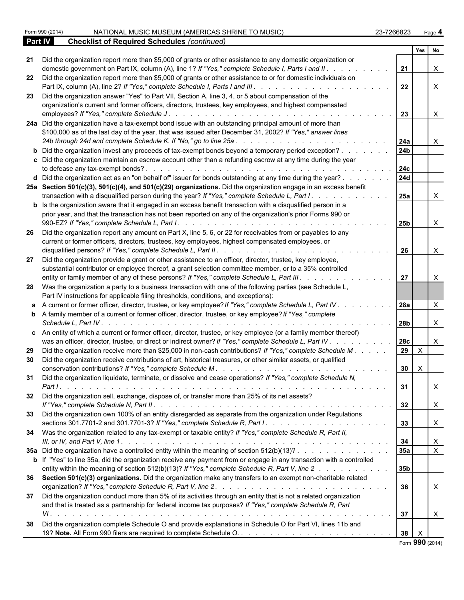|    | Form 990 (2014)<br>NATIONAL MUSIC MUSEUM (AMERICAS SHRINE TO MUSIC)                                                                                                                                                                                                                                                             | 23-7266823 |                        |                        | Page 4         |  |
|----|---------------------------------------------------------------------------------------------------------------------------------------------------------------------------------------------------------------------------------------------------------------------------------------------------------------------------------|------------|------------------------|------------------------|----------------|--|
|    | <b>Part IV</b><br><b>Checklist of Required Schedules (continued)</b>                                                                                                                                                                                                                                                            |            |                        |                        |                |  |
|    |                                                                                                                                                                                                                                                                                                                                 |            |                        | Yes                    | No             |  |
|    | 21 Did the organization report more than \$5,000 of grants or other assistance to any domestic organization or<br>domestic government on Part IX, column (A), line 1? If "Yes," complete Schedule I, Parts I and II. .                                                                                                          |            | 21                     |                        |                |  |
|    | 22 Did the organization report more than \$5,000 of grants or other assistance to or for domestic individuals on                                                                                                                                                                                                                |            | 22                     |                        | $\times$       |  |
| 23 | Did the organization answer "Yes" to Part VII, Section A, line 3, 4, or 5 about compensation of the<br>organization's current and former officers, directors, trustees, key employees, and highest compensated<br>employees? If "Yes," complete Schedule J                                                                      |            | 23                     |                        | X              |  |
|    | 24a Did the organization have a tax-exempt bond issue with an outstanding principal amount of more than<br>\$100,000 as of the last day of the year, that was issued after December 31, 2002? If "Yes," answer lines                                                                                                            |            |                        |                        |                |  |
|    | <b>b</b> Did the organization invest any proceeds of tax-exempt bonds beyond a temporary period exception?                                                                                                                                                                                                                      |            | 24a<br>24 <sub>b</sub> |                        |                |  |
|    | c Did the organization maintain an escrow account other than a refunding escrow at any time during the year                                                                                                                                                                                                                     |            | 24c                    |                        |                |  |
|    | d Did the organization act as an "on behalf of" issuer for bonds outstanding at any time during the year?<br>25a Section 501(c)(3), 501(c)(4), and 501(c)(29) organizations. Did the organization engage in an excess benefit<br>transaction with a disqualified person during the year? If "Yes," complete Schedule L, Part I. |            | 24d                    |                        |                |  |
|    | <b>b</b> Is the organization aware that it engaged in an excess benefit transaction with a disqualified person in a<br>prior year, and that the transaction has not been reported on any of the organization's prior Forms 990 or                                                                                               |            | 25a                    |                        |                |  |
|    | 26 Did the organization report any amount on Part X, line 5, 6, or 22 for receivables from or payables to any                                                                                                                                                                                                                   |            | 25 <sub>b</sub>        |                        | X              |  |
|    | current or former officers, directors, trustees, key employees, highest compensated employees, or                                                                                                                                                                                                                               |            | 26                     |                        | X              |  |
| 27 | Did the organization provide a grant or other assistance to an officer, director, trustee, key employee,<br>substantial contributor or employee thereof, a grant selection committee member, or to a 35% controlled<br>entity or family member of any of these persons? If "Yes," complete Schedule L, Part III.                |            | 27                     |                        |                |  |
|    | 28 Was the organization a party to a business transaction with one of the following parties (see Schedule L,<br>Part IV instructions for applicable filing thresholds, conditions, and exceptions):                                                                                                                             |            |                        |                        |                |  |
|    | a A current or former officer, director, trustee, or key employee? If "Yes," complete Schedule L, Part IV.                                                                                                                                                                                                                      |            | 28a                    |                        | $\times$       |  |
|    | <b>b</b> A family member of a current or former officer, director, trustee, or key employee? If "Yes," complete<br>Schedule L, Part IV.                                                                                                                                                                                         |            | 28b l                  |                        | $\times$       |  |
|    | c An entity of which a current or former officer, director, trustee, or key employee (or a family member thereof)<br>was an officer, director, trustee, or direct or indirect owner? If "Yes," complete Schedule L, Part IV.                                                                                                    |            | <b>28c</b>             |                        | X              |  |
| 29 | Did the organization receive more than \$25,000 in non-cash contributions? If "Yes," complete Schedule M.<br>Did the organization receive contributions of art, historical treasures, or other similar assets, or qualified                                                                                                     |            | 29                     | $\mathsf{X}$<br>30   X |                |  |
|    | 31 Did the organization liquidate, terminate, or dissolve and cease operations? If "Yes," complete Schedule N,                                                                                                                                                                                                                  |            | 31                     |                        | $\mathsf{X}$   |  |
|    | 32 Did the organization sell, exchange, dispose of, or transfer more than 25% of its net assets?                                                                                                                                                                                                                                |            | 32                     |                        | $\mathsf{X}$   |  |
|    | 33 Did the organization own 100% of an entity disregarded as separate from the organization under Regulations                                                                                                                                                                                                                   |            | 33                     |                        | $\mathsf{X}$   |  |
|    | 34 Was the organization related to any tax-exempt or taxable entity? If "Yes," complete Schedule R, Part II,                                                                                                                                                                                                                    |            | 34                     |                        | $\mathsf{X}$   |  |
|    | 35a Did the organization have a controlled entity within the meaning of section 512(b)(13)?<br>b If "Yes" to line 35a, did the organization receive any payment from or engage in any transaction with a controlled                                                                                                             |            | 35a                    |                        | $\overline{X}$ |  |
|    | entity within the meaning of section 512(b)(13)? If "Yes," complete Schedule R, Part V, line 2<br>36 Section 501(c)(3) organizations. Did the organization make any transfers to an exempt non-charitable related                                                                                                               |            | 35 <sub>b</sub>        |                        |                |  |
|    | 37 Did the organization conduct more than 5% of its activities through an entity that is not a related organization                                                                                                                                                                                                             |            | 36                     |                        | $\mathsf{X}$   |  |
|    | and that is treated as a partnership for federal income tax purposes? If "Yes," complete Schedule R, Part                                                                                                                                                                                                                       |            | 37                     |                        | $\mathsf{X}$   |  |
| 38 | Did the organization complete Schedule O and provide explanations in Schedule O for Part VI, lines 11b and                                                                                                                                                                                                                      |            | $38$ $\times$          |                        |                |  |

Form **990** (2014)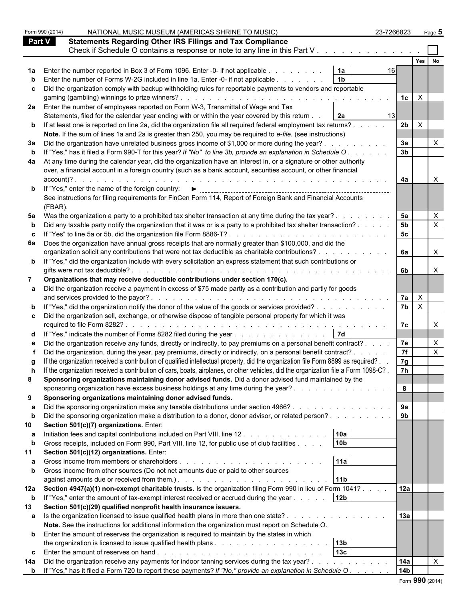|     | Form 990 (2014) | 23-7266823<br>NATIONAL MUSIC MUSEUM (AMERICAS SHRINE TO MUSIC)                                                                                                                                                                      |                 | Page 5       |  |
|-----|-----------------|-------------------------------------------------------------------------------------------------------------------------------------------------------------------------------------------------------------------------------------|-----------------|--------------|--|
|     | <b>Part V</b>   | <b>Statements Regarding Other IRS Filings and Tax Compliance</b>                                                                                                                                                                    |                 |              |  |
|     |                 | Check if Schedule O contains a response or note to any line in this Part V                                                                                                                                                          |                 |              |  |
|     |                 |                                                                                                                                                                                                                                     |                 | Yes          |  |
|     |                 | Enter the number reported in Box 3 of Form 1096. Enter -0- if not applicable<br>1a<br>161                                                                                                                                           |                 |              |  |
|     |                 | 1 <sub>b</sub><br>Enter the number of Forms W-2G included in line 1a. Enter -0- if not applicable                                                                                                                                   |                 |              |  |
| C.  |                 | Did the organization comply with backup withholding rules for reportable payments to vendors and reportable                                                                                                                         |                 |              |  |
|     |                 |                                                                                                                                                                                                                                     | 1c              | $\mathsf{X}$ |  |
|     |                 | 2a Enter the number of employees reported on Form W-3, Transmittal of Wage and Tax                                                                                                                                                  |                 |              |  |
|     |                 | Statements, filed for the calendar year ending with or within the year covered by this return .<br>2a<br>13 <sub>l</sub>                                                                                                            |                 |              |  |
|     |                 | <b>b</b> If at least one is reported on line 2a, did the organization file all required federal employment tax returns?                                                                                                             | 2b              | $\mathsf{X}$ |  |
|     |                 | Note. If the sum of lines 1a and 2a is greater than 250, you may be required to e-file. (see instructions)                                                                                                                          |                 |              |  |
| За  |                 | Did the organization have unrelated business gross income of \$1,000 or more during the year?.                                                                                                                                      | 3a              |              |  |
|     |                 | If "Yes," has it filed a Form 990-T for this year? If "No" to line 3b, provide an explanation in Schedule O.                                                                                                                        | 3 <sub>b</sub>  |              |  |
|     |                 |                                                                                                                                                                                                                                     |                 |              |  |
| 4a  |                 | At any time during the calendar year, did the organization have an interest in, or a signature or other authority<br>over, a financial account in a foreign country (such as a bank account, securities account, or other financial |                 |              |  |
|     | account)?       |                                                                                                                                                                                                                                     | 4a              |              |  |
|     |                 |                                                                                                                                                                                                                                     |                 |              |  |
|     |                 | <b>b</b> If "Yes," enter the name of the foreign country: $\blacktriangleright$                                                                                                                                                     |                 |              |  |
|     | (FBAR).         | See instructions for filing requirements for FinCen Form 114, Report of Foreign Bank and Financial Accounts                                                                                                                         |                 |              |  |
|     |                 | 5a Was the organization a party to a prohibited tax shelter transaction at any time during the tax year?.                                                                                                                           | 5a              |              |  |
|     |                 | Did any taxable party notify the organization that it was or is a party to a prohibited tax shelter transaction?                                                                                                                    | 5 <sub>b</sub>  |              |  |
| c   |                 | If "Yes" to line 5a or 5b, did the organization file Form 8886-T?                                                                                                                                                                   | 5c              |              |  |
| 6а  |                 | Does the organization have annual gross receipts that are normally greater than \$100,000, and did the                                                                                                                              |                 |              |  |
|     |                 | organization solicit any contributions that were not tax deductible as charitable contributions? .                                                                                                                                  | 6а              | X            |  |
|     |                 | <b>b</b> If "Yes," did the organization include with every solicitation an express statement that such contributions or                                                                                                             |                 |              |  |
|     |                 | gifts were not tax deductible?.                                                                                                                                                                                                     | 6b              |              |  |
|     |                 | Organizations that may receive deductible contributions under section 170(c).                                                                                                                                                       |                 |              |  |
|     |                 | Did the organization receive a payment in excess of \$75 made partly as a contribution and partly for goods                                                                                                                         |                 |              |  |
|     |                 | and services provided to the payor?.                                                                                                                                                                                                | 7a              | $\mathsf{X}$ |  |
|     |                 | <b>b</b> If "Yes," did the organization notify the donor of the value of the goods or services provided?                                                                                                                            | 7 <sub>b</sub>  | $\mathsf{X}$ |  |
| C.  |                 | Did the organization sell, exchange, or otherwise dispose of tangible personal property for which it was                                                                                                                            |                 |              |  |
|     |                 | required to file Form 8282?.                                                                                                                                                                                                        | 7c              |              |  |
|     |                 | d If "Yes," indicate the number of Forms 8282 filed during the year<br>7d                                                                                                                                                           |                 |              |  |
|     |                 | Did the organization receive any funds, directly or indirectly, to pay premiums on a personal benefit contract?                                                                                                                     | 7e              |              |  |
|     |                 | Did the organization, during the year, pay premiums, directly or indirectly, on a personal benefit contract? .                                                                                                                      | 7f              |              |  |
|     |                 | If the organization received a contribution of qualified intellectual property, did the organization file Form 8899 as required?.                                                                                                   | 7g              |              |  |
|     |                 | If the organization received a contribution of cars, boats, airplanes, or other vehicles, did the organization file a Form 1098-C?.                                                                                                 | 7h              |              |  |
| 8   |                 | Sponsoring organizations maintaining donor advised funds. Did a donor advised fund maintained by the                                                                                                                                |                 |              |  |
|     |                 | sponsoring organization have excess business holdings at any time during the year?.                                                                                                                                                 | 8               |              |  |
| 9   |                 | Sponsoring organizations maintaining donor advised funds.                                                                                                                                                                           |                 |              |  |
|     |                 | Did the sponsoring organization make any taxable distributions under section 4966?                                                                                                                                                  | 9a              |              |  |
| b   |                 | Did the sponsoring organization make a distribution to a donor, donor advisor, or related person?                                                                                                                                   | 9 <sub>b</sub>  |              |  |
| 10  |                 | Section 501(c)(7) organizations. Enter:                                                                                                                                                                                             |                 |              |  |
| а   |                 | 10a<br>Initiation fees and capital contributions included on Part VIII, line 12.                                                                                                                                                    |                 |              |  |
| b   |                 | 10 <sub>b</sub><br>Gross receipts, included on Form 990, Part VIII, line 12, for public use of club facilities                                                                                                                      |                 |              |  |
|     |                 | Section 501(c)(12) organizations. Enter:                                                                                                                                                                                            |                 |              |  |
| а   |                 | 11a                                                                                                                                                                                                                                 |                 |              |  |
|     |                 | Gross income from other sources (Do not net amounts due or paid to other sources                                                                                                                                                    |                 |              |  |
|     |                 | 11 <sub>b</sub>                                                                                                                                                                                                                     |                 |              |  |
|     |                 | 12a Section 4947(a)(1) non-exempt charitable trusts. Is the organization filing Form 990 in lieu of Form 1041?                                                                                                                      | 12a             |              |  |
| b   |                 | 12 <sub>b</sub><br>If "Yes," enter the amount of tax-exempt interest received or accrued during the year                                                                                                                            |                 |              |  |
| 13  |                 | Section 501(c)(29) qualified nonprofit health insurance issuers.                                                                                                                                                                    |                 |              |  |
| a   |                 | Is the organization licensed to issue qualified health plans in more than one state?                                                                                                                                                | 13a             |              |  |
|     |                 | Note. See the instructions for additional information the organization must report on Schedule O.                                                                                                                                   |                 |              |  |
|     |                 | <b>b</b> Enter the amount of reserves the organization is required to maintain by the states in which                                                                                                                               |                 |              |  |
|     |                 | 13 <sub>b</sub>                                                                                                                                                                                                                     |                 |              |  |
| C.  |                 | 13 <sub>c</sub>                                                                                                                                                                                                                     |                 |              |  |
| 14a |                 | Did the organization receive any payments for indoor tanning services during the tax year?.                                                                                                                                         | 14a             |              |  |
|     |                 | <b>b</b> If "Yes," has it filed a Form 720 to report these payments? If "No," provide an explanation in Schedule O.                                                                                                                 | 14 <sub>b</sub> |              |  |
|     |                 |                                                                                                                                                                                                                                     |                 |              |  |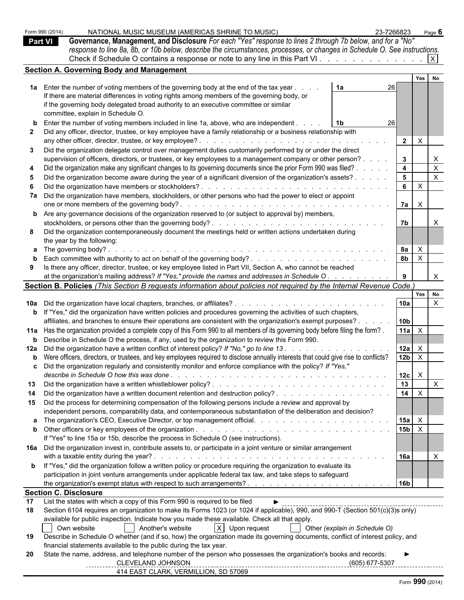|    | Form 990 (2014)              | NATIONAL MUSIC MUSEUM (AMERICAS SHRINE TO MUSIC)                                                                                                                                     | 23-7266823 |                |              | Page 6       |
|----|------------------------------|--------------------------------------------------------------------------------------------------------------------------------------------------------------------------------------|------------|----------------|--------------|--------------|
|    | <b>Part VI</b>               | Governance, Management, and Disclosure For each "Yes" response to lines 2 through 7b below, and for a "No"                                                                           |            |                |              |              |
|    |                              | response to line 8a, 8b, or 10b below, describe the circumstances, processes, or changes in Schedule O. See instructions.                                                            |            |                |              |              |
|    |                              |                                                                                                                                                                                      |            |                |              |              |
|    |                              | <b>Section A. Governing Body and Management</b>                                                                                                                                      |            |                |              |              |
|    |                              |                                                                                                                                                                                      |            |                | Yes          | No           |
|    |                              | 1a Enter the number of voting members of the governing body at the end of the tax year<br>1a                                                                                         | 26         |                |              |              |
|    |                              | If there are material differences in voting rights among members of the governing body, or                                                                                           |            |                |              |              |
|    |                              | if the governing body delegated broad authority to an executive committee or similar                                                                                                 |            |                |              |              |
|    |                              | committee, explain in Schedule O.                                                                                                                                                    |            |                |              |              |
|    |                              |                                                                                                                                                                                      |            |                |              |              |
|    |                              | <b>b</b> Enter the number of voting members included in line 1a, above, who are independent.                                                                                         | 26         |                |              |              |
|    |                              | Did any officer, director, trustee, or key employee have a family relationship or a business relationship with                                                                       |            |                |              |              |
|    |                              | any other officer, director, trustee, or key employee?.<br>and a straight and a straight and                                                                                         |            | $\overline{2}$ | $\mathsf{X}$ |              |
| 3  |                              | Did the organization delegate control over management duties customarily performed by or under the direct                                                                            |            |                |              |              |
|    |                              | supervision of officers, directors, or trustees, or key employees to a management company or other person?.                                                                          |            | 3              |              |              |
|    |                              | Did the organization make any significant changes to its governing documents since the prior Form 990 was filed?                                                                     |            | $\overline{4}$ |              | $\mathsf{X}$ |
| 5  |                              | Did the organization become aware during the year of a significant diversion of the organization's assets? .                                                                         |            | $5^{\circ}$    |              | $\mathsf{X}$ |
| 6  |                              | Did the organization have members or stockholders?                                                                                                                                   |            | 6              | $\mathsf{X}$ |              |
|    |                              | 7a Did the organization have members, stockholders, or other persons who had the power to elect or appoint                                                                           |            |                |              |              |
|    |                              |                                                                                                                                                                                      |            | 7a             | $\mathsf{X}$ |              |
|    |                              | <b>b</b> Are any governance decisions of the organization reserved to (or subject to approval by) members,                                                                           |            |                |              |              |
|    |                              |                                                                                                                                                                                      |            | 7b             |              |              |
| 8  |                              | Did the organization contemporaneously document the meetings held or written actions undertaken during                                                                               |            |                |              |              |
|    |                              | the year by the following:                                                                                                                                                           |            |                |              |              |
|    |                              | a The governing body?                                                                                                                                                                |            | 8a             | $\mathsf{X}$ |              |
|    |                              |                                                                                                                                                                                      |            | 8 <sub>b</sub> | $\mathsf{X}$ |              |
| 9  |                              | Is there any officer, director, trustee, or key employee listed in Part VII, Section A, who cannot be reached                                                                        |            |                |              |              |
|    |                              | at the organization's mailing address? If "Yes," provide the names and addresses in Schedule O.                                                                                      |            |                |              | $\mathsf{X}$ |
|    |                              | Section B. Policies (This Section B requests information about policies not required by the Internal Revenue Code.)                                                                  |            |                |              |              |
|    |                              |                                                                                                                                                                                      |            |                | Yes No       |              |
|    |                              |                                                                                                                                                                                      |            | l 10a          |              | $\times$     |
|    |                              | <b>b</b> If "Yes," did the organization have written policies and procedures governing the activities of such chapters,                                                              |            |                |              |              |
|    |                              | affiliates, and branches to ensure their operations are consistent with the organization's exempt purposes?.                                                                         |            | 10b            |              |              |
|    |                              | 11a Has the organization provided a complete copy of this Form 990 to all members of its governing body before filing the form?.                                                     |            | 11a            | $\mathsf{X}$ |              |
|    |                              | <b>b</b> Describe in Schedule O the process, if any, used by the organization to review this Form 990.                                                                               |            |                |              |              |
|    |                              | 12a Did the organization have a written conflict of interest policy? If "No," go to line 13.                                                                                         |            | 12a            | $\mathsf{X}$ |              |
|    |                              | <b>b</b> Were officers, directors, or trustees, and key employees required to disclose annually interests that could give rise to conflicts?                                         |            | $12b$ $\times$ |              |              |
|    |                              | Did the organization regularly and consistently monitor and enforce compliance with the policy? If "Yes,"                                                                            |            |                |              |              |
|    |                              |                                                                                                                                                                                      |            | $12c \quad X$  |              |              |
|    |                              |                                                                                                                                                                                      |            | 13             |              | $\mathsf{X}$ |
| 14 |                              |                                                                                                                                                                                      |            | 14             | $\mathsf{X}$ |              |
|    |                              | 15 Did the process for determining compensation of the following persons include a review and approval by                                                                            |            |                |              |              |
|    |                              | independent persons, comparability data, and contemporaneous substantiation of the deliberation and decision?                                                                        |            |                |              |              |
|    |                              |                                                                                                                                                                                      |            | $15a$ $\times$ |              |              |
|    |                              |                                                                                                                                                                                      |            | $15b \times$   |              |              |
|    |                              | If "Yes" to line 15a or 15b, describe the process in Schedule O (see instructions).                                                                                                  |            |                |              |              |
|    |                              |                                                                                                                                                                                      |            |                |              |              |
|    |                              | 16a Did the organization invest in, contribute assets to, or participate in a joint venture or similar arrangement                                                                   |            |                |              |              |
|    |                              |                                                                                                                                                                                      |            | <b>16a</b>     |              | $\mathsf{X}$ |
|    |                              | <b>b</b> If "Yes," did the organization follow a written policy or procedure requiring the organization to evaluate its                                                              |            |                |              |              |
|    |                              | participation in joint venture arrangements under applicable federal tax law, and take steps to safeguard                                                                            |            | l 16b          |              |              |
|    |                              |                                                                                                                                                                                      |            |                |              |              |
|    | <b>Section C. Disclosure</b> | List the states with which a copy of this Form 990 is required to be filed                                                                                                           |            |                |              |              |
| 17 |                              |                                                                                                                                                                                      |            |                |              |              |
| 18 |                              | Section 6104 requires an organization to make its Forms 1023 (or 1024 if applicable), 990, and 990-T (Section 501(c)(3)s only)                                                       |            |                |              |              |
|    |                              | available for public inspection. Indicate how you made these available. Check all that apply.<br>$X$ Upon request<br>Own website                                                     |            |                |              |              |
|    |                              | Another's website<br>Other (explain in Schedule O)                                                                                                                                   |            |                |              |              |
| 19 |                              | Describe in Schedule O whether (and if so, how) the organization made its governing documents, conflict of interest policy, and                                                      |            |                |              |              |
|    |                              | financial statements available to the public during the tax year.<br>State the name, address, and telephone number of the person who possesses the organization's books and records: |            |                |              |              |
| 20 |                              | CLEVELAND JOHNSON                                                                                                                                                                    |            |                |              |              |
|    |                              | 414 EAST CLARK, VERMILLION, SD 57069                                                                                                                                                 |            |                |              |              |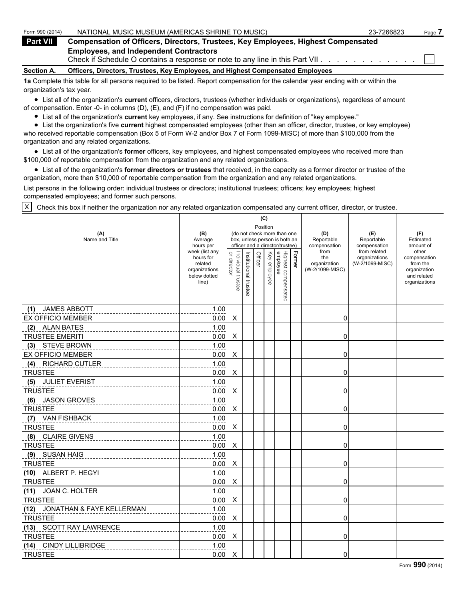| Form 990 (2014)   | NATIONAL MUSIC MUSEUM (AMERICAS SHRINE TO MUSIC)                                                                                 | 23-7266823 | Page |
|-------------------|----------------------------------------------------------------------------------------------------------------------------------|------------|------|
| <b>Part VII</b>   | <b>Compensation of Officers, Directors, Trustees, Key Employees, Highest Compensated</b>                                         |            |      |
|                   | <b>Employees, and Independent Contractors</b><br>Check if Schedule O contains a response or note to any line in this Part VII.   |            |      |
| <b>Section A.</b> | Officers, Directors, Trustees, Key Employees, and Highest Compensated Employees                                                  |            |      |
|                   | An Complete this tople for all persons required to be listed. Depart companentian for the colondar was anding with or within the |            |      |

**1a** Complete this table for all persons required to be listed. Report compensation for the calendar year ending with or within the organization's tax year.

List all of the organization's **current** officers, directors, trustees (whether individuals or organizations), regardless of amount of compensation. Enter -0- in columns (D), (E), and (F) if no compensation was paid.

List all of the organization's **current** key employees, if any. See instructions for definition of "key employee."

List the organization's five **current** highest compensated employees (other than an officer, director, trustee, or key employee) who received reportable compensation (Box 5 of Form W-2 and/or Box 7 of Form 1099-MISC) of more than \$100,000 from the organization and any related organizations.

List all of the organization's **former** officers, key employees, and highest compensated employees who received more than \$100,000 of reportable compensation from the organization and any related organizations.

List all of the organization's **former directors or trustees** that received, in the capacity as a former director or trustee of the organization, more than \$10,000 of reportable compensation from the organization and any related organizations.

List persons in the following order: individual trustees or directors; institutional trustees; officers; key employees; highest compensated employees; and former such persons.

X Check this box if neither the organization nor any related organization compensated any current officer, director, or trustee.

|                                |                             |                    |                       | (C)      |          |                                 |               |                      |                                  |                              |
|--------------------------------|-----------------------------|--------------------|-----------------------|----------|----------|---------------------------------|---------------|----------------------|----------------------------------|------------------------------|
| (A)                            | (B)                         |                    |                       | Position |          | (do not check more than one     |               | (D)                  | (E)                              | (F)                          |
| Name and Title                 | Average                     |                    |                       |          |          | box, unless person is both an   |               | Reportable           | Reportable                       | Estimated                    |
|                                | hours per<br>week (list any |                    |                       |          |          | officer and a director/trustee) |               | compensation<br>from | compensation<br>from related     | amount of<br>other           |
|                                | hours for<br>related        |                    |                       | Officer  | Key      |                                 | <b>Former</b> | the<br>organization  | organizations<br>(W-2/1099-MISC) | compensation<br>from the     |
|                                | organizations               | or director        |                       |          |          |                                 |               | (W-2/1099-MISC)      |                                  | organization                 |
|                                | below dotted<br>line)       | Individual trustee | Institutional trustee |          | employee | Highest compensated<br>employee |               |                      |                                  | and related<br>organizations |
|                                |                             |                    |                       |          |          |                                 |               |                      |                                  |                              |
|                                |                             |                    |                       |          |          |                                 |               |                      |                                  |                              |
| <b>JAMES ABBOTT</b><br>(1)     | 1.00                        |                    |                       |          |          |                                 |               |                      |                                  |                              |
| <b>EX OFFICIO MEMBER</b>       | 0.00                        | X                  |                       |          |          |                                 |               | 0                    |                                  |                              |
| (2) ALAN BATES                 | 1.00                        |                    |                       |          |          |                                 |               |                      |                                  |                              |
| <b>TRUSTEE EMERITI</b>         | 0.00                        | X                  |                       |          |          |                                 |               | 0                    |                                  |                              |
| (3) STEVE BROWN                | 1.00                        |                    |                       |          |          |                                 |               |                      |                                  |                              |
| <b>EX OFFICIO MEMBER</b>       | 0.00                        | Χ                  |                       |          |          |                                 |               | 0                    |                                  |                              |
| <b>RICHARD CUTLER</b><br>(4)   | 1.00                        |                    |                       |          |          |                                 |               |                      |                                  |                              |
| <b>TRUSTEE</b>                 | 0.00                        | X                  |                       |          |          |                                 |               | 0                    |                                  |                              |
| (5) JULIET EVERIST             | 1.00                        |                    |                       |          |          |                                 |               |                      |                                  |                              |
| <b>TRUSTEE</b>                 | 0.00                        | X                  |                       |          |          |                                 |               | 0                    |                                  |                              |
| (6) JASON GROVES               | 1.00                        |                    |                       |          |          |                                 |               |                      |                                  |                              |
| <b>TRUSTEE</b>                 | 0.00                        | Χ                  |                       |          |          |                                 |               | 0                    |                                  |                              |
| <b>VAN FISHBACK</b><br>(7)     | 1.00                        |                    |                       |          |          |                                 |               |                      |                                  |                              |
| <b>TRUSTEE</b>                 | 0.00                        | X                  |                       |          |          |                                 |               | 0                    |                                  |                              |
| (8) CLAIRE GIVENS              | 1.00                        |                    |                       |          |          |                                 |               |                      |                                  |                              |
| <b>TRUSTEE</b>                 | 0.00                        | X                  |                       |          |          |                                 |               | 0                    |                                  |                              |
| (9) SUSAN HAIG                 | 1.00                        |                    |                       |          |          |                                 |               |                      |                                  |                              |
| <b>TRUSTEE</b>                 | 0.00                        | X                  |                       |          |          |                                 |               | 0                    |                                  |                              |
| (10) ALBERT P. HEGYI           | 1.00                        |                    |                       |          |          |                                 |               |                      |                                  |                              |
| <b>TRUSTEE</b>                 | 0.00                        | X                  |                       |          |          |                                 |               | 0                    |                                  |                              |
| (11) JOAN C. HOLTER            | 1.00                        |                    |                       |          |          |                                 |               |                      |                                  |                              |
| <b>TRUSTEE</b>                 | 0.00                        | X                  |                       |          |          |                                 |               | 0                    |                                  |                              |
| (12) JONATHAN & FAYE KELLERMAN | 1.00                        |                    |                       |          |          |                                 |               |                      |                                  |                              |
| <b>TRUSTEE</b>                 | 0.00                        | X                  |                       |          |          |                                 |               | 0                    |                                  |                              |
| (13) SCOTT RAY LAWRENCE        | 1.00                        |                    |                       |          |          |                                 |               |                      |                                  |                              |
| <b>TRUSTEE</b>                 | 0.00                        | X                  |                       |          |          |                                 |               | 0                    |                                  |                              |
| (14) CINDY LILLIBRIDGE         | 1.00                        |                    |                       |          |          |                                 |               |                      |                                  |                              |
| <b>TRUSTEE</b>                 | 0.00                        | X                  |                       |          |          |                                 |               | 0                    |                                  |                              |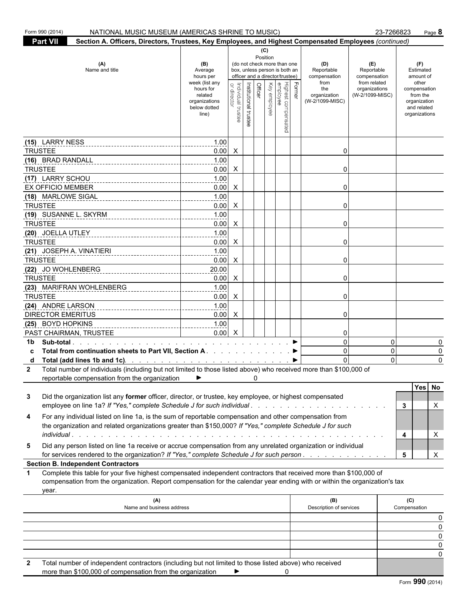|                | Form 990 (2014)<br>NATIONAL MUSIC MUSEUM (AMERICAS SHRINE TO MUSIC)                                                                                                                                                                                       |                                                                                                                 |                           |                                  |                 |                                                                                                                                                      |        |                                                                                     |                                                                                       | 23-7266823              | Page 8                                                                                                             |
|----------------|-----------------------------------------------------------------------------------------------------------------------------------------------------------------------------------------------------------------------------------------------------------|-----------------------------------------------------------------------------------------------------------------|---------------------------|----------------------------------|-----------------|------------------------------------------------------------------------------------------------------------------------------------------------------|--------|-------------------------------------------------------------------------------------|---------------------------------------------------------------------------------------|-------------------------|--------------------------------------------------------------------------------------------------------------------|
|                | <b>Part VII</b><br>Section A. Officers, Directors, Trustees, Key Employees, and Highest Compensated Employees (continued)                                                                                                                                 |                                                                                                                 |                           |                                  |                 |                                                                                                                                                      |        |                                                                                     |                                                                                       |                         |                                                                                                                    |
|                | (A)<br>Name and title                                                                                                                                                                                                                                     | (B)<br>Average<br>hours per<br>week (list any<br>hours for<br>related<br>organizations<br>below dotted<br>line) | Individual trustee        | Officer<br>Institutional trustee | (C)<br>Position | (do not check more than one<br>box, unless person is both an<br>officer and a director/trustee)<br> <br>  Highest compensated<br> <br>  Key employee | Former | (D)<br>Reportable<br>compensation<br>from<br>the<br>organization<br>(W-2/1099-MISC) | (E)<br>Reportable<br>compensation<br>from related<br>organizations<br>(W-2/1099-MISC) |                         | (F)<br>Estimated<br>amount of<br>other<br>compensation<br>from the<br>organization<br>and related<br>organizations |
|                |                                                                                                                                                                                                                                                           |                                                                                                                 |                           |                                  |                 |                                                                                                                                                      |        |                                                                                     |                                                                                       |                         |                                                                                                                    |
|                | (15) LARRY NESS                                                                                                                                                                                                                                           | 1.00                                                                                                            |                           |                                  |                 |                                                                                                                                                      |        |                                                                                     |                                                                                       |                         |                                                                                                                    |
| <b>TRUSTEE</b> |                                                                                                                                                                                                                                                           | 0.00                                                                                                            | $\mathsf{X}$              |                                  |                 |                                                                                                                                                      |        | 0                                                                                   |                                                                                       |                         |                                                                                                                    |
|                | (16) BRAD RANDALL<br>-------------------------------                                                                                                                                                                                                      | 1.00                                                                                                            |                           |                                  |                 |                                                                                                                                                      |        |                                                                                     |                                                                                       |                         |                                                                                                                    |
| <b>TRUSTEE</b> |                                                                                                                                                                                                                                                           | 0.00                                                                                                            | $\mathsf{X}$              |                                  |                 |                                                                                                                                                      |        | 0                                                                                   |                                                                                       |                         |                                                                                                                    |
|                | (17) LARRY SCHOU                                                                                                                                                                                                                                          | 1.00                                                                                                            |                           |                                  |                 |                                                                                                                                                      |        |                                                                                     |                                                                                       |                         |                                                                                                                    |
|                | EX OFFICIO MEMBER                                                                                                                                                                                                                                         | 0.00                                                                                                            | $\mathsf{X}$              |                                  |                 |                                                                                                                                                      |        | 0                                                                                   |                                                                                       |                         |                                                                                                                    |
|                | (18) MARLOWE SIGAL                                                                                                                                                                                                                                        | 1.00                                                                                                            |                           |                                  |                 |                                                                                                                                                      |        |                                                                                     |                                                                                       |                         |                                                                                                                    |
| <b>TRUSTEE</b> |                                                                                                                                                                                                                                                           | 0.00                                                                                                            | $\mathsf{X}$              |                                  |                 |                                                                                                                                                      |        | 0                                                                                   |                                                                                       |                         |                                                                                                                    |
|                | (19) SUSANNE L. SKYRM<br>---------------------------                                                                                                                                                                                                      | 1.00<br>---------                                                                                               |                           |                                  |                 |                                                                                                                                                      |        |                                                                                     |                                                                                       |                         |                                                                                                                    |
| <b>TRUSTEE</b> |                                                                                                                                                                                                                                                           | 0.00                                                                                                            | $\mathsf{X}$              |                                  |                 |                                                                                                                                                      |        | 0                                                                                   |                                                                                       |                         |                                                                                                                    |
|                | (20) JOELLA UTLEY                                                                                                                                                                                                                                         | 1.00                                                                                                            |                           |                                  |                 |                                                                                                                                                      |        |                                                                                     |                                                                                       |                         |                                                                                                                    |
| <b>TRUSTEE</b> |                                                                                                                                                                                                                                                           | 0.00                                                                                                            | $\mathsf{X}$              |                                  |                 |                                                                                                                                                      |        | 0                                                                                   |                                                                                       |                         |                                                                                                                    |
|                | (21) JOSEPH A. VINATIERI                                                                                                                                                                                                                                  | 1.00                                                                                                            |                           |                                  |                 |                                                                                                                                                      |        |                                                                                     |                                                                                       |                         |                                                                                                                    |
| <b>TRUSTEE</b> |                                                                                                                                                                                                                                                           | 0.00                                                                                                            | $\mathsf{X}$              |                                  |                 |                                                                                                                                                      |        | 0                                                                                   |                                                                                       |                         |                                                                                                                    |
|                |                                                                                                                                                                                                                                                           | 20.00<br>.                                                                                                      |                           |                                  |                 |                                                                                                                                                      |        |                                                                                     |                                                                                       |                         |                                                                                                                    |
| <b>TRUSTEE</b> |                                                                                                                                                                                                                                                           | 0.00                                                                                                            | $\mathsf{X}$              |                                  |                 |                                                                                                                                                      |        | 0                                                                                   |                                                                                       |                         |                                                                                                                    |
|                | (23) MARIFRAN WOHLENBERG                                                                                                                                                                                                                                  | 1.00                                                                                                            |                           |                                  |                 |                                                                                                                                                      |        |                                                                                     |                                                                                       |                         |                                                                                                                    |
| <b>TRUSTEE</b> |                                                                                                                                                                                                                                                           | 0.00                                                                                                            | $\mathsf{X}$              |                                  |                 |                                                                                                                                                      |        | 0                                                                                   |                                                                                       |                         |                                                                                                                    |
|                | (24) ANDRE LARSON                                                                                                                                                                                                                                         | 1.00                                                                                                            |                           |                                  |                 |                                                                                                                                                      |        |                                                                                     |                                                                                       |                         |                                                                                                                    |
|                | <b>DIRECTOR EMERITUS</b>                                                                                                                                                                                                                                  | $0.00\quad$ X                                                                                                   |                           |                                  |                 |                                                                                                                                                      |        | 0                                                                                   |                                                                                       |                         |                                                                                                                    |
|                | (25) BOYD HOPKINS                                                                                                                                                                                                                                         | 1.00                                                                                                            |                           |                                  |                 |                                                                                                                                                      |        |                                                                                     |                                                                                       |                         |                                                                                                                    |
|                | PAST CHAIRMAN, TRUSTEE                                                                                                                                                                                                                                    | 0.00                                                                                                            | $\boldsymbol{\mathsf{X}}$ |                                  |                 |                                                                                                                                                      |        | 0                                                                                   |                                                                                       |                         |                                                                                                                    |
| 1b             |                                                                                                                                                                                                                                                           |                                                                                                                 |                           |                                  |                 |                                                                                                                                                      |        | $\overline{0}$                                                                      |                                                                                       | 0                       | 0                                                                                                                  |
|                | Total from continuation sheets to Part VII, Section A. ▶                                                                                                                                                                                                  |                                                                                                                 |                           |                                  |                 |                                                                                                                                                      |        | $\overline{0}$                                                                      |                                                                                       | $\mathbf 0$<br>$\Omega$ | 0                                                                                                                  |
| d              | Total (add lines 1b and 1c) All and 1ch and the Collection Collection Collection Collection Collection Collection Collection Total number of individuals (including but not limited to those listed above) who received more                              |                                                                                                                 |                           |                                  |                 |                                                                                                                                                      |        |                                                                                     |                                                                                       |                         | 0                                                                                                                  |
| 2              | reportable compensation from the organization                                                                                                                                                                                                             |                                                                                                                 |                           | 0                                |                 |                                                                                                                                                      |        |                                                                                     |                                                                                       |                         |                                                                                                                    |
|                |                                                                                                                                                                                                                                                           |                                                                                                                 |                           |                                  |                 |                                                                                                                                                      |        |                                                                                     |                                                                                       |                         | Yes No                                                                                                             |
| 3              | Did the organization list any former officer, director, or trustee, key employee, or highest compensated                                                                                                                                                  |                                                                                                                 |                           |                                  |                 |                                                                                                                                                      |        |                                                                                     |                                                                                       |                         |                                                                                                                    |
|                | employee on line 1a? If "Yes," complete Schedule J for such individual                                                                                                                                                                                    |                                                                                                                 |                           |                                  |                 |                                                                                                                                                      |        |                                                                                     |                                                                                       | 3                       | X                                                                                                                  |
| 4              | For any individual listed on line 1a, is the sum of reportable compensation and other compensation from<br>the organization and related organizations greater than \$150,000? If "Yes," complete Schedule J for such                                      |                                                                                                                 |                           |                                  |                 |                                                                                                                                                      |        |                                                                                     |                                                                                       |                         |                                                                                                                    |
|                |                                                                                                                                                                                                                                                           |                                                                                                                 |                           |                                  |                 |                                                                                                                                                      |        |                                                                                     |                                                                                       | 4                       | X                                                                                                                  |
| 5              | Did any person listed on line 1a receive or accrue compensation from any unrelated organization or individual<br>for services rendered to the organization? If "Yes," complete Schedule J for such person                                                 |                                                                                                                 |                           |                                  |                 |                                                                                                                                                      |        |                                                                                     |                                                                                       | 5                       | X                                                                                                                  |
|                | <b>Section B. Independent Contractors</b>                                                                                                                                                                                                                 |                                                                                                                 |                           |                                  |                 |                                                                                                                                                      |        |                                                                                     |                                                                                       |                         |                                                                                                                    |
| 1              | Complete this table for your five highest compensated independent contractors that received more than \$100,000 of<br>compensation from the organization. Report compensation for the calendar year ending with or within the organization's tax<br>year. |                                                                                                                 |                           |                                  |                 |                                                                                                                                                      |        |                                                                                     |                                                                                       |                         |                                                                                                                    |
|                | (A)                                                                                                                                                                                                                                                       |                                                                                                                 |                           |                                  |                 |                                                                                                                                                      |        | (B)                                                                                 |                                                                                       |                         | (C)                                                                                                                |
|                | Name and business address                                                                                                                                                                                                                                 |                                                                                                                 |                           |                                  |                 |                                                                                                                                                      |        | Description of services                                                             |                                                                                       |                         | Compensation                                                                                                       |
|                |                                                                                                                                                                                                                                                           |                                                                                                                 |                           |                                  |                 |                                                                                                                                                      |        |                                                                                     |                                                                                       |                         | 0                                                                                                                  |
|                |                                                                                                                                                                                                                                                           |                                                                                                                 |                           |                                  |                 |                                                                                                                                                      |        |                                                                                     |                                                                                       |                         | 0                                                                                                                  |
|                |                                                                                                                                                                                                                                                           |                                                                                                                 |                           |                                  |                 |                                                                                                                                                      |        |                                                                                     |                                                                                       |                         | 0                                                                                                                  |
|                |                                                                                                                                                                                                                                                           |                                                                                                                 |                           |                                  |                 |                                                                                                                                                      |        |                                                                                     |                                                                                       |                         | 0                                                                                                                  |
|                |                                                                                                                                                                                                                                                           |                                                                                                                 |                           |                                  |                 |                                                                                                                                                      |        |                                                                                     |                                                                                       |                         |                                                                                                                    |
|                |                                                                                                                                                                                                                                                           |                                                                                                                 |                           |                                  |                 |                                                                                                                                                      |        |                                                                                     |                                                                                       |                         |                                                                                                                    |

 **2** Total number of independent contractors (including but not limited to those listed above) who received more than \$100,000 of compensation from the organization  $\Box$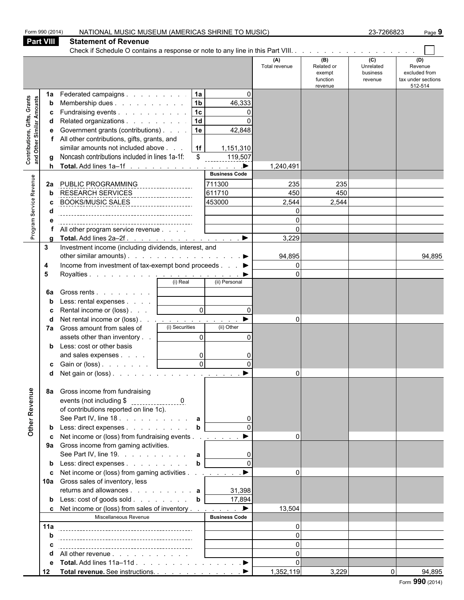|                                                                  | Form 990 (2014)              | NATIONAL MUSIC MUSEUM (AMERICAS SHRINE TO MUSIC)                                                                                                                                                                                                                                                                                                                                                                                   |                                                                 |                                                                                                  |                                               |                                                    | 23-7266823                                         | Page 9                                                           |
|------------------------------------------------------------------|------------------------------|------------------------------------------------------------------------------------------------------------------------------------------------------------------------------------------------------------------------------------------------------------------------------------------------------------------------------------------------------------------------------------------------------------------------------------|-----------------------------------------------------------------|--------------------------------------------------------------------------------------------------|-----------------------------------------------|----------------------------------------------------|----------------------------------------------------|------------------------------------------------------------------|
|                                                                  | <b>Part VIII</b>             | <b>Statement of Revenue</b>                                                                                                                                                                                                                                                                                                                                                                                                        |                                                                 |                                                                                                  |                                               |                                                    |                                                    |                                                                  |
|                                                                  |                              |                                                                                                                                                                                                                                                                                                                                                                                                                                    |                                                                 |                                                                                                  |                                               |                                                    |                                                    |                                                                  |
|                                                                  |                              |                                                                                                                                                                                                                                                                                                                                                                                                                                    |                                                                 |                                                                                                  | (A)<br>Total revenue                          | (B)<br>Related or<br>exempt<br>function<br>revenue | $\overline{c}$<br>Unrelated<br>business<br>revenue | (D)<br>Revenue<br>excluded from<br>tax under sections<br>512-514 |
| <b>Contributions, Gifts, Grants</b><br>and Other Similar Amounts | 1a<br>b<br>c<br>d<br>е<br>h. | Federated campaigns<br>Membership dues<br>Fundraising events<br>Related organizations<br>Government grants (contributions)<br>All other contributions, gifts, grants, and<br>similar amounts not included above<br>Noncash contributions included in lines 1a-1f:<br>Total. Add lines 1a-1f                                                                                                                                        | 1a<br>$\boxed{1b}$<br> 1c <br>1d<br> 1e<br> 1f <br>$\mathbb{S}$ | $\Omega$<br>46,333<br>0<br>42,848<br>1,151,310<br>119,507<br>$\qquad \qquad \blacktriangleright$ | 1,240,491                                     |                                                    |                                                    |                                                                  |
| Program Service Revenue                                          | 2a<br>b                      | PUBLIC PROGRAMMING<br>RESEARCH SERVICES<br>BOOKS/MUSIC_SALES_____________________<br>All other program service revenue                                                                                                                                                                                                                                                                                                             |                                                                 | <b>Business Code</b><br>711300<br>611710<br>453000                                               | 235<br>450<br>2,544<br>0<br>$\Omega$<br>3,229 | 235<br>450<br>2,544                                |                                                    |                                                                  |
|                                                                  | 3<br>4<br>5<br>6a            | Investment income (including dividends, interest, and<br>other similar amounts). $\ldots$ $\ldots$ $\ldots$ $\ldots$ $\ldots$ $\ldots$<br>Income from investment of tax-exempt bond proceeds ▶<br>Gross rents  <br>Less: rental expenses  <br>Rental income or (loss)  <br>Net rental income or (loss) <u>.</u><br>7a Gross amount from sales of<br>assets other than inventory<br>Less: cost or other basis<br>and sales expenses | $\overline{0}$<br>(i) Securities<br>$\Omega$<br>$\overline{0}$  | $\Omega$<br>(ii) Other<br>$\Omega$<br>0                                                          | 94,895<br>$\Omega$<br>$\Omega$<br>$\Omega$    |                                                    |                                                    | 94,895                                                           |
| Other Revenue                                                    | 8а                           | <b>c</b> Gain or (loss) $\ldots$ $\ldots$ $\ldots$<br>Gross income from fundraising<br>of contributions reported on line 1c).                                                                                                                                                                                                                                                                                                      | $\overline{0}$                                                  | $\Omega$                                                                                         | $\Omega$                                      |                                                    |                                                    |                                                                  |
|                                                                  |                              | See Part IV, line 18. $\therefore$ $\therefore$ $\therefore$ $\therefore$ $\therefore$ a<br>Less: direct expenses<br>Net income or (loss) from fundraising events<br>9a Gross income from gaming activities.<br>See Part IV, line 19. $\ldots$ $\ldots$ $\ldots$ $\ldots$ a<br>Less: direct expenses                                                                                                                               | $\mathbf b$<br>b                                                |                                                                                                  | $\Omega$                                      |                                                    |                                                    |                                                                  |
|                                                                  | c                            | Net income or (loss) from gaming activities <u>. ▶</u><br>10a Gross sales of inventory, less<br>returns and allowances $\mathbf{a}$<br>Less: cost of goods sold b<br>Net income or (loss) from sales of inventory ▶                                                                                                                                                                                                                |                                                                 | 31,398<br>17,894                                                                                 | $\Omega$<br>13,504                            |                                                    |                                                    |                                                                  |
|                                                                  |                              | Miscellaneous Revenue                                                                                                                                                                                                                                                                                                                                                                                                              |                                                                 | <b>Business Code</b>                                                                             |                                               |                                                    |                                                    |                                                                  |
|                                                                  | 11a                          |                                                                                                                                                                                                                                                                                                                                                                                                                                    |                                                                 |                                                                                                  | $\Omega$                                      |                                                    |                                                    |                                                                  |
|                                                                  |                              |                                                                                                                                                                                                                                                                                                                                                                                                                                    |                                                                 |                                                                                                  | $\Omega$                                      |                                                    |                                                    |                                                                  |
|                                                                  |                              |                                                                                                                                                                                                                                                                                                                                                                                                                                    |                                                                 |                                                                                                  | $\Omega$                                      |                                                    |                                                    |                                                                  |
|                                                                  |                              | All other revenue                                                                                                                                                                                                                                                                                                                                                                                                                  |                                                                 |                                                                                                  | $\Omega$                                      |                                                    |                                                    |                                                                  |
|                                                                  | е                            | Total. Add lines 11a–11d ▶                                                                                                                                                                                                                                                                                                                                                                                                         |                                                                 |                                                                                                  | $\Omega$                                      |                                                    |                                                    |                                                                  |
|                                                                  | 12                           |                                                                                                                                                                                                                                                                                                                                                                                                                                    |                                                                 |                                                                                                  | 1,352,119                                     | 3,229                                              |                                                    | $\Omega$<br>94,895                                               |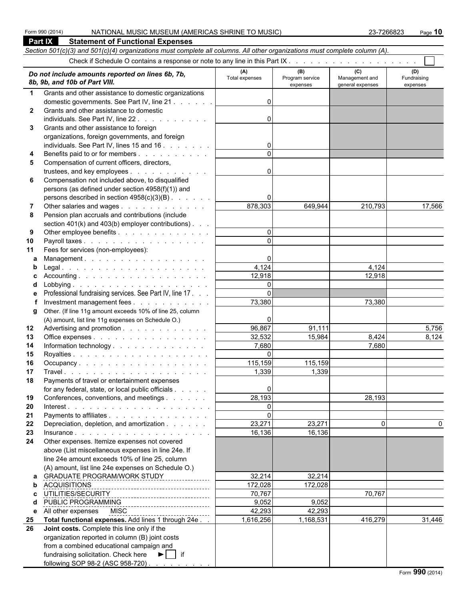|              | <b>Part IX</b><br><b>Statement of Functional Expenses</b>                                                                  |                       |                                    |                                           |                                |  |  |  |  |
|--------------|----------------------------------------------------------------------------------------------------------------------------|-----------------------|------------------------------------|-------------------------------------------|--------------------------------|--|--|--|--|
|              | Section 501(c)(3) and 501(c)(4) organizations must complete all columns. All other organizations must complete column (A). |                       |                                    |                                           |                                |  |  |  |  |
|              |                                                                                                                            |                       |                                    |                                           |                                |  |  |  |  |
|              | Do not include amounts reported on lines 6b, 7b,<br>8b, 9b, and 10b of Part VIII.                                          | (A)<br>Total expenses | (B)<br>Program service<br>expenses | (C)<br>Management and<br>general expenses | (D)<br>Fundraising<br>expenses |  |  |  |  |
| $\mathbf{1}$ | Grants and other assistance to domestic organizations                                                                      |                       |                                    |                                           |                                |  |  |  |  |
|              | domestic governments. See Part IV, line 21                                                                                 | $\Omega$              |                                    |                                           |                                |  |  |  |  |
| $\mathbf{2}$ | Grants and other assistance to domestic                                                                                    |                       |                                    |                                           |                                |  |  |  |  |
|              |                                                                                                                            | $\Omega$              |                                    |                                           |                                |  |  |  |  |
| 3            | Grants and other assistance to foreign                                                                                     |                       |                                    |                                           |                                |  |  |  |  |
|              | organizations, foreign governments, and foreign                                                                            |                       |                                    |                                           |                                |  |  |  |  |
|              | individuals. See Part IV, lines 15 and 16                                                                                  | 0                     |                                    |                                           |                                |  |  |  |  |
| 4            | Benefits paid to or for members                                                                                            |                       |                                    |                                           |                                |  |  |  |  |
| 5            | Compensation of current officers, directors,                                                                               |                       |                                    |                                           |                                |  |  |  |  |
|              | trustees, and key employees                                                                                                | $\Omega$              |                                    |                                           |                                |  |  |  |  |
| 6            | Compensation not included above, to disqualified<br>persons (as defined under section 4958(f)(1)) and                      |                       |                                    |                                           |                                |  |  |  |  |
|              | persons described in section $4958(c)(3)(B)$ .                                                                             | 0                     |                                    |                                           |                                |  |  |  |  |
| 7            | Other salaries and wages                                                                                                   | 878,303               | 649,944                            | 210,793                                   | 17,566                         |  |  |  |  |
| 8            | Pension plan accruals and contributions (include                                                                           |                       |                                    |                                           |                                |  |  |  |  |
|              | section 401(k) and 403(b) employer contributions).                                                                         |                       |                                    |                                           |                                |  |  |  |  |
| 9            | Other employee benefits                                                                                                    | $\Omega$              |                                    |                                           |                                |  |  |  |  |
| 10           | Payroll taxes                                                                                                              | $\Omega$              |                                    |                                           |                                |  |  |  |  |
| 11           | Fees for services (non-employees):                                                                                         |                       |                                    |                                           |                                |  |  |  |  |
| a            | Management.                                                                                                                | 0                     |                                    |                                           |                                |  |  |  |  |
| b            |                                                                                                                            | 4,124                 |                                    | 4,124                                     |                                |  |  |  |  |
| C.           |                                                                                                                            | 12,918                |                                    | 12,918                                    |                                |  |  |  |  |
| d            |                                                                                                                            | $\mathbf{0}$          |                                    |                                           |                                |  |  |  |  |
| е            | Professional fundraising services. See Part IV, line 17                                                                    | $\Omega$              |                                    |                                           |                                |  |  |  |  |
|              | Investment management fees                                                                                                 | 73,380                |                                    | 73,380                                    |                                |  |  |  |  |
| g            | Other. (If line 11g amount exceeds 10% of line 25, column                                                                  |                       |                                    |                                           |                                |  |  |  |  |
|              | (A) amount, list line 11g expenses on Schedule O.)                                                                         | 0                     |                                    |                                           |                                |  |  |  |  |
| 12           | Advertising and promotion                                                                                                  | 96,867                | 91,111                             |                                           | 5,756                          |  |  |  |  |
| 13           | Office expenses                                                                                                            | 32,532                | 15,984                             | 8,424                                     | 8,124                          |  |  |  |  |
| 14           | Information technology.                                                                                                    | 7,680                 |                                    | 7,680                                     |                                |  |  |  |  |
| 15           |                                                                                                                            | $\Omega$              |                                    |                                           |                                |  |  |  |  |
| 16           | Occupancy                                                                                                                  | 115,159               | 115,159                            |                                           |                                |  |  |  |  |
| 17<br>18     |                                                                                                                            | 1,339                 | 1,339                              |                                           |                                |  |  |  |  |
|              | Payments of travel or entertainment expenses<br>for any federal, state, or local public officials                          | 0                     |                                    |                                           |                                |  |  |  |  |
| 19           | Conferences, conventions, and meetings                                                                                     | 28,193                |                                    | 28,193                                    |                                |  |  |  |  |
| 20           |                                                                                                                            | $\Omega$              |                                    |                                           |                                |  |  |  |  |
| 21           | Payments to affiliates                                                                                                     | $\Omega$              |                                    |                                           |                                |  |  |  |  |
| 22           | Depreciation, depletion, and amortization                                                                                  | 23,271                | 23,271                             | 0                                         | 0                              |  |  |  |  |
| 23           |                                                                                                                            | 16,136                | 16,136                             |                                           |                                |  |  |  |  |
| 24           | Other expenses. Itemize expenses not covered                                                                               |                       |                                    |                                           |                                |  |  |  |  |
|              | above (List miscellaneous expenses in line 24e. If                                                                         |                       |                                    |                                           |                                |  |  |  |  |
|              | line 24e amount exceeds 10% of line 25, column                                                                             |                       |                                    |                                           |                                |  |  |  |  |
|              | (A) amount, list line 24e expenses on Schedule O.)                                                                         |                       |                                    |                                           |                                |  |  |  |  |
| a            | GRADUATE PROGRAM/WORK STUDY                                                                                                | 32,214                | 32,214                             |                                           |                                |  |  |  |  |
| b            | <b>ACQUISITIONS</b><br>-------------------------------------                                                               | 172,028               | 172,028                            |                                           |                                |  |  |  |  |
| c.           | UTILITIES/SECURITY                                                                                                         | 70,767                |                                    | 70,767                                    |                                |  |  |  |  |
| d            | PUBLIC PROGRAMMING                                                                                                         | 9,052                 | 9,052                              |                                           |                                |  |  |  |  |
|              | e All other expenses<br><b>MISC</b>                                                                                        | 42,293                | 42,293                             |                                           |                                |  |  |  |  |
| 25           | Total functional expenses. Add lines 1 through 24e                                                                         | 1,616,256             | 1,168,531                          | 416,279                                   | 31,446                         |  |  |  |  |
| 26           | Joint costs. Complete this line only if the                                                                                |                       |                                    |                                           |                                |  |  |  |  |
|              | organization reported in column (B) joint costs<br>from a combined educational campaign and                                |                       |                                    |                                           |                                |  |  |  |  |
|              | fundraising solicitation. Check here $\blacktriangleright$   if                                                            |                       |                                    |                                           |                                |  |  |  |  |
|              | following SOP 98-2 (ASC 958-720)                                                                                           |                       |                                    |                                           |                                |  |  |  |  |
|              |                                                                                                                            |                       |                                    |                                           |                                |  |  |  |  |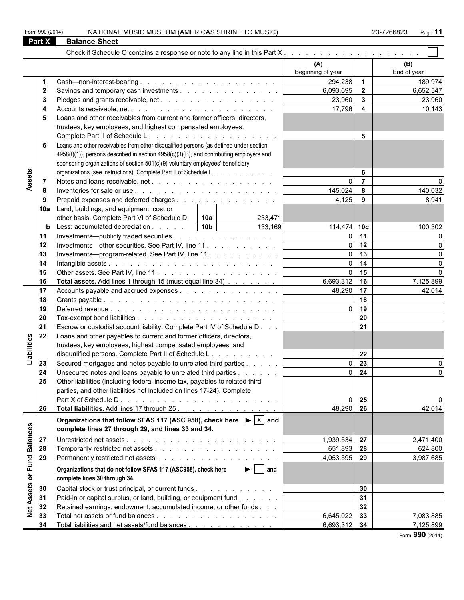|                 | Form 990 (2014) | NATIONAL MUSIC MUSEUM (AMERICAS SHRINE TO MUSIC)                                                  |                 |                             |                   |                         | 23-7266823<br>Page 11 |
|-----------------|-----------------|---------------------------------------------------------------------------------------------------|-----------------|-----------------------------|-------------------|-------------------------|-----------------------|
|                 | Part X          | <b>Balance Sheet</b>                                                                              |                 |                             |                   |                         |                       |
|                 |                 |                                                                                                   |                 |                             |                   |                         |                       |
|                 |                 |                                                                                                   |                 |                             | (A)               |                         | (B)                   |
|                 |                 |                                                                                                   |                 |                             | Beginning of year |                         | End of year           |
|                 |                 |                                                                                                   |                 |                             | 294,238 1         |                         | 189,974               |
|                 | $\mathbf{2}$    |                                                                                                   |                 |                             | 6,093,695         | $\overline{\mathbf{2}}$ | 6,652,547             |
|                 | 3               |                                                                                                   |                 |                             | 23,960            | $\overline{\mathbf{3}}$ | 23,960                |
|                 |                 |                                                                                                   |                 |                             | 17,796            | $\overline{\mathbf{4}}$ | 10,143                |
|                 | 5               | Loans and other receivables from current and former officers, directors,                          |                 |                             |                   |                         |                       |
|                 |                 | trustees, key employees, and highest compensated employees.                                       |                 |                             |                   |                         |                       |
|                 |                 |                                                                                                   |                 |                             |                   | 5                       |                       |
|                 | 6               | Loans and other receivables from other disqualified persons (as defined under section             |                 |                             |                   |                         |                       |
|                 |                 | 4958(f)(1)), persons described in section 4958(c)(3)(B), and contributing employers and           |                 |                             |                   |                         |                       |
|                 |                 | sponsoring organizations of section 501(c)(9) voluntary employees' beneficiary                    |                 |                             |                   |                         |                       |
|                 |                 | organizations (see instructions). Complete Part II of Schedule L.                                 |                 |                             |                   | 6                       |                       |
| Assets          | $\overline{7}$  |                                                                                                   |                 |                             | $\Omega$          | $\overline{7}$          |                       |
|                 | 8               |                                                                                                   |                 |                             | 145,024           | 8                       | 140,032               |
|                 | 9               | Prepaid expenses and deferred charges                                                             |                 |                             | 4,125             | 9                       | 8,941                 |
|                 | 10a             | Land, buildings, and equipment: cost or                                                           |                 |                             |                   |                         |                       |
|                 |                 | other basis. Complete Part VI of Schedule D                                                       | 10a             | 233,471                     |                   |                         |                       |
|                 | b               | Less: accumulated depreciation                                                                    | 10 <sub>b</sub> | 133,169                     | 114,474 10c       |                         | 100,302               |
|                 | 11              | Investments—publicly traded securities                                                            |                 |                             | $\Omega$          | 11                      | ∩                     |
|                 | 12              | Investments—other securities. See Part IV, line 11.                                               |                 |                             | ΩI                | 12                      |                       |
|                 | 13              | Investments---program-related. See Part IV, line 11                                               |                 |                             | ΩI                | 13                      |                       |
|                 | 14              |                                                                                                   |                 |                             | $\Omega$          | 14                      | $\Omega$              |
|                 | 15              |                                                                                                   |                 |                             | ΩI                | 15                      |                       |
|                 | 16              | Total assets. Add lines 1 through 15 (must equal line 34)                                         |                 |                             | 6,693,312         | 16                      | 7,125,899             |
|                 | 17              | Accounts payable and accrued expenses                                                             |                 |                             | 48,290            | 17                      | 42,014                |
|                 | 18              |                                                                                                   |                 |                             |                   | 18                      |                       |
|                 | 19              |                                                                                                   |                 |                             | $\Omega$          | 19                      |                       |
|                 | 20              |                                                                                                   |                 |                             |                   | 20                      |                       |
|                 | 21              | Escrow or custodial account liability. Complete Part IV of Schedule D                             |                 |                             |                   | 21                      |                       |
|                 | 22              | Loans and other payables to current and former officers, directors,                               |                 |                             |                   |                         |                       |
|                 |                 | trustees, key employees, highest compensated employees, and                                       |                 |                             |                   |                         |                       |
| Liabilities     |                 | disqualified persons. Complete Part II of Schedule L.                                             |                 |                             |                   | 22                      |                       |
|                 | 23              | Secured mortgages and notes payable to unrelated third parties                                    |                 |                             | $\Omega$          | $\overline{23}$         | n                     |
|                 | 24              | Unsecured notes and loans payable to unrelated third parties                                      |                 |                             |                   | $0\quad 24$             | 0                     |
|                 | 25              | Other liabilities (including federal income tax, payables to related third                        |                 |                             |                   |                         |                       |
|                 |                 | parties, and other liabilities not included on lines 17-24). Complete                             |                 |                             |                   |                         |                       |
|                 |                 |                                                                                                   |                 |                             | $\Omega$          | 25                      |                       |
|                 | 26              | Total liabilities. Add lines 17 through 25.                                                       |                 |                             | 48,290            | 26                      | 42,014                |
|                 |                 | Organizations that follow SFAS 117 (ASC 958), check here $\blacktriangleright  \overline{X} $ and |                 |                             |                   |                         |                       |
| <b>Balances</b> |                 | complete lines 27 through 29, and lines 33 and 34.                                                |                 |                             |                   |                         |                       |
|                 | 27              |                                                                                                   |                 |                             | 1,939,534 27      |                         | 2,471,400             |
|                 | 28              |                                                                                                   |                 |                             | 651,893 28        |                         | 624,800               |
|                 | 29              |                                                                                                   |                 |                             | 4,053,595 29      |                         | 3,987,685             |
| or Fund         |                 | Organizations that do not follow SFAS 117 (ASC958), check here                                    |                 | $\blacktriangleright$   and |                   |                         |                       |
|                 |                 | complete lines 30 through 34.                                                                     |                 |                             |                   |                         |                       |
| Assets          | 30              | Capital stock or trust principal, or current funds                                                |                 |                             |                   | 30                      |                       |
|                 | 31              | Paid-in or capital surplus, or land, building, or equipment fund                                  |                 |                             |                   | 31                      |                       |
|                 | 32              | Retained earnings, endowment, accumulated income, or other funds                                  |                 |                             |                   | 32                      |                       |
| $\frac{1}{2}$   | 33              |                                                                                                   |                 |                             | 6,645,022         | 33                      | 7,083,885             |
|                 | 34              | Total liabilities and net assets/fund balances                                                    |                 |                             | 6,693,312 34      |                         | 7,125,899             |

Form **990** (2014)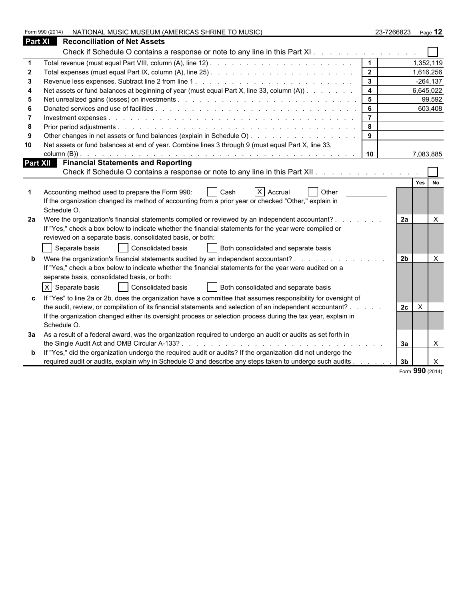|    | Form 990 (2014)<br>NATIONAL MUSIC MUSEUM (AMERICAS SHRINE TO MUSIC)                                                                                                                                                                                                                                                                                       |                | 23-7266823     | Page 12      |
|----|-----------------------------------------------------------------------------------------------------------------------------------------------------------------------------------------------------------------------------------------------------------------------------------------------------------------------------------------------------------|----------------|----------------|--------------|
|    | <b>Part XI</b><br><b>Reconciliation of Net Assets</b>                                                                                                                                                                                                                                                                                                     |                |                |              |
|    | Check if Schedule O contains a response or note to any line in this Part XI.                                                                                                                                                                                                                                                                              |                |                |              |
|    |                                                                                                                                                                                                                                                                                                                                                           | $\mathbf 1$    |                | 1,352,119    |
| 2  |                                                                                                                                                                                                                                                                                                                                                           | $\overline{2}$ |                | 1,616,256    |
| 3  |                                                                                                                                                                                                                                                                                                                                                           | $\mathbf{3}$   |                | $-264, 137$  |
|    | Net assets or fund balances at beginning of year (must equal Part X, line 33, column (A))                                                                                                                                                                                                                                                                 | 4              |                | 6,645,022    |
| 5  |                                                                                                                                                                                                                                                                                                                                                           | 5 <sup>5</sup> |                | 99,592       |
|    |                                                                                                                                                                                                                                                                                                                                                           | 6              |                | 603,408      |
|    |                                                                                                                                                                                                                                                                                                                                                           | $\overline{7}$ |                |              |
| 8  |                                                                                                                                                                                                                                                                                                                                                           | 8              |                |              |
| -9 | Other changes in net assets or fund balances (explain in Schedule O)                                                                                                                                                                                                                                                                                      | 9              |                |              |
| 10 | Net assets or fund balances at end of year. Combine lines 3 through 9 (must equal Part X, line 33,                                                                                                                                                                                                                                                        |                |                |              |
|    |                                                                                                                                                                                                                                                                                                                                                           | 10             |                | 7,083,885    |
|    | Part XII Financial Statements and Reporting<br>Check if Schedule O contains a response or note to any line in this Part XII.                                                                                                                                                                                                                              |                |                |              |
|    | $X$ Accrual<br>Accounting method used to prepare the Form 990:<br>Other<br>Cash<br>If the organization changed its method of accounting from a prior year or checked "Other," explain in<br>Schedule O.                                                                                                                                                   |                | Yes            | <b>No</b>    |
| 2a | Were the organization's financial statements compiled or reviewed by an independent accountant? .<br>If "Yes," check a box below to indicate whether the financial statements for the year were compiled or<br>reviewed on a separate basis, consolidated basis, or both:<br>Consolidated basis<br>Separate basis<br>Both consolidated and separate basis |                | 2a             | X            |
|    | Were the organization's financial statements audited by an independent accountant?<br>If "Yes," check a box below to indicate whether the financial statements for the year were audited on a<br>separate basis, consolidated basis, or both:                                                                                                             |                | 2 <sub>b</sub> | $\times$     |
|    | $X$ Separate basis<br>Consolidated basis<br>Both consolidated and separate basis                                                                                                                                                                                                                                                                          |                |                |              |
|    | If "Yes" to line 2a or 2b, does the organization have a committee that assumes responsibility for oversight of                                                                                                                                                                                                                                            |                |                |              |
|    | the audit, review, or compilation of its financial statements and selection of an independent accountant? .                                                                                                                                                                                                                                               |                | 2c<br>$\times$ |              |
|    | If the organization changed either its oversight process or selection process during the tax year, explain in<br>Schedule O.                                                                                                                                                                                                                              |                |                |              |
| За | As a result of a federal award, was the organization required to undergo an audit or audits as set forth in                                                                                                                                                                                                                                               |                | За             | $\times$     |
|    | If "Yes," did the organization undergo the required audit or audits? If the organization did not undergo the                                                                                                                                                                                                                                              |                |                |              |
|    | required audit or audits, explain why in Schedule O and describe any steps taken to undergo such audits                                                                                                                                                                                                                                                   |                | 3 <sub>b</sub> | $\mathsf{X}$ |

|  |  | Form 990 (2014) |
|--|--|-----------------|
|--|--|-----------------|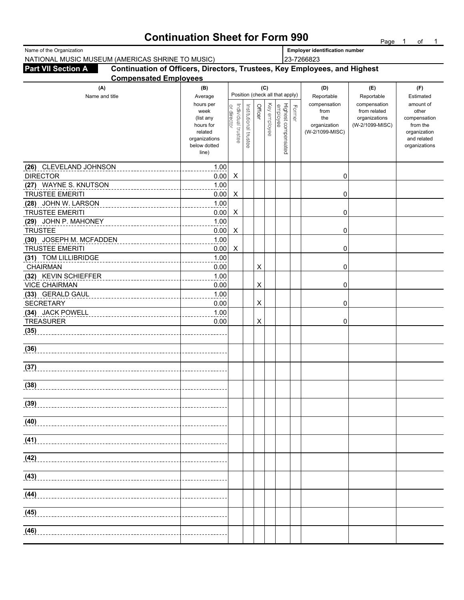### **Continuation Sheet for Form 990** Page 1 of 1

| Name of the Organization                                                                               |                       |                                   |                       |                |              |                                           | <b>Employer identification number</b> |                                 |                              |                          |  |
|--------------------------------------------------------------------------------------------------------|-----------------------|-----------------------------------|-----------------------|----------------|--------------|-------------------------------------------|---------------------------------------|---------------------------------|------------------------------|--------------------------|--|
| NATIONAL MUSIC MUSEUM (AMERICAS SHRINE TO MUSIC)                                                       |                       |                                   |                       |                |              |                                           | 23-7266823                            |                                 |                              |                          |  |
| Continuation of Officers, Directors, Trustees, Key Employees, and Highest<br><b>Part VII Section A</b> |                       |                                   |                       |                |              |                                           |                                       |                                 |                              |                          |  |
| <b>Compensated Employees</b>                                                                           |                       |                                   |                       |                |              |                                           |                                       |                                 |                              |                          |  |
| (A)                                                                                                    | (B)                   |                                   |                       |                | (C)          | Position (check all that apply)           |                                       | (D)                             | (E)                          | (F)                      |  |
| Name and title                                                                                         | Average<br>hours per  |                                   |                       |                |              |                                           |                                       | Reportable                      | Reportable                   | Estimated<br>amount of   |  |
|                                                                                                        | week                  | or director<br>Individual trustee | Institutional trustee | Officer        | Key employee | Former<br>Highest compensated<br>employee |                                       | compensation<br>from            | compensation<br>from related | other                    |  |
|                                                                                                        | (list any             |                                   |                       |                |              |                                           |                                       | the                             | organizations                | compensation             |  |
|                                                                                                        | hours for<br>related  |                                   |                       |                |              |                                           |                                       | organization<br>(W-2/1099-MISC) | (W-2/1099-MISC)              | from the<br>organization |  |
|                                                                                                        | organizations         |                                   |                       |                |              |                                           |                                       |                                 |                              | and related              |  |
|                                                                                                        | below dotted<br>line) |                                   |                       |                |              |                                           |                                       |                                 |                              | organizations            |  |
|                                                                                                        |                       |                                   |                       |                |              |                                           |                                       |                                 |                              |                          |  |
| (26) CLEVELAND JOHNSON                                                                                 | 1.00                  |                                   |                       |                |              |                                           |                                       |                                 |                              |                          |  |
| <b>DIRECTOR</b>                                                                                        | 0.00                  | X                                 |                       |                |              |                                           |                                       | 0                               |                              |                          |  |
| (27) WAYNE S. KNUTSON                                                                                  | 1.00                  |                                   |                       |                |              |                                           |                                       |                                 |                              |                          |  |
| <b>TRUSTEE EMERITI</b>                                                                                 | 0.00                  | X                                 |                       |                |              |                                           |                                       | 0                               |                              |                          |  |
| (28) JOHN W. LARSON<br><b>TRUSTEE EMERITI</b>                                                          | 1.00                  |                                   |                       |                |              |                                           |                                       |                                 |                              |                          |  |
| (29) JOHN P. MAHONEY                                                                                   | 0.00<br>1.00          | X                                 |                       |                |              |                                           |                                       | 0                               |                              |                          |  |
| <b>TRUSTEE</b>                                                                                         | 0.00                  | X                                 |                       |                |              |                                           |                                       | 0                               |                              |                          |  |
| (30) JOSEPH M. MCFADDEN                                                                                | 1.00                  |                                   |                       |                |              |                                           |                                       |                                 |                              |                          |  |
| <b>TRUSTEE EMERITI</b>                                                                                 | 0.00                  | X                                 |                       |                |              |                                           |                                       | 0                               |                              |                          |  |
| (31) TOM LILLIBRIDGE                                                                                   | 1.00                  |                                   |                       |                |              |                                           |                                       |                                 |                              |                          |  |
| <b>CHAIRMAN</b>                                                                                        | 0.00                  |                                   |                       | $\pmb{\times}$ |              |                                           |                                       | 0                               |                              |                          |  |
| (32) KEVIN SCHIEFFER                                                                                   | 1.00                  |                                   |                       |                |              |                                           |                                       |                                 |                              |                          |  |
| <b>VICE CHAIRMAN</b>                                                                                   | 0.00                  |                                   |                       | X              |              |                                           |                                       | 0                               |                              |                          |  |
| (33) GERALD GAUL                                                                                       | 1.00                  |                                   |                       |                |              |                                           |                                       |                                 |                              |                          |  |
| <b>SECRETARY</b>                                                                                       | 0.00                  |                                   |                       | $\times$       |              |                                           |                                       | 0                               |                              |                          |  |
| (34) JACK POWELL<br><b>TREASURER</b>                                                                   | 1.00<br>0.00          |                                   |                       | $\times$       |              |                                           |                                       | 0                               |                              |                          |  |
| (35)                                                                                                   |                       |                                   |                       |                |              |                                           |                                       |                                 |                              |                          |  |
|                                                                                                        |                       |                                   |                       |                |              |                                           |                                       |                                 |                              |                          |  |
| (36)                                                                                                   |                       |                                   |                       |                |              |                                           |                                       |                                 |                              |                          |  |
|                                                                                                        |                       |                                   |                       |                |              |                                           |                                       |                                 |                              |                          |  |
| (37)                                                                                                   |                       |                                   |                       |                |              |                                           |                                       |                                 |                              |                          |  |
|                                                                                                        |                       |                                   |                       |                |              |                                           |                                       |                                 |                              |                          |  |
| (38)                                                                                                   |                       |                                   |                       |                |              |                                           |                                       |                                 |                              |                          |  |
|                                                                                                        |                       |                                   |                       |                |              |                                           |                                       |                                 |                              |                          |  |
| (39)                                                                                                   |                       |                                   |                       |                |              |                                           |                                       |                                 |                              |                          |  |
| (40)                                                                                                   |                       |                                   |                       |                |              |                                           |                                       |                                 |                              |                          |  |
|                                                                                                        |                       |                                   |                       |                |              |                                           |                                       |                                 |                              |                          |  |
| (41)                                                                                                   |                       |                                   |                       |                |              |                                           |                                       |                                 |                              |                          |  |
|                                                                                                        |                       |                                   |                       |                |              |                                           |                                       |                                 |                              |                          |  |
| (42)                                                                                                   |                       |                                   |                       |                |              |                                           |                                       |                                 |                              |                          |  |
|                                                                                                        |                       |                                   |                       |                |              |                                           |                                       |                                 |                              |                          |  |
| (43)                                                                                                   |                       |                                   |                       |                |              |                                           |                                       |                                 |                              |                          |  |
|                                                                                                        |                       |                                   |                       |                |              |                                           |                                       |                                 |                              |                          |  |
| (44)                                                                                                   |                       |                                   |                       |                |              |                                           |                                       |                                 |                              |                          |  |
| (45)                                                                                                   |                       |                                   |                       |                |              |                                           |                                       |                                 |                              |                          |  |
|                                                                                                        |                       |                                   |                       |                |              |                                           |                                       |                                 |                              |                          |  |
| (46)                                                                                                   |                       |                                   |                       |                |              |                                           |                                       |                                 |                              |                          |  |
|                                                                                                        |                       |                                   |                       |                |              |                                           |                                       |                                 |                              |                          |  |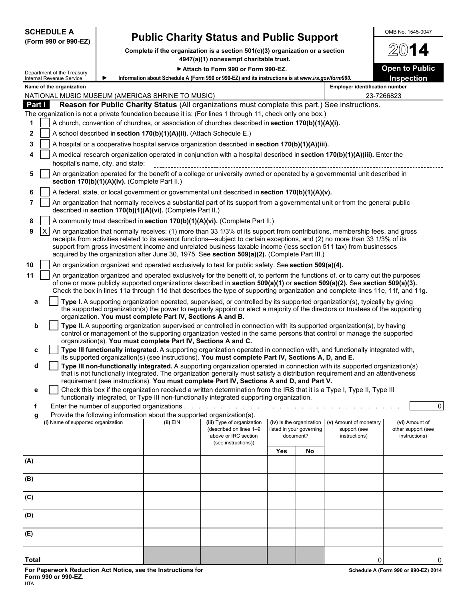|                | <b>SCHEDULE A</b>                                    |                                               |                                                                                      | <b>Public Charity Status and Public Support</b>                                                                                                                                                                                                                                                                                                                                                                                                                                  |     |                                       |                                       |            | OMB No. 1545-0047                          |
|----------------|------------------------------------------------------|-----------------------------------------------|--------------------------------------------------------------------------------------|----------------------------------------------------------------------------------------------------------------------------------------------------------------------------------------------------------------------------------------------------------------------------------------------------------------------------------------------------------------------------------------------------------------------------------------------------------------------------------|-----|---------------------------------------|---------------------------------------|------------|--------------------------------------------|
|                | (Form 990 or 990-EZ)                                 |                                               |                                                                                      | Complete if the organization is a section 501(c)(3) organization or a section                                                                                                                                                                                                                                                                                                                                                                                                    |     |                                       |                                       |            | 14                                         |
|                |                                                      |                                               |                                                                                      | 4947(a)(1) nonexempt charitable trust.                                                                                                                                                                                                                                                                                                                                                                                                                                           |     |                                       |                                       |            |                                            |
|                | Department of the Treasury                           |                                               |                                                                                      | Attach to Form 990 or Form 990-EZ.<br>Information about Schedule A (Form 990 or 990-EZ) and its instructions is at www.irs.gov/form990.                                                                                                                                                                                                                                                                                                                                          |     |                                       |                                       |            | <b>Open to Public</b><br><b>Inspection</b> |
|                | Internal Revenue Service<br>Name of the organization |                                               |                                                                                      |                                                                                                                                                                                                                                                                                                                                                                                                                                                                                  |     |                                       | <b>Employer identification number</b> |            |                                            |
|                |                                                      |                                               | NATIONAL MUSIC MUSEUM (AMERICAS SHRINE TO MUSIC)                                     |                                                                                                                                                                                                                                                                                                                                                                                                                                                                                  |     |                                       |                                       | 23-7266823 |                                            |
| Part I         |                                                      |                                               |                                                                                      | Reason for Public Charity Status (All organizations must complete this part.) See instructions.                                                                                                                                                                                                                                                                                                                                                                                  |     |                                       |                                       |            |                                            |
|                |                                                      |                                               |                                                                                      | The organization is not a private foundation because it is: (For lines 1 through 11, check only one box.)                                                                                                                                                                                                                                                                                                                                                                        |     |                                       |                                       |            |                                            |
| 1              |                                                      |                                               |                                                                                      | A church, convention of churches, or association of churches described in section 170(b)(1)(A)(i).                                                                                                                                                                                                                                                                                                                                                                               |     |                                       |                                       |            |                                            |
| $\mathbf{2}$   |                                                      |                                               | A school described in section 170(b)(1)(A)(ii). (Attach Schedule E.)                 |                                                                                                                                                                                                                                                                                                                                                                                                                                                                                  |     |                                       |                                       |            |                                            |
| 3              |                                                      |                                               |                                                                                      | A hospital or a cooperative hospital service organization described in section 170(b)(1)(A)(iii).                                                                                                                                                                                                                                                                                                                                                                                |     |                                       |                                       |            |                                            |
| 4              |                                                      | hospital's name, city, and state:             |                                                                                      | A medical research organization operated in conjunction with a hospital described in section 170(b)(1)(A)(iii). Enter the                                                                                                                                                                                                                                                                                                                                                        |     |                                       |                                       |            |                                            |
| 5              |                                                      | section 170(b)(1)(A)(iv). (Complete Part II.) |                                                                                      | An organization operated for the benefit of a college or university owned or operated by a governmental unit described in                                                                                                                                                                                                                                                                                                                                                        |     |                                       |                                       |            |                                            |
| 6              |                                                      |                                               |                                                                                      | A federal, state, or local government or governmental unit described in section 170(b)(1)(A)(v).                                                                                                                                                                                                                                                                                                                                                                                 |     |                                       |                                       |            |                                            |
| $\overline{7}$ |                                                      |                                               | described in section 170(b)(1)(A)(vi). (Complete Part II.)                           | An organization that normally receives a substantial part of its support from a governmental unit or from the general public                                                                                                                                                                                                                                                                                                                                                     |     |                                       |                                       |            |                                            |
| 8              |                                                      |                                               |                                                                                      | A community trust described in section 170(b)(1)(A)(vi). (Complete Part II.)                                                                                                                                                                                                                                                                                                                                                                                                     |     |                                       |                                       |            |                                            |
| 9              | X                                                    |                                               |                                                                                      | An organization that normally receives: (1) more than 33 1/3% of its support from contributions, membership fees, and gross<br>receipts from activities related to its exempt functions—subject to certain exceptions, and (2) no more than 33 1/3% of its<br>support from gross investment income and unrelated business taxable income (less section 511 tax) from businesses<br>acquired by the organization after June 30, 1975. See section 509(a)(2). (Complete Part III.) |     |                                       |                                       |            |                                            |
| 10             |                                                      |                                               |                                                                                      | An organization organized and operated exclusively to test for public safety. See section 509(a)(4).                                                                                                                                                                                                                                                                                                                                                                             |     |                                       |                                       |            |                                            |
| 11             |                                                      |                                               |                                                                                      | An organization organized and operated exclusively for the benefit of, to perform the functions of, or to carry out the purposes<br>of one or more publicly supported organizations described in section 509(a)(1) or section 509(a)(2). See section 509(a)(3).<br>Check the box in lines 11a through 11d that describes the type of supporting organization and complete lines 11e, 11f, and 11g.                                                                               |     |                                       |                                       |            |                                            |
| a              |                                                      |                                               | organization. You must complete Part IV, Sections A and B.                           | Type I. A supporting organization operated, supervised, or controlled by its supported organization(s), typically by giving<br>the supported organization(s) the power to regularly appoint or elect a majority of the directors or trustees of the supporting                                                                                                                                                                                                                   |     |                                       |                                       |            |                                            |
| b              |                                                      |                                               |                                                                                      | Type II. A supporting organization supervised or controlled in connection with its supported organization(s), by having<br>control or management of the supporting organization vested in the same persons that control or manage the supported                                                                                                                                                                                                                                  |     |                                       |                                       |            |                                            |
| c              |                                                      |                                               | organization(s). You must complete Part IV, Sections A and C.                        | Type III functionally integrated. A supporting organization operated in connection with, and functionally integrated with,<br>its supported organization(s) (see instructions). You must complete Part IV, Sections A, D, and E.                                                                                                                                                                                                                                                 |     |                                       |                                       |            |                                            |
| d              |                                                      |                                               |                                                                                      | Type III non-functionally integrated. A supporting organization operated in connection with its supported organization(s)<br>that is not functionally integrated. The organization generally must satisfy a distribution requirement and an attentiveness<br>requirement (see instructions). You must complete Part IV, Sections A and D, and Part V.                                                                                                                            |     |                                       |                                       |            |                                            |
| е              |                                                      |                                               |                                                                                      | Check this box if the organization received a written determination from the IRS that it is a Type I, Type II, Type III<br>functionally integrated, or Type III non-functionally integrated supporting organization.                                                                                                                                                                                                                                                             |     |                                       |                                       |            |                                            |
|                |                                                      |                                               |                                                                                      |                                                                                                                                                                                                                                                                                                                                                                                                                                                                                  |     |                                       |                                       |            | $\Omega$                                   |
|                | (i) Name of supported organization                   |                                               | Provide the following information about the supported organization(s).<br>$(ii)$ EIN | (iii) Type of organization                                                                                                                                                                                                                                                                                                                                                                                                                                                       |     | (iv) Is the organization              | (v) Amount of monetary                |            | (vi) Amount of                             |
|                |                                                      |                                               |                                                                                      | (described on lines 1-9<br>above or IRC section                                                                                                                                                                                                                                                                                                                                                                                                                                  |     | listed in your governing<br>document? | support (see<br>instructions)         |            | other support (see<br>instructions)        |
|                |                                                      |                                               |                                                                                      | (see instructions))                                                                                                                                                                                                                                                                                                                                                                                                                                                              | Yes | No                                    |                                       |            |                                            |
| (A)            |                                                      |                                               |                                                                                      |                                                                                                                                                                                                                                                                                                                                                                                                                                                                                  |     |                                       |                                       |            |                                            |
| (B)            |                                                      |                                               |                                                                                      |                                                                                                                                                                                                                                                                                                                                                                                                                                                                                  |     |                                       |                                       |            |                                            |
| (C)            |                                                      |                                               |                                                                                      |                                                                                                                                                                                                                                                                                                                                                                                                                                                                                  |     |                                       |                                       |            |                                            |
| (D)            |                                                      |                                               |                                                                                      |                                                                                                                                                                                                                                                                                                                                                                                                                                                                                  |     |                                       |                                       |            |                                            |
| (E)            |                                                      |                                               |                                                                                      |                                                                                                                                                                                                                                                                                                                                                                                                                                                                                  |     |                                       |                                       |            |                                            |
| Total          |                                                      |                                               |                                                                                      |                                                                                                                                                                                                                                                                                                                                                                                                                                                                                  |     |                                       |                                       | 0          |                                            |
|                |                                                      |                                               |                                                                                      |                                                                                                                                                                                                                                                                                                                                                                                                                                                                                  |     |                                       |                                       |            |                                            |

**For Paperwork Reduction Act Notice, see the Instructions for Schedule A (Form 990 or 990-EZ) 2014 Form 990 or 990-EZ.** HTA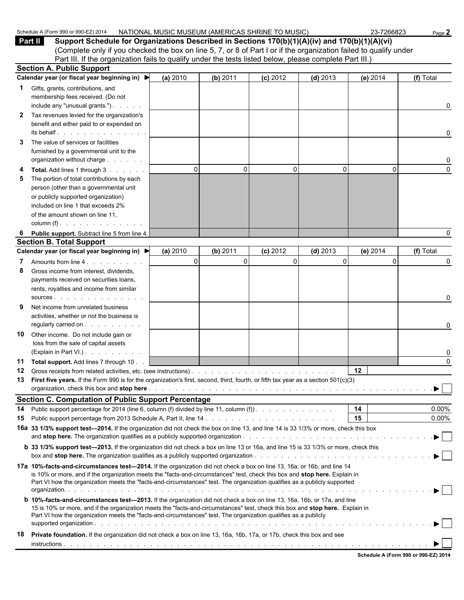|              | Part II<br>Support Schedule for Organizations Described in Sections 170(b)(1)(A)(iv) and 170(b)(1)(A)(vi)                                                                                                                                                                                                                                                                          |             |          |             |              |          |                      |  |  |
|--------------|------------------------------------------------------------------------------------------------------------------------------------------------------------------------------------------------------------------------------------------------------------------------------------------------------------------------------------------------------------------------------------|-------------|----------|-------------|--------------|----------|----------------------|--|--|
|              | (Complete only if you checked the box on line 5, 7, or 8 of Part I or if the organization failed to qualify under<br>Part III. If the organization fails to qualify under the tests listed below, please complete Part III.)                                                                                                                                                       |             |          |             |              |          |                      |  |  |
|              | <b>Section A. Public Support</b>                                                                                                                                                                                                                                                                                                                                                   |             |          |             |              |          |                      |  |  |
|              | Calendar year (or fiscal year beginning in) $\blacktriangleright$                                                                                                                                                                                                                                                                                                                  | (a) 2010    | (b) 2011 | (c) 2012    | $(d)$ 2013   | (e) 2014 | (f) Total            |  |  |
| 1.           | Gifts, grants, contributions, and                                                                                                                                                                                                                                                                                                                                                  |             |          |             |              |          |                      |  |  |
|              | membership fees received. (Do not<br>include any "unusual grants.")                                                                                                                                                                                                                                                                                                                |             |          |             |              |          | 0                    |  |  |
| $\mathbf{2}$ | Tax revenues levied for the organization's                                                                                                                                                                                                                                                                                                                                         |             |          |             |              |          |                      |  |  |
|              | benefit and either paid to or expended on<br>its behalf entitled and the set of the set of the set of the set of the set of the set of the set of the set of the set of the set of the set of the set of the set of the set of the set of the set of the set of the set of                                                                                                         |             |          |             |              |          | 0                    |  |  |
| 3            | The value of services or facilities                                                                                                                                                                                                                                                                                                                                                |             |          |             |              |          |                      |  |  |
|              | furnished by a governmental unit to the<br>organization without charge                                                                                                                                                                                                                                                                                                             |             |          |             |              |          | 0                    |  |  |
|              | Total. Add lines 1 through 3                                                                                                                                                                                                                                                                                                                                                       | $\mathbf 0$ | $\Omega$ | $\mathbf 0$ | $\mathbf{0}$ | $\Omega$ | $\Omega$             |  |  |
| 5            | The portion of total contributions by each<br>person (other than a governmental unit                                                                                                                                                                                                                                                                                               |             |          |             |              |          |                      |  |  |
|              | or publicly supported organization)                                                                                                                                                                                                                                                                                                                                                |             |          |             |              |          |                      |  |  |
|              | included on line 1 that exceeds 2%                                                                                                                                                                                                                                                                                                                                                 |             |          |             |              |          |                      |  |  |
|              | of the amount shown on line 11.<br>column $(f)$ . $\ldots$ . $\ldots$ .                                                                                                                                                                                                                                                                                                            |             |          |             |              |          |                      |  |  |
| 6            | Public support. Subtract line 5 from line 4.                                                                                                                                                                                                                                                                                                                                       |             |          |             |              |          | 0                    |  |  |
|              | <b>Section B. Total Support</b>                                                                                                                                                                                                                                                                                                                                                    |             |          |             |              |          |                      |  |  |
|              | Calendar year (or fiscal year beginning in) ▶                                                                                                                                                                                                                                                                                                                                      | (a) 2010    | (b) 2011 | $(c)$ 2012  | $(d)$ 2013   | (e) 2014 | (f) Total            |  |  |
|              | Amounts from line 4.                                                                                                                                                                                                                                                                                                                                                               | $\mathbf 0$ | $\Omega$ | $\Omega$    | $\Omega$     | $\Omega$ | 0                    |  |  |
| 8            | Gross income from interest, dividends,                                                                                                                                                                                                                                                                                                                                             |             |          |             |              |          |                      |  |  |
|              | payments received on securities loans,                                                                                                                                                                                                                                                                                                                                             |             |          |             |              |          |                      |  |  |
|              | rents, royalties and income from similar<br>SOUICES                                                                                                                                                                                                                                                                                                                                |             |          |             |              |          | 0                    |  |  |
| 9            | Net income from unrelated business<br>activities, whether or not the business is                                                                                                                                                                                                                                                                                                   |             |          |             |              |          |                      |  |  |
|              | regularly carried on                                                                                                                                                                                                                                                                                                                                                               |             |          |             |              |          | 0                    |  |  |
| 10           | Other income. Do not include gain or                                                                                                                                                                                                                                                                                                                                               |             |          |             |              |          |                      |  |  |
|              | loss from the sale of capital assets<br>(Explain in Part VI.).                                                                                                                                                                                                                                                                                                                     |             |          |             |              |          | 0                    |  |  |
| 11           | Total support. Add lines 7 through 10                                                                                                                                                                                                                                                                                                                                              |             |          |             |              |          | 0                    |  |  |
| 12           | Gross receipts from related activities, etc. (see instructions).                                                                                                                                                                                                                                                                                                                   |             |          |             |              | 12       |                      |  |  |
| 13           | First five years. If the Form 990 is for the organization's first, second, third, fourth, or fifth tax year as a section 501(c)(3)                                                                                                                                                                                                                                                 |             |          |             |              |          |                      |  |  |
|              |                                                                                                                                                                                                                                                                                                                                                                                    |             |          |             |              |          | ▶                    |  |  |
|              | <b>Section C. Computation of Public Support Percentage</b>                                                                                                                                                                                                                                                                                                                         |             |          |             |              |          |                      |  |  |
| 14<br>15     | Public support percentage for 2014 (line 6, column (f) divided by line 11, column (f)).                                                                                                                                                                                                                                                                                            |             |          |             |              | 14<br>15 | $0.00\%$<br>$0.00\%$ |  |  |
|              | 16a 33 1/3% support test-2014. If the organization did not check the box on line 13, and line 14 is 33 1/3% or more, check this box                                                                                                                                                                                                                                                |             |          |             |              |          |                      |  |  |
|              |                                                                                                                                                                                                                                                                                                                                                                                    |             |          |             |              |          |                      |  |  |
|              | <b>b</b> 33 1/3% support test—2013. If the organization did not check a box on line 13 or 16a, and line 15 is 33 1/3% or more, check this                                                                                                                                                                                                                                          |             |          |             |              |          |                      |  |  |
|              | 17a 10%-facts-and-circumstances test-2014. If the organization did not check a box on line 13, 16a, or 16b, and line 14<br>is 10% or more, and if the organization meets the "facts-and-circumstances" test, check this box and stop here. Explain in<br>Part VI how the organization meets the "facts-and-circumstances" test. The organization qualifies as a publicly supported |             |          |             |              |          |                      |  |  |
|              | <b>b</b> 10%-facts-and-circumstances test-2013. If the organization did not check a box on line 13, 16a, 16b, or 17a, and line<br>15 is 10% or more, and if the organization meets the "facts-and-circumstances" test, check this box and stop here. Explain in<br>Part VI how the organization meets the "facts-and-circumstances" test. The organization qualifies as a publicly |             |          |             |              |          |                      |  |  |
| 18           | Private foundation. If the organization did not check a box on line 13, 16a, 16b, 17a, or 17b, check this box and see                                                                                                                                                                                                                                                              |             |          |             |              |          |                      |  |  |
|              |                                                                                                                                                                                                                                                                                                                                                                                    |             |          |             |              |          |                      |  |  |

Schedule A (Form 990 or 990-EZ) 2014 NATIONAL MUSIC MUSEUM (AMERICAS SHRINE TO MUSIC) 23-7266823 Page 2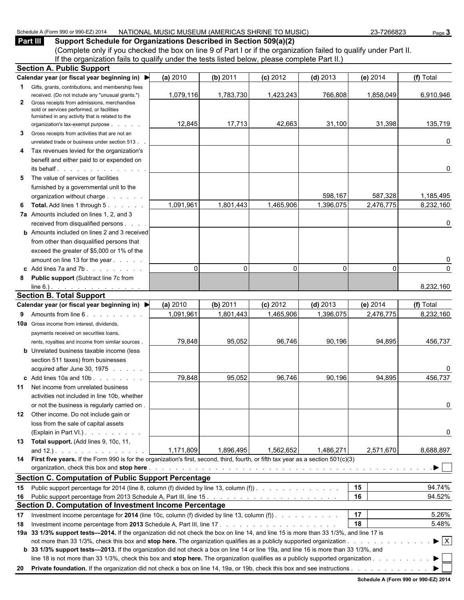#### Schedule A (Form 990 or 990-EZ) 2014 NATIONAL MUSIC MUSEUM (AMERICAS SHRINE TO MUSIC) 23-7266823 Page 3

**Part III Support Schedule for Organizations Described in Section 509(a)(2)** (Complete only if you checked the box on line 9 of Part I or if the organization failed to qualify under Part II. If the organization fails to qualify under the tests listed below, please complete Part II.) **Section A. Public Support**

|              | OCUNUITA. FUDIIU OUPPUIT                                                                                                                                                                                                      |           |           |            |            |           |                                |
|--------------|-------------------------------------------------------------------------------------------------------------------------------------------------------------------------------------------------------------------------------|-----------|-----------|------------|------------|-----------|--------------------------------|
|              | Calendar year (or fiscal year beginning in) ▶                                                                                                                                                                                 | (a) 2010  | (b) 2011  | (c) 2012   | $(d)$ 2013 | (e) 2014  | (f) Total                      |
| $\mathbf 1$  | Gifts, grants, contributions, and membership fees                                                                                                                                                                             |           |           |            |            |           |                                |
|              | received. (Do not include any "unusual grants.")                                                                                                                                                                              | 1,079,116 | 1,783,730 | 1,423,243  | 766,808    | 1,858,049 | 6,910,946                      |
| $\mathbf{2}$ | Gross receipts from admissions, merchandise<br>sold or services performed, or facilities                                                                                                                                      |           |           |            |            |           |                                |
|              | furnished in any activity that is related to the                                                                                                                                                                              |           |           |            |            |           |                                |
|              | organization's tax-exempt purpose                                                                                                                                                                                             | 12,845    | 17,713    | 42,663     | 31,100     | 31,398    | 135,719                        |
| 3            | Gross receipts from activities that are not an                                                                                                                                                                                |           |           |            |            |           |                                |
|              | unrelated trade or business under section 513.                                                                                                                                                                                |           |           |            |            |           | 0                              |
|              | 4 Tax revenues levied for the organization's                                                                                                                                                                                  |           |           |            |            |           |                                |
|              | benefit and either paid to or expended on                                                                                                                                                                                     |           |           |            |            |           |                                |
|              |                                                                                                                                                                                                                               |           |           |            |            |           | 0                              |
| 5            | The value of services or facilities                                                                                                                                                                                           |           |           |            |            |           |                                |
|              | furnished by a governmental unit to the                                                                                                                                                                                       |           |           |            |            |           |                                |
|              | organization without charge                                                                                                                                                                                                   |           |           |            | 598,167    | 587,328   | 1,185,495                      |
| 6            | <b>Total.</b> Add lines 1 through 5.                                                                                                                                                                                          | 1,091,961 | 1,801,443 | 1,465,906  | 1,396,075  | 2,476,775 | 8,232,160                      |
|              | 7a Amounts included on lines 1, 2, and 3                                                                                                                                                                                      |           |           |            |            |           |                                |
|              | received from disqualified persons                                                                                                                                                                                            |           |           |            |            |           | 0                              |
|              | <b>b</b> Amounts included on lines 2 and 3 received                                                                                                                                                                           |           |           |            |            |           |                                |
|              | from other than disqualified persons that                                                                                                                                                                                     |           |           |            |            |           |                                |
|              | exceed the greater of \$5,000 or 1% of the                                                                                                                                                                                    |           |           |            |            |           |                                |
|              | amount on line 13 for the year                                                                                                                                                                                                |           |           |            |            |           | 0                              |
|              | c Add lines $7a$ and $7b$ .                                                                                                                                                                                                   | $\Omega$  | $\Omega$  | $\Omega$   | $\Omega$   | 0         | 0                              |
| 8            | Public support (Subtract line 7c from                                                                                                                                                                                         |           |           |            |            |           |                                |
|              | $line 6.)$ .                                                                                                                                                                                                                  |           |           |            |            |           | 8,232,160                      |
|              | <b>Section B. Total Support</b>                                                                                                                                                                                               |           |           |            |            |           |                                |
|              | Calendar year (or fiscal year beginning in) ▶                                                                                                                                                                                 | (a) 2010  | (b) 2011  | $(c)$ 2012 | $(d)$ 2013 | (e) 2014  | (f) Total                      |
|              | <b>9</b> Amounts from line 6                                                                                                                                                                                                  | 1,091,961 | 1,801,443 | 1,465,906  | 1,396,075  | 2,476,775 | 8,232,160                      |
|              | <b>10a</b> Gross income from interest, dividends,                                                                                                                                                                             |           |           |            |            |           |                                |
|              | payments received on securities loans,                                                                                                                                                                                        |           |           |            |            |           |                                |
|              | rents, royalties and income from similar sources.                                                                                                                                                                             | 79,848    | 95,052    | 96,746     | 90,196     | 94,895    | 456,737                        |
|              | <b>b</b> Unrelated business taxable income (less                                                                                                                                                                              |           |           |            |            |           |                                |
|              | section 511 taxes) from businesses                                                                                                                                                                                            |           |           |            |            |           |                                |
|              | acquired after June 30, 1975                                                                                                                                                                                                  |           |           |            |            |           | 0                              |
|              | c Add lines $10a$ and $10b$ .                                                                                                                                                                                                 | 79,848    | 95,052    | 96,746     | 90,196     | 94,895    | 456,737                        |
| 11           | Net income from unrelated business                                                                                                                                                                                            |           |           |            |            |           |                                |
|              | activities not included in line 10b, whether                                                                                                                                                                                  |           |           |            |            |           |                                |
|              | or not the business is regularly carried on.                                                                                                                                                                                  |           |           |            |            |           | 0                              |
|              | 12 Other income. Do not include gain or                                                                                                                                                                                       |           |           |            |            |           |                                |
|              | loss from the sale of capital assets                                                                                                                                                                                          |           |           |            |            |           |                                |
|              | (Explain in Part VI.).                                                                                                                                                                                                        |           |           |            |            |           | 0                              |
|              | 13 Total support. (Add lines 9, 10c, 11,                                                                                                                                                                                      |           |           |            |            |           |                                |
|              | and $12.$ ). $\ldots$ $\ldots$ $\ldots$ $\ldots$                                                                                                                                                                              | 1,171,809 | 1,896,495 | 1,562,652  | 1,486,271  | 2,571,670 | 8,688,897                      |
|              | 14 First five years. If the Form 990 is for the organization's first, second, third, fourth, or fifth tax year as a section 501(c)(3)                                                                                         |           |           |            |            |           |                                |
|              | organization, check this box and stop here enterpresent and the content of the content of the content of the content of the content of the content of the content of the content of the content of the content of the content |           |           |            |            |           | ▶                              |
|              | <b>Section C. Computation of Public Support Percentage</b>                                                                                                                                                                    |           |           |            |            |           |                                |
| 15           | Public support percentage for 2014 (line 8, column (f) divided by line 13, column (f)).                                                                                                                                       |           |           |            |            | 15        | 94.74%                         |
|              |                                                                                                                                                                                                                               |           |           |            |            | 16        | 94.52%                         |
| 16           | Section D. Computation of Investment Income Percentage                                                                                                                                                                        |           |           |            |            |           |                                |
|              |                                                                                                                                                                                                                               |           |           |            |            | 17        |                                |
| 17           | Investment income percentage for 2014 (line 10c, column (f) divided by line 13, column (f) $\ldots$                                                                                                                           |           |           |            |            |           | 5.26%                          |
| 18           |                                                                                                                                                                                                                               |           |           |            |            | 18        | 5.48%                          |
|              | 19a 33 1/3% support tests-2014. If the organization did not check the box on line 14, and line 15 is more than 33 1/3%, and line 17 is                                                                                        |           |           |            |            |           | $\blacktriangleright$ $\mid$ X |
|              | b 33 1/3% support tests-2013. If the organization did not check a box on line 14 or line 19a, and line 16 is more than 33 1/3%, and                                                                                           |           |           |            |            |           |                                |
|              | line 18 is not more than 33 1/3%, check this box and stop here. The organization qualifies as a publicly supported organization                                                                                               |           |           |            |            |           | ▶                              |
|              |                                                                                                                                                                                                                               |           |           |            |            |           |                                |
|              |                                                                                                                                                                                                                               |           |           |            |            |           |                                |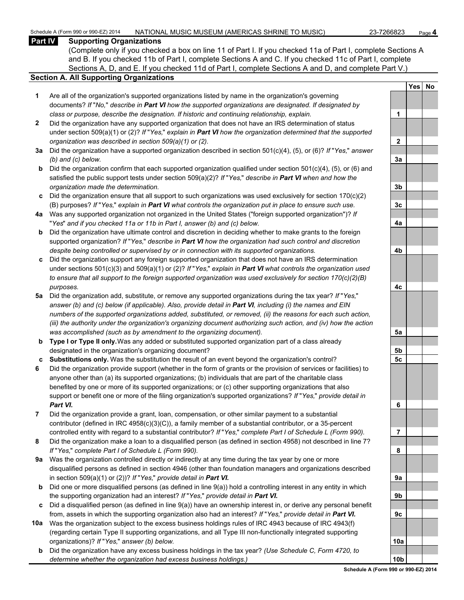#### Schedule A (Form 990 or 990-EZ) 2014 NATIONAL MUSIC MUSEUM (AMERICAS SHRINE TO MUSIC) 23-7266823 Page 4

#### **Part IV Supporting Organizations**

(Complete only if you checked a box on line 11 of Part I. If you checked 11a of Part I, complete Sections A and B. If you checked 11b of Part I, complete Sections A and C. If you checked 11c of Part I, complete Sections A, D, and E. If you checked 11d of Part I, complete Sections A and D, and complete Part V.)

#### **Section A. All Supporting Organizations**

- **1** Are all of the organization's supported organizations listed by name in the organization's governing documents? *If* "*No,*" *describe in Part VI how the supported organizations are designated. If designated by class or purpose, describe the designation. If historic and continuing relationship, explain.* **1**
- **2** Did the organization have any supported organization that does not have an IRS determination of status under section 509(a)(1) or (2)? *If* "*Yes,*" *explain in Part VI how the organization determined that the supported organization was described in section 509(a)(1) or (2).*
- **3a** Did the organization have a supported organization described in section 501(c)(4), (5), or (6)? *If* "*Yes,*" *answer (b) and (c) below.* **3a**
- **b** Did the organization confirm that each supported organization qualified under section 501(c)(4), (5), or (6) and satisfied the public support tests under section 509(a)(2)? *If* "*Yes,*" *describe in Part VI when and how the organization made the determination.* **3b**
- **c** Did the organization ensure that all support to such organizations was used exclusively for section 170(c)(2) (B) purposes? *If* "*Yes,*" *explain in Part VI what controls the organization put in place to ensure such use.* **3c**
- **4a** Was any supported organization not organized in the United States ("foreign supported organization")? *If* "*Yes*" *and if you checked 11a or 11b in Part I, answer (b) and (c) below.* **4a**
- **b** Did the organization have ultimate control and discretion in deciding whether to make grants to the foreign supported organization? *If* "*Yes,*" *describe in Part VI how the organization had such control and discretion despite being controlled or supervised by or in connection with its supported organizations.* **4b**
- **c** Did the organization support any foreign supported organization that does not have an IRS determination under sections 501(c)(3) and 509(a)(1) or (2)? *If* "*Yes,*" *explain in Part VI what controls the organization used to ensure that all support to the foreign supported organization was used exclusively for section 170(c)(2)(B) purposes.* **4c**
- **5a** Did the organization add, substitute, or remove any supported organizations during the tax year? *If* "*Yes,*" *answer (b) and (c) below (if applicable). Also, provide detail in Part VI, including (i) the names and EIN numbers of the supported organizations added, substituted, or removed, (ii) the reasons for each such action, (iii) the authority under the organization's organizing document authorizing such action, and (iv) how the action was accomplished (such as by amendment to the organizing document).* **5a**
- **b Type I or Type II only.** Was any added or substituted supported organization part of a class already designated in the organization's organizing document? **5b**
- **c Substitutions only.** Was the substitution the result of an event beyond the organization's control? **5c**
- **6** Did the organization provide support (whether in the form of grants or the provision of services or facilities) to anyone other than (a) its supported organizations; (b) individuals that are part of the charitable class benefited by one or more of its supported organizations; or (c) other supporting organizations that also support or benefit one or more of the filing organization's supported organizations? *If* "*Yes,*" *provide detail in Part VI.* **6**
- **7** Did the organization provide a grant, loan, compensation, or other similar payment to a substantial contributor (defined in IRC 4958(c)(3)(C)), a family member of a substantial contributor, or a 35-percent controlled entity with regard to a substantial contributor? *If* "*Yes,*" *complete Part I of Schedule L (Form 990).* **7**
- **8** Did the organization make a loan to a disqualified person (as defined in section 4958) not described in line 7? *If* "*Yes,*" *complete Part I of Schedule L (Form 990).* **8**
- **9a** Was the organization controlled directly or indirectly at any time during the tax year by one or more disqualified persons as defined in section 4946 (other than foundation managers and organizations described in section 509(a)(1) or (2))? *If* "*Yes*," *provide detail in Part VI.*
- **b** Did one or more disqualified persons (as defined in line 9(a)) hold a controlling interest in any entity in which the supporting organization had an interest? *If* "*Yes,*" *provide detail in Part VI.* **9b**
- **c** Did a disqualified person (as defined in line 9(a)) have an ownership interest in, or derive any personal benefit from, assets in which the supporting organization also had an interest? *If* "Yes," *provide detail in Part VI.*
- **10a** Was the organization subject to the excess business holdings rules of IRC 4943 because of IRC 4943(f) (regarding certain Type II supporting organizations, and all Type III non-functionally integrated supporting organizations)? *If* "*Yes,*" *answer (b) below.* **10a**
	- **b** Did the organization have any excess business holdings in the tax year? *(Use Schedule C, Form 4720, to determine whether the organization had excess business holdings.)* **10b**

|                | Yes | $N\underline{o}$ |
|----------------|-----|------------------|
|                |     |                  |
|                |     |                  |
| $\mathbf 1$    |     |                  |
|                |     |                  |
| $\overline{2}$ |     |                  |
|                |     |                  |
| <u>3a</u>      |     |                  |
|                |     |                  |
| 3 <sub>b</sub> |     |                  |
|                |     |                  |
| 3c             |     |                  |
| <u>4a</u>      |     |                  |
|                |     |                  |
|                |     |                  |
| 4b             |     |                  |
|                |     |                  |
|                |     |                  |
| <u>4c</u>      |     |                  |
|                |     |                  |
|                |     |                  |
|                |     |                  |
| <u>5a</u>      |     |                  |
| 5 <sub>b</sub> |     |                  |
| <u>5с</u>      |     |                  |
|                |     |                  |
|                |     |                  |
|                |     |                  |
| 6              |     |                  |
|                |     |                  |
|                |     |                  |
| 7              |     |                  |
| 8              |     |                  |
|                |     |                  |
| 9а             |     |                  |
|                |     |                  |
| 9b             |     |                  |
|                |     |                  |
| 9c             |     |                  |
|                |     |                  |
| 10a            |     |                  |
|                |     |                  |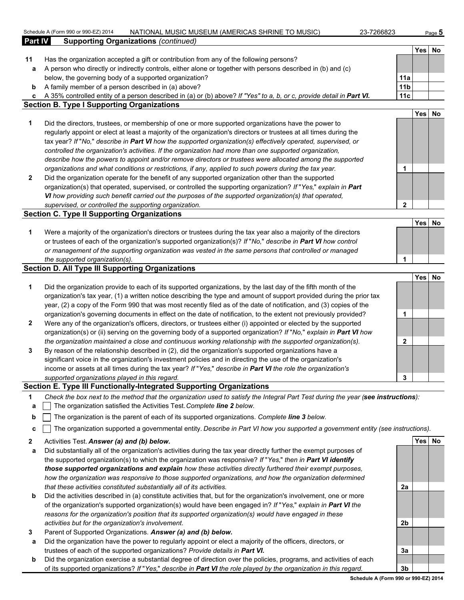|                | Schedule A (Form 990 or 990-EZ) 2014<br>NATIONAL MUSIC MUSEUM (AMERICAS SHRINE TO MUSIC)<br>23-7266823                                                                                                                           |                 |                  | Page 5    |
|----------------|----------------------------------------------------------------------------------------------------------------------------------------------------------------------------------------------------------------------------------|-----------------|------------------|-----------|
| <b>Part IV</b> | <b>Supporting Organizations (continued)</b>                                                                                                                                                                                      |                 |                  |           |
|                |                                                                                                                                                                                                                                  |                 | <b>Yes</b>       | <b>No</b> |
| 11             | Has the organization accepted a gift or contribution from any of the following persons?                                                                                                                                          |                 |                  |           |
| a              | A person who directly or indirectly controls, either alone or together with persons described in (b) and (c)                                                                                                                     |                 |                  |           |
|                | below, the governing body of a supported organization?                                                                                                                                                                           | 11a             |                  |           |
| b              | A family member of a person described in (a) above?                                                                                                                                                                              | 11 <sub>b</sub> |                  |           |
| C              | A 35% controlled entity of a person described in (a) or (b) above? If "Yes" to a, b, or c, provide detail in Part VI.                                                                                                            | 11c             |                  |           |
|                | <b>Section B. Type I Supporting Organizations</b>                                                                                                                                                                                |                 |                  |           |
|                |                                                                                                                                                                                                                                  |                 | <b>Yes</b>       | No        |
| 1              | Did the directors, trustees, or membership of one or more supported organizations have the power to                                                                                                                              |                 |                  |           |
|                | regularly appoint or elect at least a majority of the organization's directors or trustees at all times during the                                                                                                               |                 |                  |           |
|                | tax year? If "No," describe in Part VI how the supported organization(s) effectively operated, supervised, or                                                                                                                    |                 |                  |           |
|                | controlled the organization's activities. If the organization had more than one supported organization,                                                                                                                          |                 |                  |           |
|                | describe how the powers to appoint and/or remove directors or trustees were allocated among the supported                                                                                                                        |                 |                  |           |
|                | organizations and what conditions or restrictions, if any, applied to such powers during the tax year.                                                                                                                           | 1               |                  |           |
| $\mathbf{2}$   | Did the organization operate for the benefit of any supported organization other than the supported                                                                                                                              |                 |                  |           |
|                | organization(s) that operated, supervised, or controlled the supporting organization? If "Yes," explain in Part                                                                                                                  |                 |                  |           |
|                | VI how providing such benefit carried out the purposes of the supported organization(s) that operated,                                                                                                                           |                 |                  |           |
|                | supervised, or controlled the supporting organization.                                                                                                                                                                           | $\mathbf{2}$    |                  |           |
|                | <b>Section C. Type II Supporting Organizations</b>                                                                                                                                                                               |                 |                  |           |
|                |                                                                                                                                                                                                                                  |                 | Yes              | No        |
| 1              | Were a majority of the organization's directors or trustees during the tax year also a majority of the directors                                                                                                                 |                 |                  |           |
|                | or trustees of each of the organization's supported organization(s)? If "No," describe in Part VI how control                                                                                                                    |                 |                  |           |
|                | or management of the supporting organization was vested in the same persons that controlled or managed                                                                                                                           |                 |                  |           |
|                | the supported organization(s).                                                                                                                                                                                                   | 1               |                  |           |
|                | <b>Section D. All Type III Supporting Organizations</b>                                                                                                                                                                          |                 |                  |           |
|                |                                                                                                                                                                                                                                  |                 | Yes <sup> </sup> | No        |
| 1              | Did the organization provide to each of its supported organizations, by the last day of the fifth month of the                                                                                                                   |                 |                  |           |
|                | organization's tax year, (1) a written notice describing the type and amount of support provided during the prior tax                                                                                                            |                 |                  |           |
|                | year, (2) a copy of the Form 990 that was most recently filed as of the date of notification, and (3) copies of the                                                                                                              |                 |                  |           |
|                | organization's governing documents in effect on the date of notification, to the extent not previously provided?                                                                                                                 | 1               |                  |           |
| $\mathbf{2}$   | Were any of the organization's officers, directors, or trustees either (i) appointed or elected by the supported                                                                                                                 |                 |                  |           |
|                | organization(s) or (ii) serving on the governing body of a supported organization? If "No," explain in Part VI how                                                                                                               |                 |                  |           |
|                | the organization maintained a close and continuous working relationship with the supported organization(s).                                                                                                                      | 2               |                  |           |
| 3              | By reason of the relationship described in (2), did the organization's supported organizations have a                                                                                                                            |                 |                  |           |
|                | significant voice in the organization's investment policies and in directing the use of the organization's                                                                                                                       |                 |                  |           |
|                | income or assets at all times during the tax year? If "Yes," describe in Part VI the role the organization's                                                                                                                     |                 |                  |           |
|                | supported organizations played in this regard.                                                                                                                                                                                   | 3               |                  |           |
|                | Section E. Type III Functionally-Integrated Supporting Organizations                                                                                                                                                             |                 |                  |           |
| 1<br>а         | Check the box next to the method that the organization used to satisfy the Integral Part Test during the year (see instructions):<br>The organization satisfied the Activities Test. Complete line 2 below.                      |                 |                  |           |
| b              | The organization is the parent of each of its supported organizations. Complete line 3 below.                                                                                                                                    |                 |                  |           |
| c              | The organization supported a governmental entity. Describe in Part VI how you supported a government entity (see instructions).                                                                                                  |                 |                  |           |
|                |                                                                                                                                                                                                                                  |                 |                  |           |
| 2              | Activities Test. Answer (a) and (b) below.                                                                                                                                                                                       |                 | Yes No           |           |
| а              | Did substantially all of the organization's activities during the tax year directly further the exempt purposes of<br>the supported organization(s) to which the organization was responsive? If "Yes," then in Part VI identify |                 |                  |           |

- *those supported organizations and explain how these activities directly furthered their exempt purposes, how the organization was responsive to those supported organizations, and how the organization determined that these activities constituted substantially all of its activities.* **2a b** Did the activities described in (a) constitute activities that, but for the organization's involvement, one or more
- of the organization's supported organization(s) would have been engaged in? *If* "*Yes,*" *explain in Part VI the reasons for the organization's position that its supported organization(s) would have engaged in these activities but for the organization's involvement.* **2b**
- **3** Parent of Supported Organizations. *Answer (a) and (b) below.*
- **a** Did the organization have the power to regularly appoint or elect a majority of the officers, directors, or trustees of each of the supported organizations? *Provide details in Part VI.* **3a**
- **b** Did the organization exercise a substantial degree of direction over the policies, programs, and activities of each of its supported organizations? *If* "*Yes,*" *describe in Part VI the role played by the organization in this regard.* **3b**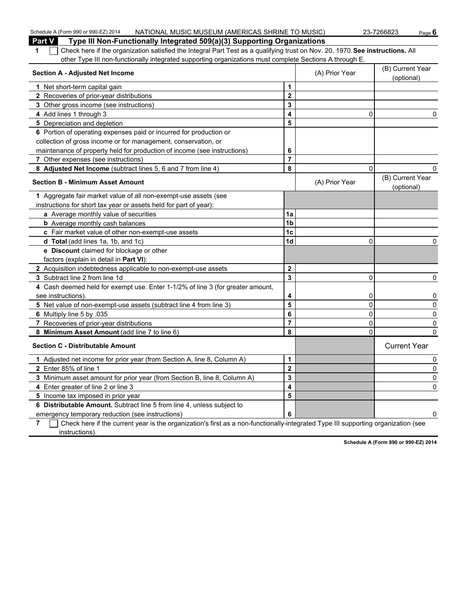| Schedule A (Form 990 or 990-EZ) 2014<br>NATIONAL MUSIC MUSEUM (AMERICAS SHRINE TO MUSIC)                                           |                         |                | 23-7266823<br>Page $6$         |
|------------------------------------------------------------------------------------------------------------------------------------|-------------------------|----------------|--------------------------------|
| <b>Part V</b><br>Type III Non-Functionally Integrated 509(a)(3) Supporting Organizations                                           |                         |                |                                |
| Check here if the organization satisfied the Integral Part Test as a qualifying trust on Nov. 20, 1970. See instructions. All<br>1 |                         |                |                                |
| other Type III non-functionally integrated supporting organizations must complete Sections A through E.                            |                         |                |                                |
| <b>Section A - Adjusted Net Income</b>                                                                                             |                         | (A) Prior Year | (B) Current Year<br>(optional) |
| 1 Net short-term capital gain                                                                                                      | 1                       |                |                                |
| 2 Recoveries of prior-year distributions                                                                                           | $\overline{\mathbf{2}}$ |                |                                |
| 3 Other gross income (see instructions)                                                                                            | 3                       |                |                                |
| 4 Add lines 1 through 3                                                                                                            | 4                       | 0              | 0                              |
| 5 Depreciation and depletion                                                                                                       | 5                       |                |                                |
| 6 Portion of operating expenses paid or incurred for production or                                                                 |                         |                |                                |
| collection of gross income or for management, conservation, or                                                                     |                         |                |                                |
| maintenance of property held for production of income (see instructions)                                                           | 6                       |                |                                |
| 7 Other expenses (see instructions)                                                                                                | $\overline{7}$          |                |                                |
| 8 Adjusted Net Income (subtract lines 5, 6 and 7 from line 4)                                                                      | 8                       | 0              | 0                              |
| <b>Section B - Minimum Asset Amount</b>                                                                                            |                         | (A) Prior Year | (B) Current Year<br>(optional) |
| 1 Aggregate fair market value of all non-exempt-use assets (see                                                                    |                         |                |                                |
| instructions for short tax year or assets held for part of year):                                                                  |                         |                |                                |
| a Average monthly value of securities                                                                                              | 1a                      |                |                                |
| <b>b</b> Average monthly cash balances                                                                                             | 1 <sub>b</sub>          |                |                                |
| c Fair market value of other non-exempt-use assets                                                                                 | 1 <sub>c</sub>          |                |                                |
| d Total (add lines 1a, 1b, and 1c)                                                                                                 | 1 <sub>d</sub>          | 0              | 0                              |
| e Discount claimed for blockage or other                                                                                           |                         |                |                                |
| factors (explain in detail in Part VI):                                                                                            |                         |                |                                |
| 2 Acquisition indebtedness applicable to non-exempt-use assets                                                                     | $\mathbf 2$             |                |                                |
| 3 Subtract line 2 from line 1d                                                                                                     | 3                       | 0              | 0                              |
| 4 Cash deemed held for exempt use. Enter 1-1/2% of line 3 (for greater amount,                                                     |                         |                |                                |
| see instructions).                                                                                                                 | 4                       | 0              | 0                              |
| 5 Net value of non-exempt-use assets (subtract line 4 from line 3)                                                                 | 5                       | $\mathbf 0$    | 0                              |
| 6 Multiply line 5 by .035                                                                                                          | 6                       | $\mathbf 0$    | 0                              |
| 7 Recoveries of prior-year distributions                                                                                           | $\overline{7}$          | 0              | 0                              |
| 8 Minimum Asset Amount (add line 7 to line 6)                                                                                      | 8                       | $\mathbf 0$    | $\Omega$                       |
| <b>Section C - Distributable Amount</b>                                                                                            |                         |                | <b>Current Year</b>            |
| 1 Adjusted net income for prior year (from Section A, line 8, Column A)                                                            | 1                       |                | 0                              |
| 2 Enter 85% of line 1                                                                                                              | $\overline{\mathbf{2}}$ |                | 0                              |
| 3 Minimum asset amount for prior year (from Section B, line 8, Column A)                                                           | 3                       |                | 0                              |
| 4 Enter greater of line 2 or line 3                                                                                                | 4                       |                | 0                              |
| 5 Income tax imposed in prior year                                                                                                 | 5                       |                |                                |
| 6 Distributable Amount. Subtract line 5 from line 4, unless subject to                                                             |                         |                |                                |
| emergency temporary reduction (see instructions)                                                                                   | 6                       |                | 0                              |

**7** Check here if the current year is the organization's first as a non-functionally-integrated Type III supporting organization (see instructions).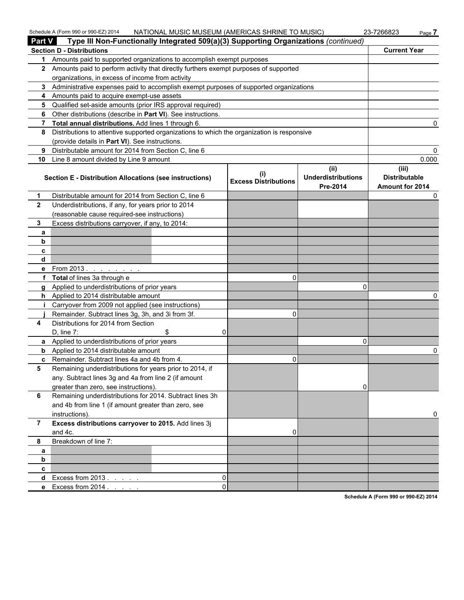| <b>Part V</b>  | Schedule A (Form 990 or 990-EZ) 2014                                                                      |                | NATIONAL MUSIC MUSEUM (AMERICAS SHRINE TO MUSIC) |                                               | 23-7266823<br>Page 7                                    |
|----------------|-----------------------------------------------------------------------------------------------------------|----------------|--------------------------------------------------|-----------------------------------------------|---------------------------------------------------------|
|                | Type III Non-Functionally Integrated 509(a)(3) Supporting Organizations (continued)                       |                |                                                  |                                               | <b>Current Year</b>                                     |
|                | <b>Section D - Distributions</b><br>Amounts paid to supported organizations to accomplish exempt purposes |                |                                                  |                                               |                                                         |
| 1.             | 2 Amounts paid to perform activity that directly furthers exempt purposes of supported                    |                |                                                  |                                               |                                                         |
|                | organizations, in excess of income from activity                                                          |                |                                                  |                                               |                                                         |
|                | 3 Administrative expenses paid to accomplish exempt purposes of supported organizations                   |                |                                                  |                                               |                                                         |
|                |                                                                                                           |                |                                                  |                                               |                                                         |
| 4              | Amounts paid to acquire exempt-use assets                                                                 |                |                                                  |                                               |                                                         |
| 5              | Qualified set-aside amounts (prior IRS approval required)                                                 |                |                                                  |                                               |                                                         |
| 6              | Other distributions (describe in Part VI). See instructions.                                              |                |                                                  |                                               |                                                         |
| $\overline{7}$ | Total annual distributions. Add lines 1 through 6.                                                        |                |                                                  |                                               |                                                         |
| 8              | Distributions to attentive supported organizations to which the organization is responsive                |                |                                                  |                                               |                                                         |
|                | (provide details in Part VI). See instructions.                                                           |                |                                                  |                                               |                                                         |
| 9              | Distributable amount for 2014 from Section C, line 6                                                      |                |                                                  |                                               |                                                         |
| 10             | Line 8 amount divided by Line 9 amount                                                                    |                |                                                  |                                               | 0.000                                                   |
|                | <b>Section E - Distribution Allocations (see instructions)</b>                                            |                | <b>Excess Distributions</b>                      | (ii)<br><b>Underdistributions</b><br>Pre-2014 | (iii)<br><b>Distributable</b><br><b>Amount for 2014</b> |
| 1              | Distributable amount for 2014 from Section C, line 6                                                      |                |                                                  |                                               | O                                                       |
| $\mathbf{2}$   | Underdistributions, if any, for years prior to 2014                                                       |                |                                                  |                                               |                                                         |
|                | (reasonable cause required-see instructions)                                                              |                |                                                  |                                               |                                                         |
| 3              | Excess distributions carryover, if any, to 2014:                                                          |                |                                                  |                                               |                                                         |
| a              |                                                                                                           |                |                                                  |                                               |                                                         |
| b              |                                                                                                           |                |                                                  |                                               |                                                         |
| c              |                                                                                                           |                |                                                  |                                               |                                                         |
| d              |                                                                                                           |                |                                                  |                                               |                                                         |
| е              | From 2013.<br>and the contract of the contract of                                                         |                |                                                  |                                               |                                                         |
| f              | Total of lines 3a through e                                                                               |                | 0                                                |                                               |                                                         |
| q              | Applied to underdistributions of prior years                                                              |                |                                                  | $\Omega$                                      |                                                         |
| h.             | Applied to 2014 distributable amount                                                                      |                |                                                  |                                               |                                                         |
|                | Carryover from 2009 not applied (see instructions)                                                        |                |                                                  |                                               |                                                         |
|                | Remainder. Subtract lines 3g, 3h, and 3i from 3f.                                                         |                | $\Omega$                                         |                                               |                                                         |
| 4              | Distributions for 2014 from Section                                                                       |                |                                                  |                                               |                                                         |
|                | $D$ , line $7$ :                                                                                          | \$<br>$\Omega$ |                                                  |                                               |                                                         |
|                | a Applied to underdistributions of prior years                                                            |                |                                                  | $\Omega$                                      |                                                         |
| b              | Applied to 2014 distributable amount                                                                      |                |                                                  |                                               |                                                         |
|                | c Remainder. Subtract lines 4a and 4b from 4.                                                             |                | 0                                                |                                               |                                                         |
| 5              | Remaining underdistributions for years prior to 2014, if                                                  |                |                                                  |                                               |                                                         |
|                | any. Subtract lines 3g and 4a from line 2 (if amount                                                      |                |                                                  |                                               |                                                         |
|                | greater than zero, see instructions)                                                                      |                |                                                  | 0                                             |                                                         |
| 6              | Remaining underdistributions for 2014. Subtract lines 3h                                                  |                |                                                  |                                               |                                                         |
|                | and 4b from line 1 (if amount greater than zero, see                                                      |                |                                                  |                                               |                                                         |
|                | instructions)                                                                                             |                |                                                  |                                               | 0                                                       |
| $\overline{7}$ | Excess distributions carryover to 2015. Add lines 3j                                                      |                |                                                  |                                               |                                                         |
|                | and 4c.                                                                                                   |                | 0                                                |                                               |                                                         |
| 8              | Breakdown of line 7:                                                                                      |                |                                                  |                                               |                                                         |
| a              |                                                                                                           |                |                                                  |                                               |                                                         |
| b              |                                                                                                           |                |                                                  |                                               |                                                         |
| C              |                                                                                                           |                |                                                  |                                               |                                                         |
| d              | Excess from $2013$ .                                                                                      | 0              |                                                  |                                               |                                                         |
|                | e Excess from 2014                                                                                        |                | $\Omega$                                         |                                               |                                                         |
|                |                                                                                                           |                |                                                  |                                               |                                                         |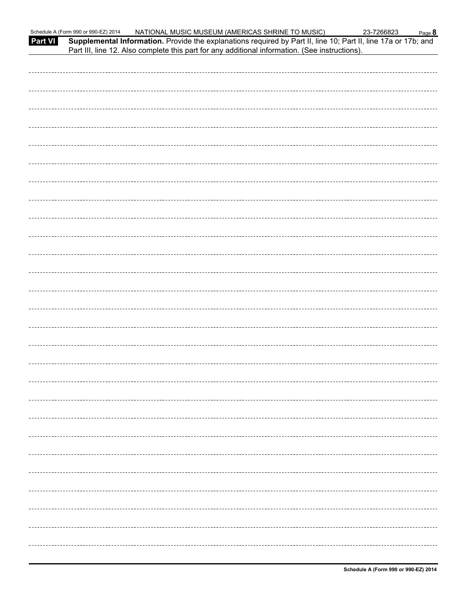|         | Schedule A (Form 990 or 990-EZ) 2014<br>NATIONAL MUSIC MUSEUM (AMERICAS SHRINE TO MUSIC)                                                                                                                         | 23-7266823 | Page 8 |
|---------|------------------------------------------------------------------------------------------------------------------------------------------------------------------------------------------------------------------|------------|--------|
| Part VI | Supplemental Information. Provide the explanations required by Part II, line 10; Part II, line 17a or 17b; and<br>Part III, line 12. Also complete this part for any additional information. (See instructions). |            |        |
|         |                                                                                                                                                                                                                  |            |        |
|         |                                                                                                                                                                                                                  |            |        |
|         |                                                                                                                                                                                                                  |            |        |
|         |                                                                                                                                                                                                                  |            |        |
|         |                                                                                                                                                                                                                  |            |        |
|         |                                                                                                                                                                                                                  |            |        |
|         |                                                                                                                                                                                                                  |            |        |
|         |                                                                                                                                                                                                                  |            |        |
|         |                                                                                                                                                                                                                  |            |        |
|         |                                                                                                                                                                                                                  |            |        |
|         |                                                                                                                                                                                                                  |            |        |
|         |                                                                                                                                                                                                                  |            |        |
|         |                                                                                                                                                                                                                  |            |        |
|         |                                                                                                                                                                                                                  |            |        |
|         |                                                                                                                                                                                                                  |            |        |
|         |                                                                                                                                                                                                                  |            |        |
|         |                                                                                                                                                                                                                  |            |        |
|         |                                                                                                                                                                                                                  |            |        |
|         |                                                                                                                                                                                                                  |            |        |
|         |                                                                                                                                                                                                                  |            |        |
|         |                                                                                                                                                                                                                  |            |        |
|         |                                                                                                                                                                                                                  |            |        |
|         |                                                                                                                                                                                                                  |            |        |
|         |                                                                                                                                                                                                                  |            |        |
|         |                                                                                                                                                                                                                  |            |        |
|         |                                                                                                                                                                                                                  |            |        |
|         |                                                                                                                                                                                                                  |            |        |
|         |                                                                                                                                                                                                                  |            |        |
|         |                                                                                                                                                                                                                  |            |        |
|         |                                                                                                                                                                                                                  |            |        |
|         |                                                                                                                                                                                                                  |            |        |
|         |                                                                                                                                                                                                                  |            |        |
|         |                                                                                                                                                                                                                  |            |        |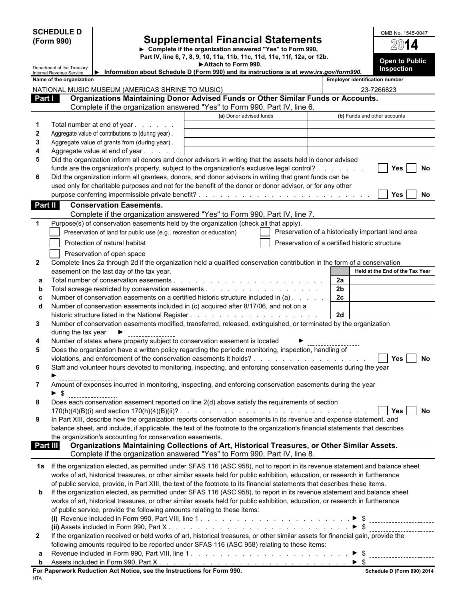|                        | <b>SCHEDULE D</b><br><b>Supplemental Financial Statements</b><br>(Form 990)<br>▶ Complete if the organization answered "Yes" to Form 990,<br>Part IV, line 6, 7, 8, 9, 10, 11a, 11b, 11c, 11d, 11e, 11f, 12a, or 12b. |                                                                                   |                                                                                                                                                                                                                                                                                                                       |                                                | OMB No. 1545-0047<br>2014                          |
|------------------------|-----------------------------------------------------------------------------------------------------------------------------------------------------------------------------------------------------------------------|-----------------------------------------------------------------------------------|-----------------------------------------------------------------------------------------------------------------------------------------------------------------------------------------------------------------------------------------------------------------------------------------------------------------------|------------------------------------------------|----------------------------------------------------|
|                        | Department of the Treasury                                                                                                                                                                                            |                                                                                   | <b>Open to Public</b><br>Inspection                                                                                                                                                                                                                                                                                   |                                                |                                                    |
|                        | Internal Revenue Service<br>Name of the organization                                                                                                                                                                  |                                                                                   | Information about Schedule D (Form 990) and its instructions is at www.irs.gov/form990.                                                                                                                                                                                                                               |                                                | <b>Employer identification number</b>              |
|                        |                                                                                                                                                                                                                       | NATIONAL MUSIC MUSEUM (AMERICAS SHRINE TO MUSIC)                                  |                                                                                                                                                                                                                                                                                                                       |                                                | 23-7266823                                         |
| Part I                 |                                                                                                                                                                                                                       |                                                                                   | Organizations Maintaining Donor Advised Funds or Other Similar Funds or Accounts.                                                                                                                                                                                                                                     |                                                |                                                    |
|                        |                                                                                                                                                                                                                       |                                                                                   | Complete if the organization answered "Yes" to Form 990, Part IV, line 6.                                                                                                                                                                                                                                             |                                                |                                                    |
|                        |                                                                                                                                                                                                                       |                                                                                   | (a) Donor advised funds                                                                                                                                                                                                                                                                                               |                                                | (b) Funds and other accounts                       |
| -1<br>$\boldsymbol{2}$ |                                                                                                                                                                                                                       | Total number at end of year<br>Aggregate value of contributions to (during year). |                                                                                                                                                                                                                                                                                                                       |                                                |                                                    |
| 3                      |                                                                                                                                                                                                                       | Aggregate value of grants from (during year).                                     |                                                                                                                                                                                                                                                                                                                       |                                                |                                                    |
| 4                      |                                                                                                                                                                                                                       | Aggregate value at end of year                                                    |                                                                                                                                                                                                                                                                                                                       |                                                |                                                    |
| 5                      |                                                                                                                                                                                                                       |                                                                                   | Did the organization inform all donors and donor advisors in writing that the assets held in donor advised                                                                                                                                                                                                            |                                                |                                                    |
| 6                      |                                                                                                                                                                                                                       |                                                                                   | funds are the organization's property, subject to the organization's exclusive legal control?<br>Did the organization inform all grantees, donors, and donor advisors in writing that grant funds can be<br>used only for charitable purposes and not for the benefit of the donor or donor advisor, or for any other |                                                | No<br><b>Yes</b>                                   |
|                        |                                                                                                                                                                                                                       |                                                                                   |                                                                                                                                                                                                                                                                                                                       |                                                | No<br>Yes                                          |
| Part II                |                                                                                                                                                                                                                       | <b>Conservation Easements.</b>                                                    |                                                                                                                                                                                                                                                                                                                       |                                                |                                                    |
|                        |                                                                                                                                                                                                                       |                                                                                   | Complete if the organization answered "Yes" to Form 990, Part IV, line 7.                                                                                                                                                                                                                                             |                                                |                                                    |
| $\mathbf 1$            |                                                                                                                                                                                                                       | Preservation of land for public use (e.g., recreation or education)               | Purpose(s) of conservation easements held by the organization (check all that apply).                                                                                                                                                                                                                                 |                                                | Preservation of a historically important land area |
|                        |                                                                                                                                                                                                                       | Protection of natural habitat                                                     |                                                                                                                                                                                                                                                                                                                       | Preservation of a certified historic structure |                                                    |
|                        |                                                                                                                                                                                                                       | Preservation of open space                                                        |                                                                                                                                                                                                                                                                                                                       |                                                |                                                    |
| $\mathbf{2}$           |                                                                                                                                                                                                                       |                                                                                   | Complete lines 2a through 2d if the organization held a qualified conservation contribution in the form of a conservation                                                                                                                                                                                             |                                                |                                                    |
| а                      |                                                                                                                                                                                                                       | easement on the last day of the tax year.                                         |                                                                                                                                                                                                                                                                                                                       | 2a                                             | Held at the End of the Tax Year                    |
| b                      |                                                                                                                                                                                                                       |                                                                                   |                                                                                                                                                                                                                                                                                                                       | 2 <sub>b</sub>                                 |                                                    |
| c                      |                                                                                                                                                                                                                       |                                                                                   | Number of conservation easements on a certified historic structure included in (a)                                                                                                                                                                                                                                    | 2c                                             |                                                    |
| d                      |                                                                                                                                                                                                                       |                                                                                   | Number of conservation easements included in (c) acquired after 8/17/06, and not on a                                                                                                                                                                                                                                 | 2d                                             |                                                    |
| 3                      |                                                                                                                                                                                                                       |                                                                                   | Number of conservation easements modified, transferred, released, extinguished, or terminated by the organization                                                                                                                                                                                                     |                                                |                                                    |
|                        | during the tax year                                                                                                                                                                                                   | <u>. _ _ _ _ _ _ _ _ _ _ _ _ _ _ _ _</u>                                          |                                                                                                                                                                                                                                                                                                                       |                                                |                                                    |
| 4                      |                                                                                                                                                                                                                       |                                                                                   | Number of states where property subject to conservation easement is located                                                                                                                                                                                                                                           |                                                |                                                    |
| 5                      |                                                                                                                                                                                                                       |                                                                                   | Does the organization have a written policy regarding the periodic monitoring, inspection, handling of                                                                                                                                                                                                                |                                                | No                                                 |
| 6                      |                                                                                                                                                                                                                       |                                                                                   | Staff and volunteer hours devoted to monitoring, inspecting, and enforcing conservation easements during the year                                                                                                                                                                                                     |                                                | Yes                                                |
| 7                      | $\blacktriangleright$ \$                                                                                                                                                                                              |                                                                                   | Amount of expenses incurred in monitoring, inspecting, and enforcing conservation easements during the year                                                                                                                                                                                                           |                                                |                                                    |
| 8                      |                                                                                                                                                                                                                       |                                                                                   | Does each conservation easement reported on line 2(d) above satisfy the requirements of section                                                                                                                                                                                                                       |                                                |                                                    |
| 9                      |                                                                                                                                                                                                                       |                                                                                   | In Part XIII, describe how the organization reports conservation easements in its revenue and expense statement, and                                                                                                                                                                                                  |                                                | No.<br>Yes I                                       |
|                        |                                                                                                                                                                                                                       |                                                                                   | balance sheet, and include, if applicable, the text of the footnote to the organization's financial statements that describes                                                                                                                                                                                         |                                                |                                                    |
|                        |                                                                                                                                                                                                                       | the organization's accounting for conservation easements.                         |                                                                                                                                                                                                                                                                                                                       |                                                |                                                    |
| Part III               |                                                                                                                                                                                                                       |                                                                                   | Organizations Maintaining Collections of Art, Historical Treasures, or Other Similar Assets.<br>Complete if the organization answered "Yes" to Form 990, Part IV, line 8.                                                                                                                                             |                                                |                                                    |
|                        |                                                                                                                                                                                                                       |                                                                                   | 1a If the organization elected, as permitted under SFAS 116 (ASC 958), not to report in its revenue statement and balance sheet<br>works of art, historical treasures, or other similar assets held for public exhibition, education, or research in furtherance                                                      |                                                |                                                    |
|                        |                                                                                                                                                                                                                       |                                                                                   | of public service, provide, in Part XIII, the text of the footnote to its financial statements that describes these items.                                                                                                                                                                                            |                                                |                                                    |
| b                      |                                                                                                                                                                                                                       |                                                                                   | If the organization elected, as permitted under SFAS 116 (ASC 958), to report in its revenue statement and balance sheet                                                                                                                                                                                              |                                                |                                                    |
|                        |                                                                                                                                                                                                                       |                                                                                   | works of art, historical treasures, or other similar assets held for public exhibition, education, or research in furtherance                                                                                                                                                                                         |                                                |                                                    |
|                        |                                                                                                                                                                                                                       | of public service, provide the following amounts relating to these items:         |                                                                                                                                                                                                                                                                                                                       |                                                |                                                    |
|                        |                                                                                                                                                                                                                       |                                                                                   |                                                                                                                                                                                                                                                                                                                       |                                                | ------------------------                           |
| $\mathbf{2}$           |                                                                                                                                                                                                                       |                                                                                   | If the organization received or held works of art, historical treasures, or other similar assets for financial gain, provide the                                                                                                                                                                                      |                                                |                                                    |
|                        |                                                                                                                                                                                                                       |                                                                                   | following amounts required to be reported under SFAS 116 (ASC 958) relating to these items:                                                                                                                                                                                                                           |                                                |                                                    |
| а                      |                                                                                                                                                                                                                       |                                                                                   |                                                                                                                                                                                                                                                                                                                       |                                                |                                                    |
| b                      |                                                                                                                                                                                                                       |                                                                                   |                                                                                                                                                                                                                                                                                                                       | $\triangleright$ \$                            |                                                    |
| HTA                    |                                                                                                                                                                                                                       | For Paperwork Reduction Act Notice, see the Instructions for Form 990.            |                                                                                                                                                                                                                                                                                                                       |                                                | Schedule D (Form 990) 2014                         |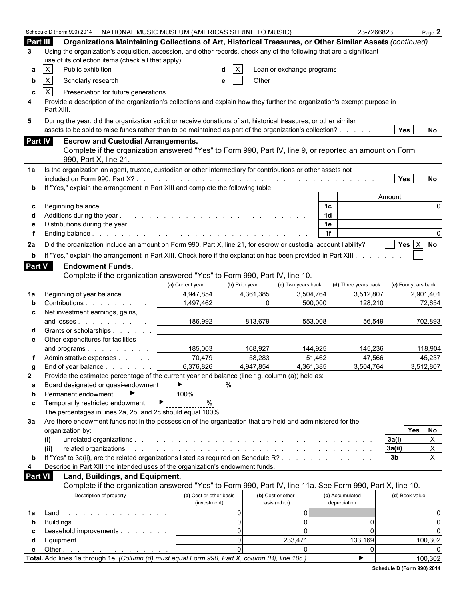|                | Schedule D (Form 990) 2014   NATIONAL MUSIC MUSEUM (AMERICAS SHRINE TO MUSIC)                                                                                                                                                |                                                                                                                            |                |                           | 23-7266823           | Page 2                         |
|----------------|------------------------------------------------------------------------------------------------------------------------------------------------------------------------------------------------------------------------------|----------------------------------------------------------------------------------------------------------------------------|----------------|---------------------------|----------------------|--------------------------------|
| Part III       | Organizations Maintaining Collections of Art, Historical Treasures, or Other Similar Assets (continued)                                                                                                                      |                                                                                                                            |                |                           |                      |                                |
| 3              | Using the organization's acquisition, accession, and other records, check any of the following that are a significant                                                                                                        |                                                                                                                            |                |                           |                      |                                |
|                | use of its collection items (check all that apply):                                                                                                                                                                          |                                                                                                                            |                |                           |                      |                                |
| а              | X<br>Public exhibition                                                                                                                                                                                                       |                                                                                                                            |                | Loan or exchange programs |                      |                                |
| b              | $\mathsf X$<br>Scholarly research                                                                                                                                                                                            |                                                                                                                            | Other<br>e     |                           |                      |                                |
|                |                                                                                                                                                                                                                              |                                                                                                                            |                |                           |                      |                                |
| c<br>4         | X<br>Preservation for future generations<br>Provide a description of the organization's collections and explain how they further the organization's exempt purpose in                                                        |                                                                                                                            |                |                           |                      |                                |
|                | Part XIII.                                                                                                                                                                                                                   |                                                                                                                            |                |                           |                      |                                |
| 5              | During the year, did the organization solicit or receive donations of art, historical treasures, or other similar<br>assets to be sold to raise funds rather than to be maintained as part of the organization's collection? |                                                                                                                            |                |                           |                      | Yes  <br>No                    |
| Part IV        | <b>Escrow and Custodial Arrangements.</b>                                                                                                                                                                                    |                                                                                                                            |                |                           |                      |                                |
|                | Complete if the organization answered "Yes" to Form 990, Part IV, line 9, or reported an amount on Form                                                                                                                      |                                                                                                                            |                |                           |                      |                                |
|                | 990, Part X, line 21.                                                                                                                                                                                                        |                                                                                                                            |                |                           |                      |                                |
| 1a             | Is the organization an agent, trustee, custodian or other intermediary for contributions or other assets not                                                                                                                 |                                                                                                                            |                |                           |                      |                                |
|                |                                                                                                                                                                                                                              |                                                                                                                            |                |                           |                      | Yes<br>No                      |
|                | If "Yes," explain the arrangement in Part XIII and complete the following table:                                                                                                                                             |                                                                                                                            |                |                           |                      |                                |
|                |                                                                                                                                                                                                                              |                                                                                                                            |                |                           |                      | Amount                         |
| c              |                                                                                                                                                                                                                              |                                                                                                                            |                |                           | 1c                   |                                |
|                |                                                                                                                                                                                                                              |                                                                                                                            |                |                           | 1 <sub>d</sub>       |                                |
|                |                                                                                                                                                                                                                              |                                                                                                                            |                |                           | 1e                   |                                |
|                |                                                                                                                                                                                                                              |                                                                                                                            |                |                           | 1f                   | 0                              |
| 2a             | Did the organization include an amount on Form 990, Part X, line 21, for escrow or custodial account liability?                                                                                                              |                                                                                                                            |                |                           |                      | Yes $X$ No                     |
| b              | If "Yes," explain the arrangement in Part XIII. Check here if the explanation has been provided in Part XIII.                                                                                                                |                                                                                                                            |                |                           |                      |                                |
| <b>Part V</b>  | <b>Endowment Funds.</b>                                                                                                                                                                                                      |                                                                                                                            |                |                           |                      |                                |
|                | Complete if the organization answered "Yes" to Form 990, Part IV, line 10.                                                                                                                                                   |                                                                                                                            |                |                           |                      |                                |
|                |                                                                                                                                                                                                                              | (a) Current year                                                                                                           | (b) Prior year | (c) Two years back        | (d) Three years back | (e) Four years back            |
| 1a             | Beginning of year balance                                                                                                                                                                                                    | 4,947,854                                                                                                                  | 4,361,385      | 3,504,764                 | 3,512,807            | 2,901,401                      |
| b              | Contributions                                                                                                                                                                                                                | 1,497,462                                                                                                                  | 0              | 500,000                   | 128,210              | 72,654                         |
| c              | Net investment earnings, gains,                                                                                                                                                                                              |                                                                                                                            |                |                           |                      |                                |
|                | and losses                                                                                                                                                                                                                   | 186,992                                                                                                                    | 813,679        | 553,008                   | 56,549               | 702,893                        |
|                | Grants or scholarships                                                                                                                                                                                                       |                                                                                                                            |                |                           |                      |                                |
| е              | Other expenditures for facilities                                                                                                                                                                                            |                                                                                                                            |                |                           |                      |                                |
|                | and programs                                                                                                                                                                                                                 | 185,003                                                                                                                    | 168,927        | 144,925                   | 145,236              | 118,904                        |
|                | Administrative expenses                                                                                                                                                                                                      | 70,479                                                                                                                     | 58,283         | 51,462                    | 47,566               | 45,237                         |
|                | End of year balance                                                                                                                                                                                                          | 6,376,826                                                                                                                  | 4,947,854      | 4,361,385                 | 3,504,764            | 3.512.807                      |
| $\mathbf{2}$   | Provide the estimated percentage of the current year end balance (line 1g, column (a)) held as:                                                                                                                              |                                                                                                                            |                |                           |                      |                                |
| a              | Board designated or quasi-endowment                                                                                                                                                                                          | $\begin{array}{c} \color{red} \blacktriangleright \color{black} \color{red} \blacktriangleright \color{black} \end{array}$ | %              |                           |                      |                                |
| b              | Permanent endowment                                                                                                                                                                                                          | 100%                                                                                                                       |                |                           |                      |                                |
| c              | Temporarily restricted endowment                                                                                                                                                                                             | $\blacktriangleright$<br>$\%$                                                                                              |                |                           |                      |                                |
|                | The percentages in lines 2a, 2b, and 2c should equal 100%.                                                                                                                                                                   |                                                                                                                            |                |                           |                      |                                |
| За             | Are there endowment funds not in the possession of the organization that are held and administered for the                                                                                                                   |                                                                                                                            |                |                           |                      |                                |
|                | organization by:                                                                                                                                                                                                             |                                                                                                                            |                |                           |                      | Yes<br>No                      |
|                | (i)                                                                                                                                                                                                                          |                                                                                                                            |                |                           |                      | $\mathsf{X}$<br>3a(i)          |
|                | (ii)                                                                                                                                                                                                                         |                                                                                                                            |                |                           |                      | X<br>3a(ii)                    |
| b              | If "Yes" to 3a(ii), are the related organizations listed as required on Schedule R?                                                                                                                                          |                                                                                                                            |                |                           |                      | $\mathsf{X}$<br>3 <sub>b</sub> |
| 4              | Describe in Part XIII the intended uses of the organization's endowment funds.                                                                                                                                               |                                                                                                                            |                |                           |                      |                                |
| <b>Part VI</b> | Land, Buildings, and Equipment.                                                                                                                                                                                              |                                                                                                                            |                |                           |                      |                                |
|                | Complete if the organization answered "Yes" to Form 990, Part IV, line 11a. See Form 990, Part X, line 10.                                                                                                                   |                                                                                                                            |                |                           |                      |                                |
|                | Description of property                                                                                                                                                                                                      | (a) Cost or other basis                                                                                                    |                | (b) Cost or other         | (c) Accumulated      | (d) Book value                 |
|                |                                                                                                                                                                                                                              | (investment)                                                                                                               |                | basis (other)             | depreciation         |                                |
| 1a             | Land.                                                                                                                                                                                                                        |                                                                                                                            | 0              | $\mathbf 0$               |                      | O                              |
| b              | Buildings                                                                                                                                                                                                                    |                                                                                                                            | $\Omega$       | 0                         | $\Omega$             | $\Omega$                       |
| С              | Leasehold improvements                                                                                                                                                                                                       |                                                                                                                            | $\Omega$       | $\mathbf 0$               | $\Omega$             | $\Omega$                       |
| d              | Equipment.                                                                                                                                                                                                                   |                                                                                                                            | $\Omega$       | 233,471                   | 133,169              | 100,302                        |
| е              | Other $\ldots$ $\ldots$ $\ldots$ $\ldots$ $\ldots$ $\ldots$                                                                                                                                                                  |                                                                                                                            | $\Omega$       | 0                         | $\Omega$             |                                |
|                | Total. Add lines 1a through 1e. (Column (d) must equal Form 990, Part X, column (B), line 10c.).                                                                                                                             |                                                                                                                            |                |                           | ▶                    | 100,302                        |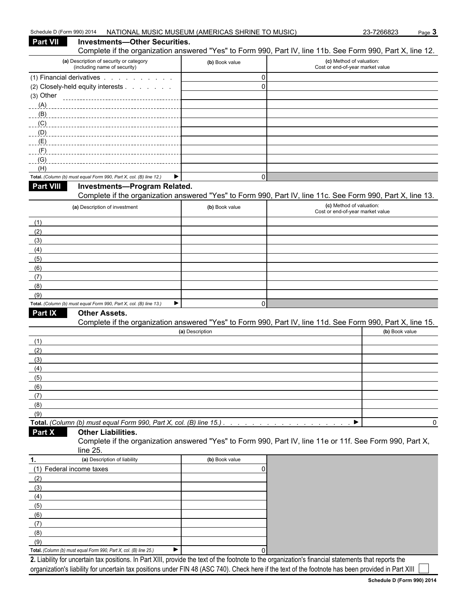| Schedule D (Form 990) 2014                                                                                                                                  | NATIONAL MUSIC MUSEUM (AMERICAS SHRINE TO MUSIC) | 23-7266823                                                   | Page 3 |
|-------------------------------------------------------------------------------------------------------------------------------------------------------------|--------------------------------------------------|--------------------------------------------------------------|--------|
| Part VII<br><b>Investments-Other Securities.</b>                                                                                                            |                                                  |                                                              |        |
| Complete if the organization answered "Yes" to Form 990, Part IV, line 11b. See Form 990, Part X, line 12.                                                  |                                                  |                                                              |        |
| (a) Description of security or category<br>(including name of security)                                                                                     | (b) Book value                                   | (c) Method of valuation:<br>Cost or end-of-year market value |        |
| (1) Financial derivatives                                                                                                                                   | 0                                                |                                                              |        |
| (2) Closely-held equity interests                                                                                                                           | $\mathbf 0$                                      |                                                              |        |
| (3) Other                                                                                                                                                   |                                                  |                                                              |        |
| (A)                                                                                                                                                         |                                                  |                                                              |        |
| (B)                                                                                                                                                         |                                                  |                                                              |        |
| (C)                                                                                                                                                         |                                                  |                                                              |        |
| (D)                                                                                                                                                         |                                                  |                                                              |        |
| (E)                                                                                                                                                         |                                                  |                                                              |        |
| (F)<br>(G)                                                                                                                                                  |                                                  |                                                              |        |
| (H)                                                                                                                                                         |                                                  |                                                              |        |
| ▶<br>Total. (Column (b) must equal Form 990, Part X, col. (B) line 12.)                                                                                     | 0                                                |                                                              |        |
| <b>Part VIII</b><br><b>Investments-Program Related.</b>                                                                                                     |                                                  |                                                              |        |
| Complete if the organization answered "Yes" to Form 990, Part IV, line 11c. See Form 990, Part X, line 13.                                                  |                                                  |                                                              |        |
| (a) Description of investment                                                                                                                               | (b) Book value                                   | (c) Method of valuation:                                     |        |
|                                                                                                                                                             |                                                  | Cost or end-of-year market value                             |        |
| (1)                                                                                                                                                         |                                                  |                                                              |        |
| (2)                                                                                                                                                         |                                                  |                                                              |        |
| (3)                                                                                                                                                         |                                                  |                                                              |        |
| (4)                                                                                                                                                         |                                                  |                                                              |        |
| (5)                                                                                                                                                         |                                                  |                                                              |        |
| (6)                                                                                                                                                         |                                                  |                                                              |        |
| (7)                                                                                                                                                         |                                                  |                                                              |        |
| (8)                                                                                                                                                         |                                                  |                                                              |        |
| (9)                                                                                                                                                         |                                                  |                                                              |        |
| Total. (Column (b) must equal Form 990, Part X, col. (B) line 13.)<br>▶<br>Part IX                                                                          | 0                                                |                                                              |        |
| <b>Other Assets.</b><br>Complete if the organization answered "Yes" to Form 990, Part IV, line 11d. See Form 990, Part X, line 15.                          |                                                  |                                                              |        |
|                                                                                                                                                             | (a) Description                                  | (b) Book value                                               |        |
| (1)                                                                                                                                                         |                                                  |                                                              |        |
| (2)                                                                                                                                                         |                                                  |                                                              |        |
| (3)                                                                                                                                                         |                                                  |                                                              |        |
| (4)                                                                                                                                                         |                                                  |                                                              |        |
| (5)                                                                                                                                                         |                                                  |                                                              |        |
| (6)                                                                                                                                                         |                                                  |                                                              |        |
| (7)                                                                                                                                                         |                                                  |                                                              |        |
| (8)                                                                                                                                                         |                                                  |                                                              |        |
| (9)                                                                                                                                                         |                                                  |                                                              |        |
| Total. (Column (b) must equal Form 990, Part X, col. (B) line 15.)                                                                                          |                                                  | ▶                                                            | 0      |
| Part X<br><b>Other Liabilities.</b><br>Complete if the organization answered "Yes" to Form 990, Part IV, line 11e or 11f. See Form 990, Part X,<br>line 25. |                                                  |                                                              |        |
| (a) Description of liability<br>1.                                                                                                                          | (b) Book value                                   |                                                              |        |
| (1) Federal income taxes                                                                                                                                    | 0                                                |                                                              |        |
| (2)                                                                                                                                                         |                                                  |                                                              |        |
| (3)                                                                                                                                                         |                                                  |                                                              |        |
| (4)                                                                                                                                                         |                                                  |                                                              |        |
| (5)                                                                                                                                                         |                                                  |                                                              |        |
| (6)                                                                                                                                                         |                                                  |                                                              |        |
| (7)                                                                                                                                                         |                                                  |                                                              |        |
| (8)                                                                                                                                                         |                                                  |                                                              |        |
| (9)                                                                                                                                                         |                                                  |                                                              |        |
| ▶<br>Total. (Column (b) must equal Form 990, Part X, col. (B) line 25.)                                                                                     |                                                  |                                                              |        |
| 2. Liability for uncertain tax positions. In Part XIII, provide the text of the footnote to the organization's financial statements that reports the        |                                                  |                                                              |        |

organization's liability for uncertain tax positions under FIN 48 (ASC 740). Check here if the text of the footnote has been provided in Part XIII [

 $\sim$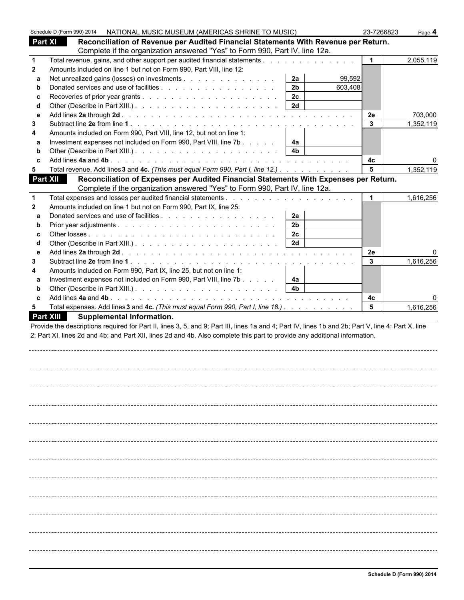|              |                 |                                  | Schedule D (Form 990) 2014 NATIONAL MUSIC MUSEUM (AMERICAS SHRINE TO MUSIC)                                                                        |                |         | 23-7266823           | Page 4    |
|--------------|-----------------|----------------------------------|----------------------------------------------------------------------------------------------------------------------------------------------------|----------------|---------|----------------------|-----------|
| Part XI      |                 |                                  | Reconciliation of Revenue per Audited Financial Statements With Revenue per Return.                                                                |                |         |                      |           |
|              |                 |                                  | Complete if the organization answered "Yes" to Form 990, Part IV, line 12a.                                                                        |                |         |                      |           |
| $\mathbf{1}$ |                 |                                  | Total revenue, gains, and other support per audited financial statements                                                                           |                |         |                      | 2,055,119 |
| $\mathbf{2}$ |                 |                                  | Amounts included on line 1 but not on Form 990, Part VIII, line 12:                                                                                |                |         |                      |           |
| a            |                 |                                  | Net unrealized gains (losses) on investments                                                                                                       | 2a             | 99,592  |                      |           |
| b            |                 |                                  |                                                                                                                                                    | 2 <sub>b</sub> | 603,408 |                      |           |
| C            |                 |                                  |                                                                                                                                                    | 2c             |         |                      |           |
| d            |                 |                                  |                                                                                                                                                    | 2d             |         |                      |           |
| $\mathbf{e}$ |                 |                                  |                                                                                                                                                    |                |         | 2e                   | 703,000   |
| 3            |                 |                                  |                                                                                                                                                    |                |         | $\mathbf{3}$         | 1,352,119 |
| 4            |                 |                                  | Amounts included on Form 990, Part VIII, line 12, but not on line 1:                                                                               |                |         |                      |           |
| a            |                 |                                  | Investment expenses not included on Form 990, Part VIII, line 7b                                                                                   | 4a             |         |                      |           |
| b            |                 |                                  |                                                                                                                                                    | 4 <sub>b</sub> |         |                      |           |
| C            |                 |                                  |                                                                                                                                                    |                |         | 4c                   |           |
| 5            |                 |                                  | Total revenue. Add lines 3 and 4c. (This must equal Form 990, Part I, line 12.)                                                                    |                |         | 5                    | 1,352,119 |
|              | <b>Part XII</b> |                                  | Reconciliation of Expenses per Audited Financial Statements With Expenses per Return.                                                              |                |         |                      |           |
|              |                 |                                  | Complete if the organization answered "Yes" to Form 990, Part IV, line 12a.                                                                        |                |         |                      |           |
| $\mathbf{1}$ |                 |                                  |                                                                                                                                                    |                |         | $\mathbf 1$          | 1,616,256 |
| $\mathbf{2}$ |                 |                                  | Amounts included on line 1 but not on Form 990, Part IX, line 25:                                                                                  |                |         |                      |           |
| a            |                 |                                  |                                                                                                                                                    | 2a             |         |                      |           |
| b            |                 |                                  |                                                                                                                                                    | 2 <sub>b</sub> |         |                      |           |
| C            |                 |                                  |                                                                                                                                                    | 2c             |         |                      |           |
| d            |                 |                                  |                                                                                                                                                    | 2d             |         |                      |           |
| е            |                 |                                  |                                                                                                                                                    |                |         | 2e                   |           |
| 3            |                 |                                  |                                                                                                                                                    |                |         | 3                    | 1,616,256 |
| 4            |                 |                                  | Amounts included on Form 990, Part IX, line 25, but not on line 1:                                                                                 |                |         |                      |           |
| a            |                 |                                  | Investment expenses not included on Form 990, Part VIII, line 7b                                                                                   | 4a             |         |                      |           |
| b            |                 |                                  |                                                                                                                                                    | 4 <sub>b</sub> |         |                      |           |
| C            |                 |                                  |                                                                                                                                                    |                |         |                      |           |
| 5            |                 |                                  |                                                                                                                                                    |                |         | 4c<br>$5\phantom{1}$ |           |
|              |                 |                                  | Total expenses. Add lines 3 and 4c. (This must equal Form 990, Part I, line 18.)                                                                   |                |         |                      | 1,616,256 |
|              | Part XIII       | <b>Supplemental Information.</b> |                                                                                                                                                    |                |         |                      |           |
|              |                 |                                  | Provide the descriptions required for Part II, lines 3, 5, and 9; Part III, lines 1a and 4; Part IV, lines 1b and 2b; Part V, line 4; Part X, line |                |         |                      |           |
|              |                 |                                  | 2; Part XI, lines 2d and 4b; and Part XII, lines 2d and 4b. Also complete this part to provide any additional information.                         |                |         |                      |           |
|              |                 |                                  |                                                                                                                                                    |                |         |                      |           |
|              |                 |                                  |                                                                                                                                                    |                |         |                      |           |
|              |                 |                                  |                                                                                                                                                    |                |         |                      |           |
|              |                 |                                  |                                                                                                                                                    |                |         |                      |           |
|              |                 |                                  |                                                                                                                                                    |                |         |                      |           |
|              |                 |                                  |                                                                                                                                                    |                |         |                      |           |
|              |                 |                                  |                                                                                                                                                    |                |         |                      |           |
|              |                 |                                  |                                                                                                                                                    |                |         |                      |           |
|              |                 |                                  |                                                                                                                                                    |                |         |                      |           |
|              |                 |                                  |                                                                                                                                                    |                |         |                      |           |
|              |                 |                                  |                                                                                                                                                    |                |         |                      |           |
|              |                 |                                  |                                                                                                                                                    |                |         |                      |           |
|              |                 |                                  |                                                                                                                                                    |                |         |                      |           |
|              |                 |                                  |                                                                                                                                                    |                |         |                      |           |
|              |                 |                                  |                                                                                                                                                    |                |         |                      |           |
|              |                 |                                  |                                                                                                                                                    |                |         |                      |           |
|              |                 |                                  |                                                                                                                                                    |                |         |                      |           |
|              |                 |                                  |                                                                                                                                                    |                |         |                      |           |
|              |                 |                                  |                                                                                                                                                    |                |         |                      |           |
|              |                 |                                  |                                                                                                                                                    |                |         |                      |           |
|              |                 |                                  |                                                                                                                                                    |                |         |                      |           |
|              |                 |                                  |                                                                                                                                                    |                |         |                      |           |
|              |                 |                                  |                                                                                                                                                    |                |         |                      |           |
|              |                 |                                  |                                                                                                                                                    |                |         |                      |           |
|              |                 |                                  |                                                                                                                                                    |                |         |                      |           |
|              |                 |                                  |                                                                                                                                                    |                |         |                      |           |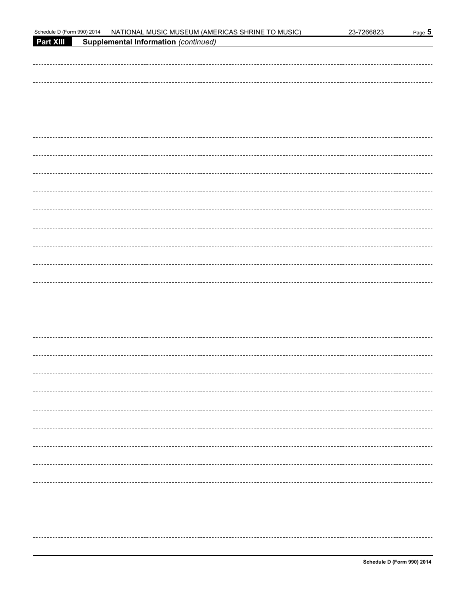| Schedule D (Form 990) 2014 | NATIONAL MUSIC MUSEUM (AMERICAS SHRINE TO MUSIC) | 23-7266823 | Page 5 |
|----------------------------|--------------------------------------------------|------------|--------|
| Part XIII                  | <b>Supplemental Information (continued)</b>      |            |        |
|                            |                                                  |            |        |
|                            |                                                  |            |        |
|                            |                                                  |            |        |
|                            |                                                  |            |        |
|                            |                                                  |            |        |
|                            |                                                  |            |        |
|                            |                                                  |            |        |
|                            |                                                  |            |        |
|                            |                                                  |            |        |
|                            |                                                  |            |        |
|                            |                                                  |            |        |
|                            |                                                  |            |        |
|                            |                                                  |            |        |
|                            |                                                  |            |        |
|                            |                                                  |            |        |
|                            |                                                  |            |        |
|                            |                                                  |            |        |
|                            |                                                  |            |        |
|                            |                                                  |            |        |
|                            |                                                  |            |        |
|                            |                                                  |            |        |
|                            |                                                  |            |        |
|                            |                                                  |            |        |
|                            |                                                  |            |        |
|                            |                                                  |            |        |
|                            |                                                  |            |        |
|                            |                                                  |            |        |
|                            |                                                  |            |        |
|                            |                                                  |            |        |
|                            |                                                  |            |        |
|                            |                                                  |            |        |
|                            |                                                  |            |        |
|                            |                                                  |            |        |
|                            |                                                  |            |        |
|                            |                                                  |            |        |
|                            |                                                  |            |        |
|                            |                                                  |            |        |
|                            |                                                  |            |        |
|                            |                                                  |            |        |
|                            |                                                  |            |        |
|                            |                                                  |            |        |
|                            |                                                  |            |        |
|                            |                                                  |            |        |
|                            |                                                  |            |        |
|                            |                                                  |            |        |
|                            |                                                  |            |        |
|                            |                                                  |            |        |
|                            |                                                  |            |        |
|                            |                                                  |            |        |
|                            |                                                  |            |        |
|                            |                                                  |            |        |
|                            |                                                  |            |        |
|                            |                                                  |            |        |
|                            |                                                  |            |        |
|                            |                                                  |            |        |
|                            |                                                  |            |        |
|                            |                                                  |            |        |
|                            |                                                  |            |        |
|                            |                                                  |            |        |
|                            |                                                  |            |        |
|                            |                                                  |            |        |
|                            |                                                  |            |        |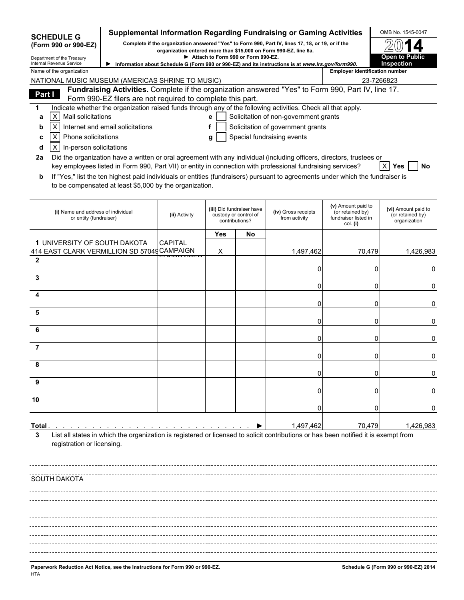| <b>SCHEDULE G</b><br>(Form 990 or 990-EZ)<br>Department of the Treasury      | Supplemental Information Regarding Fundraising or Gaming Activities<br>Complete if the organization answered "Yes" to Form 990, Part IV, lines 17, 18, or 19, or if the<br>organization entered more than \$15,000 on Form 990-EZ, line 6a. |               | OMB No. 1545-0047<br><b>Open to Public</b> |                                                                      |                                                                                                                                                                                                                                                                                                                                                                        |                                                                            |                                                         |
|------------------------------------------------------------------------------|---------------------------------------------------------------------------------------------------------------------------------------------------------------------------------------------------------------------------------------------|---------------|--------------------------------------------|----------------------------------------------------------------------|------------------------------------------------------------------------------------------------------------------------------------------------------------------------------------------------------------------------------------------------------------------------------------------------------------------------------------------------------------------------|----------------------------------------------------------------------------|---------------------------------------------------------|
| Internal Revenue Service<br>Name of the organization                         |                                                                                                                                                                                                                                             |               |                                            |                                                                      | Information about Schedule G (Form 990 or 990-EZ) and its instructions is at www.irs.gov/form990.                                                                                                                                                                                                                                                                      | <b>Employer identification number</b>                                      | Inspection                                              |
| NATIONAL MUSIC MUSEUM (AMERICAS SHRINE TO MUSIC)                             |                                                                                                                                                                                                                                             |               |                                            |                                                                      |                                                                                                                                                                                                                                                                                                                                                                        |                                                                            | 23-7266823                                              |
| Part I                                                                       |                                                                                                                                                                                                                                             |               |                                            |                                                                      | Fundraising Activities. Complete if the organization answered "Yes" to Form 990, Part IV, line 17.                                                                                                                                                                                                                                                                     |                                                                            |                                                         |
|                                                                              | Form 990-EZ filers are not required to complete this part.                                                                                                                                                                                  |               |                                            |                                                                      |                                                                                                                                                                                                                                                                                                                                                                        |                                                                            |                                                         |
| $\mathsf{X}$<br>Mail solicitations                                           |                                                                                                                                                                                                                                             |               | e                                          |                                                                      | Indicate whether the organization raised funds through any of the following activities. Check all that apply.                                                                                                                                                                                                                                                          |                                                                            |                                                         |
| a<br>$\pmb{\times}$<br>b                                                     | Internet and email solicitations                                                                                                                                                                                                            |               | f                                          |                                                                      | Solicitation of non-government grants<br>Solicitation of government grants                                                                                                                                                                                                                                                                                             |                                                                            |                                                         |
| $\boldsymbol{\mathsf{X}}$<br>Phone solicitations<br>с                        |                                                                                                                                                                                                                                             |               | g                                          |                                                                      | Special fundraising events                                                                                                                                                                                                                                                                                                                                             |                                                                            |                                                         |
| In-person solicitations<br>$\times$<br>d                                     |                                                                                                                                                                                                                                             |               |                                            |                                                                      |                                                                                                                                                                                                                                                                                                                                                                        |                                                                            |                                                         |
| 2a<br>b                                                                      |                                                                                                                                                                                                                                             |               |                                            |                                                                      | Did the organization have a written or oral agreement with any individual (including officers, directors, trustees or<br>key employees listed in Form 990, Part VII) or entity in connection with professional fundraising services?<br>If "Yes," list the ten highest paid individuals or entities (fundraisers) pursuant to agreements under which the fundraiser is |                                                                            | No<br>X<br>Yes                                          |
|                                                                              | to be compensated at least \$5,000 by the organization.                                                                                                                                                                                     |               |                                            |                                                                      |                                                                                                                                                                                                                                                                                                                                                                        |                                                                            |                                                         |
| (i) Name and address of individual<br>or entity (fundraiser)                 |                                                                                                                                                                                                                                             | (ii) Activity |                                            | (iii) Did fundraiser have<br>custody or control of<br>contributions? | (iv) Gross receipts<br>from activity                                                                                                                                                                                                                                                                                                                                   | (v) Amount paid to<br>(or retained by)<br>fundraiser listed in<br>col. (i) | (vi) Amount paid to<br>(or retained by)<br>organization |
|                                                                              |                                                                                                                                                                                                                                             |               | Yes                                        | No                                                                   |                                                                                                                                                                                                                                                                                                                                                                        |                                                                            |                                                         |
| 1 UNIVERSITY OF SOUTH DAKOTA<br>414 EAST CLARK VERMILLION SD 57049 CAMPAIGN  |                                                                                                                                                                                                                                             | CAPITAL       | X                                          |                                                                      | 1,497,462                                                                                                                                                                                                                                                                                                                                                              | 70,479                                                                     | 1,426,983                                               |
| $\mathbf{2}$<br>3                                                            |                                                                                                                                                                                                                                             |               |                                            |                                                                      | 0                                                                                                                                                                                                                                                                                                                                                                      | 0                                                                          | 0                                                       |
|                                                                              |                                                                                                                                                                                                                                             |               |                                            |                                                                      | 0                                                                                                                                                                                                                                                                                                                                                                      | 0                                                                          | 0                                                       |
| 4                                                                            |                                                                                                                                                                                                                                             |               |                                            |                                                                      | 0                                                                                                                                                                                                                                                                                                                                                                      | 0                                                                          | 0                                                       |
| 5                                                                            |                                                                                                                                                                                                                                             |               |                                            |                                                                      | 0                                                                                                                                                                                                                                                                                                                                                                      | 0                                                                          | 0                                                       |
| 6                                                                            |                                                                                                                                                                                                                                             |               |                                            |                                                                      | 0                                                                                                                                                                                                                                                                                                                                                                      | 0                                                                          | 0                                                       |
| 7                                                                            |                                                                                                                                                                                                                                             |               |                                            |                                                                      | 0                                                                                                                                                                                                                                                                                                                                                                      | ი                                                                          | 0                                                       |
| 8                                                                            |                                                                                                                                                                                                                                             |               |                                            |                                                                      | 0                                                                                                                                                                                                                                                                                                                                                                      | 0                                                                          | 0                                                       |
| 9                                                                            |                                                                                                                                                                                                                                             |               |                                            |                                                                      | 0                                                                                                                                                                                                                                                                                                                                                                      | 0                                                                          | U                                                       |
| 10                                                                           |                                                                                                                                                                                                                                             |               |                                            |                                                                      | 0                                                                                                                                                                                                                                                                                                                                                                      | O                                                                          | 0                                                       |
| Total .                                                                      |                                                                                                                                                                                                                                             |               |                                            |                                                                      | 1,497,462                                                                                                                                                                                                                                                                                                                                                              | 70,479                                                                     | 1,426,983                                               |
| 3<br>registration or licensing.                                              |                                                                                                                                                                                                                                             |               |                                            |                                                                      | List all states in which the organization is registered or licensed to solicit contributions or has been notified it is exempt from                                                                                                                                                                                                                                    |                                                                            |                                                         |
| SOUTH DAKOTA                                                                 |                                                                                                                                                                                                                                             |               |                                            |                                                                      |                                                                                                                                                                                                                                                                                                                                                                        |                                                                            |                                                         |
|                                                                              |                                                                                                                                                                                                                                             |               |                                            |                                                                      |                                                                                                                                                                                                                                                                                                                                                                        |                                                                            |                                                         |
|                                                                              |                                                                                                                                                                                                                                             |               |                                            |                                                                      |                                                                                                                                                                                                                                                                                                                                                                        |                                                                            |                                                         |
|                                                                              |                                                                                                                                                                                                                                             |               |                                            |                                                                      |                                                                                                                                                                                                                                                                                                                                                                        |                                                                            |                                                         |
|                                                                              |                                                                                                                                                                                                                                             |               |                                            |                                                                      |                                                                                                                                                                                                                                                                                                                                                                        |                                                                            |                                                         |
|                                                                              |                                                                                                                                                                                                                                             |               |                                            |                                                                      |                                                                                                                                                                                                                                                                                                                                                                        |                                                                            |                                                         |
|                                                                              |                                                                                                                                                                                                                                             |               |                                            |                                                                      |                                                                                                                                                                                                                                                                                                                                                                        |                                                                            |                                                         |
|                                                                              |                                                                                                                                                                                                                                             |               |                                            |                                                                      |                                                                                                                                                                                                                                                                                                                                                                        |                                                                            |                                                         |
| Paperwork Reduction Act Notice, see the Instructions for Form 990 or 990-EZ. |                                                                                                                                                                                                                                             |               |                                            |                                                                      |                                                                                                                                                                                                                                                                                                                                                                        |                                                                            | Schedule G (Form 990 or 990-EZ) 2014                    |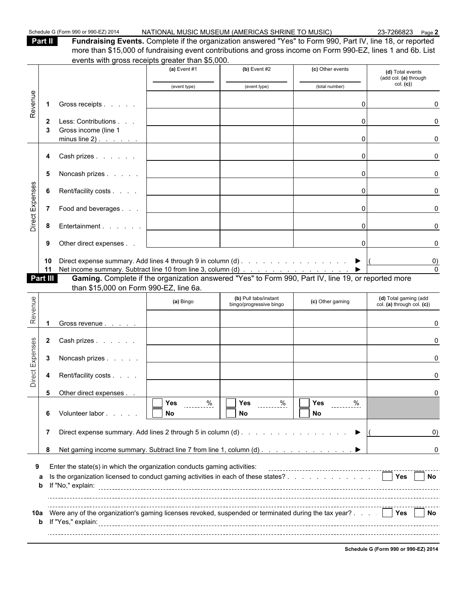| Schedule G (Form 990 or 990-EZ) 2014 |  |  |
|--------------------------------------|--|--|
|--------------------------------------|--|--|

NATIONAL MUSIC MUSEUM (AMERICAS SHRINE TO MUSIC) 23-7266823 Page 2

| 31 | г |  |
|----|---|--|
|    |   |  |

**II Fundraising Events.** Complete if the organization answered "Yes" to Form 990, Part IV, line 18, or reported more than \$15,000 of fundraising event contributions and gross income on Form 990-EZ, lines 1 and 6b. List events with gross receipts greater than \$5,000.

|                 |                 | GVGHJS WILH GIOSS TECEIDIS GIEDICH LIBH (VOOD.                                                                                                                               |                       |                                                             |                       |                                                     |
|-----------------|-----------------|------------------------------------------------------------------------------------------------------------------------------------------------------------------------------|-----------------------|-------------------------------------------------------------|-----------------------|-----------------------------------------------------|
|                 |                 |                                                                                                                                                                              | (a) Event $#1$        | (b) Event $#2$                                              | (c) Other events      | (d) Total events<br>(add col. (a) through           |
|                 |                 |                                                                                                                                                                              | (event type)          | (event type)                                                | (total number)        | col. (c)                                            |
| Revenue         | $\mathbf 1$     | Gross receipts                                                                                                                                                               |                       |                                                             | 0                     | <sup>0</sup>                                        |
|                 | 2               | Less: Contributions                                                                                                                                                          |                       |                                                             |                       | O                                                   |
|                 | 3               | Gross income (line 1<br>$minus line 2)$ .                                                                                                                                    |                       |                                                             | $\Omega$              | 0                                                   |
|                 | 4               | Cash prizes                                                                                                                                                                  |                       |                                                             | 0                     | <sup>0</sup>                                        |
|                 | 5               | Noncash prizes                                                                                                                                                               |                       |                                                             | $\Omega$              | 0                                                   |
| Direct Expenses | 6               | Rent/facility costs                                                                                                                                                          |                       |                                                             | $\overline{0}$        | 0                                                   |
|                 | $\overline{7}$  | Food and beverages                                                                                                                                                           |                       |                                                             | $\mathbf{0}$          | 0                                                   |
|                 | 8               | Entertainment                                                                                                                                                                |                       |                                                             | $\Omega$              | ŋ                                                   |
|                 | 9               | Other direct expenses                                                                                                                                                        |                       |                                                             | $\overline{0}$        |                                                     |
|                 | 10<br>11        |                                                                                                                                                                              |                       |                                                             |                       |                                                     |
|                 | <b>Part III</b> | Net income summary. Subtract line 10 from line 3, column (d) ▶<br><b>Gaming.</b> Complete if the organization answered "Yes" to Form 990, Part IV, line 19, or reported more |                       |                                                             |                       |                                                     |
|                 |                 | than \$15,000 on Form 990-EZ, line 6a.                                                                                                                                       |                       |                                                             |                       |                                                     |
| Revenue         |                 |                                                                                                                                                                              | (a) Bingo             | (b) Pull tabs/instant<br>bingo/progressive bingo            | (c) Other gaming      | (d) Total gaming (add<br>col. (a) through col. (c)) |
|                 |                 | Gross revenue                                                                                                                                                                |                       |                                                             |                       | U                                                   |
|                 | $\mathbf{2}$    | Cash prizes                                                                                                                                                                  |                       |                                                             |                       |                                                     |
|                 | 3               | Noncash prizes                                                                                                                                                               |                       |                                                             |                       | ŋ                                                   |
| Direct Expenses | 4               | Rent/facility costs                                                                                                                                                          |                       |                                                             |                       |                                                     |
|                 | 5               | Other direct expenses                                                                                                                                                        | $\Box$                |                                                             | $\overline{\Box}$ Yes |                                                     |
|                 | 6               | Volunteer labor                                                                                                                                                              | $\sim$ %<br>Yes<br>No | $\sqrt{Y}$ es $\frac{\%}{\%}$<br>No                         | No                    |                                                     |
|                 | 7               |                                                                                                                                                                              |                       | Direct expense summary. Add lines 2 through 5 in column (d) |                       | $\left( 0\right)$                                   |
|                 |                 |                                                                                                                                                                              |                       |                                                             |                       |                                                     |
|                 | 8               |                                                                                                                                                                              |                       |                                                             |                       |                                                     |
|                 |                 |                                                                                                                                                                              |                       |                                                             |                       |                                                     |
|                 | а<br>b          | Enter the state(s) in which the organization conducts gaming activities:<br>Is the organization licensed to conduct gaming activities in each of these states?               |                       |                                                             |                       | 0<br><b>No. 1</b> Yes<br><b>No</b>                  |
|                 |                 |                                                                                                                                                                              |                       |                                                             |                       |                                                     |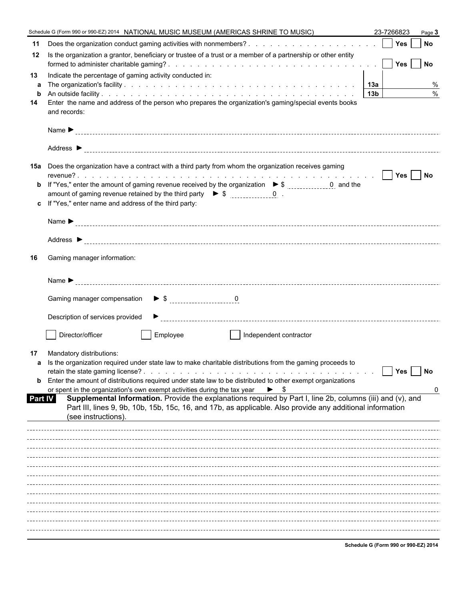|                      | Schedule G (Form 990 or 990-EZ) 2014 NATIONAL MUSIC MUSEUM (AMERICAS SHRINE TO MUSIC)<br>23-7266823<br>Page 3                                                                                                                                                                                                                                                                                                                                                                                                                                                                                                                                |
|----------------------|----------------------------------------------------------------------------------------------------------------------------------------------------------------------------------------------------------------------------------------------------------------------------------------------------------------------------------------------------------------------------------------------------------------------------------------------------------------------------------------------------------------------------------------------------------------------------------------------------------------------------------------------|
| 11                   | Does the organization conduct gaming activities with nonmembers?     Yes     No                                                                                                                                                                                                                                                                                                                                                                                                                                                                                                                                                              |
| 12                   | Is the organization a grantor, beneficiary or trustee of a trust or a member of a partnership or other entity                                                                                                                                                                                                                                                                                                                                                                                                                                                                                                                                |
| 13<br>a              | Indicate the percentage of gaming activity conducted in:<br>%                                                                                                                                                                                                                                                                                                                                                                                                                                                                                                                                                                                |
| b<br>14              | $\frac{0}{0}$<br>13b<br>Enter the name and address of the person who prepares the organization's gaming/special events books<br>and records:                                                                                                                                                                                                                                                                                                                                                                                                                                                                                                 |
|                      |                                                                                                                                                                                                                                                                                                                                                                                                                                                                                                                                                                                                                                              |
|                      |                                                                                                                                                                                                                                                                                                                                                                                                                                                                                                                                                                                                                                              |
|                      | 15a Does the organization have a contract with a third party from whom the organization receives gaming<br>amount of gaming revenue retained by the third party $\triangleright$ \$ $\frac{1}{2}$ = $\frac{0}{2}$ .<br>c If "Yes," enter name and address of the third party:                                                                                                                                                                                                                                                                                                                                                                |
|                      |                                                                                                                                                                                                                                                                                                                                                                                                                                                                                                                                                                                                                                              |
| 16                   | Gaming manager information:                                                                                                                                                                                                                                                                                                                                                                                                                                                                                                                                                                                                                  |
|                      |                                                                                                                                                                                                                                                                                                                                                                                                                                                                                                                                                                                                                                              |
|                      |                                                                                                                                                                                                                                                                                                                                                                                                                                                                                                                                                                                                                                              |
|                      | Description of services provided                                                                                                                                                                                                                                                                                                                                                                                                                                                                                                                                                                                                             |
|                      | Director/officer<br>Employee<br>Independent contractor                                                                                                                                                                                                                                                                                                                                                                                                                                                                                                                                                                                       |
| 17<br><b>Part IV</b> | Mandatory distributions:<br>a Is the organization required under state law to make charitable distributions from the gaming proceeds to<br>Yes<br><b>No</b><br><b>b</b> Enter the amount of distributions required under state law to be distributed to other exempt organizations<br>or spent in the organization's own exempt activities during the tax year<br>$\blacktriangleright$ \$<br>Supplemental Information. Provide the explanations required by Part I, line 2b, columns (iii) and (v), and<br>Part III, lines 9, 9b, 10b, 15b, 15c, 16, and 17b, as applicable. Also provide any additional information<br>(see instructions). |
|                      |                                                                                                                                                                                                                                                                                                                                                                                                                                                                                                                                                                                                                                              |
|                      |                                                                                                                                                                                                                                                                                                                                                                                                                                                                                                                                                                                                                                              |
|                      |                                                                                                                                                                                                                                                                                                                                                                                                                                                                                                                                                                                                                                              |
|                      |                                                                                                                                                                                                                                                                                                                                                                                                                                                                                                                                                                                                                                              |
|                      |                                                                                                                                                                                                                                                                                                                                                                                                                                                                                                                                                                                                                                              |
|                      |                                                                                                                                                                                                                                                                                                                                                                                                                                                                                                                                                                                                                                              |
|                      |                                                                                                                                                                                                                                                                                                                                                                                                                                                                                                                                                                                                                                              |
|                      | Schodule G (Form 990 or 990 EZ) 2014                                                                                                                                                                                                                                                                                                                                                                                                                                                                                                                                                                                                         |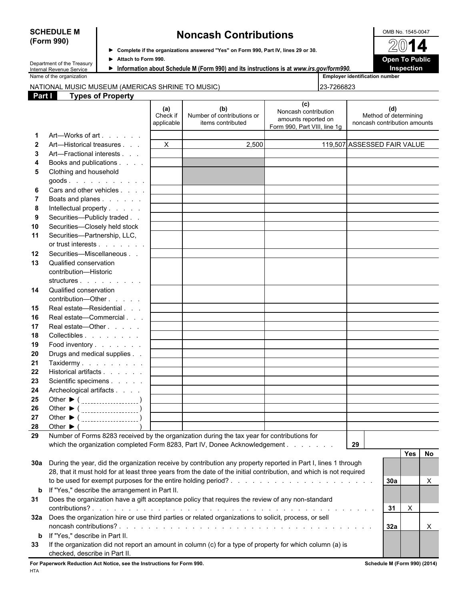## **(Form 990)**

### **SCHEDULE M Noncash Contributions DESCRIPTION CONTRIBUTE M OMB No. 1545-0047**

**Complete if the organizations answered "Yes" on Form 990, Part IV, lines 29 or 30.**

| Information about Schedule M (Form 990) and its instructions is at www.irs.gov/form |  |  |
|-------------------------------------------------------------------------------------|--|--|

Department of the Treasury Internal Revenue Service

Name of the organization **Employer identification Employer identification number Employer identification number** 

#### NATIONAL MUSIC MUSEUM (AMERICAS SHRINE TO MUSIC) 23-7266823

| Part I       | <b>Types of Property</b>                                                                                            |                               |                                                        |                                                                                    |                                                              |
|--------------|---------------------------------------------------------------------------------------------------------------------|-------------------------------|--------------------------------------------------------|------------------------------------------------------------------------------------|--------------------------------------------------------------|
|              |                                                                                                                     | (a)<br>Check if<br>applicable | (b)<br>Number of contributions or<br>items contributed | (c)<br>Noncash contribution<br>amounts reported on<br>Form 990, Part VIII, line 1g | (d)<br>Method of determining<br>noncash contribution amounts |
| 1            | Art—Works of art                                                                                                    |                               |                                                        |                                                                                    |                                                              |
| $\mathbf{2}$ | Art—Historical treasures                                                                                            | $\mathsf{X}$                  | 2,500                                                  |                                                                                    | 119,507 ASSESSED FAIR VALUE                                  |
| 3            | Art-Fractional interests                                                                                            |                               |                                                        |                                                                                    |                                                              |
| 4            | Books and publications                                                                                              |                               |                                                        |                                                                                    |                                                              |
| 5            | Clothing and household                                                                                              |                               |                                                        |                                                                                    |                                                              |
|              | goods.                                                                                                              |                               |                                                        |                                                                                    |                                                              |
| 6            | Cars and other vehicles                                                                                             |                               |                                                        |                                                                                    |                                                              |
| 7            | Boats and planes                                                                                                    |                               |                                                        |                                                                                    |                                                              |
| 8            | Intellectual property                                                                                               |                               |                                                        |                                                                                    |                                                              |
| 9            | Securities-Publicly traded                                                                                          |                               |                                                        |                                                                                    |                                                              |
| 10           | Securities-Closely held stock                                                                                       |                               |                                                        |                                                                                    |                                                              |
| 11           | Securities-Partnership, LLC,                                                                                        |                               |                                                        |                                                                                    |                                                              |
|              | or trust interests                                                                                                  |                               |                                                        |                                                                                    |                                                              |
| 12           | Securities-Miscellaneous                                                                                            |                               |                                                        |                                                                                    |                                                              |
| 13           | Qualified conservation                                                                                              |                               |                                                        |                                                                                    |                                                              |
|              | contribution-Historic                                                                                               |                               |                                                        |                                                                                    |                                                              |
|              | structures                                                                                                          |                               |                                                        |                                                                                    |                                                              |
| 14           | Qualified conservation                                                                                              |                               |                                                        |                                                                                    |                                                              |
|              | contribution-Other                                                                                                  |                               |                                                        |                                                                                    |                                                              |
| 15           | Real estate-Residential                                                                                             |                               |                                                        |                                                                                    |                                                              |
| 16           | Real estate-Commercial                                                                                              |                               |                                                        |                                                                                    |                                                              |
| 17           | Real estate-Other                                                                                                   |                               |                                                        |                                                                                    |                                                              |
| 18           | Collectibles                                                                                                        |                               |                                                        |                                                                                    |                                                              |
| 19           | Food inventory                                                                                                      |                               |                                                        |                                                                                    |                                                              |
| 20           | Drugs and medical supplies                                                                                          |                               |                                                        |                                                                                    |                                                              |
| 21           | Taxidermy                                                                                                           |                               |                                                        |                                                                                    |                                                              |
| 22           | Historical artifacts                                                                                                |                               |                                                        |                                                                                    |                                                              |
| 23           | Scientific specimens                                                                                                |                               |                                                        |                                                                                    |                                                              |
| 24           | Archeological artifacts                                                                                             |                               |                                                        |                                                                                    |                                                              |
| 25           | Other $\triangleright$ ( $\frac{1}{2}$                                                                              |                               |                                                        |                                                                                    |                                                              |
| 26           |                                                                                                                     |                               |                                                        |                                                                                    |                                                              |
| 27           |                                                                                                                     |                               |                                                        |                                                                                    |                                                              |
| 28           | Other $\blacktriangleright$ (                                                                                       |                               |                                                        |                                                                                    |                                                              |
| 29           | Number of Forms 8283 received by the organization during the tax year for contributions for                         |                               |                                                        |                                                                                    |                                                              |
|              | which the organization completed Form 8283, Part IV, Donee Acknowledgement                                          |                               |                                                        |                                                                                    | 29                                                           |
|              |                                                                                                                     |                               |                                                        |                                                                                    | No<br><b>Yes</b>                                             |
|              | 30a During the year, did the organization receive by contribution any property reported in Part I, lines 1 through  |                               |                                                        |                                                                                    |                                                              |
|              | 28, that it must hold for at least three years from the date of the initial contribution, and which is not required |                               |                                                        |                                                                                    |                                                              |
|              |                                                                                                                     |                               |                                                        |                                                                                    |                                                              |
|              |                                                                                                                     |                               |                                                        |                                                                                    | X<br>30a                                                     |
| $\mathbf b$  | If "Yes," describe the arrangement in Part II.                                                                      |                               |                                                        |                                                                                    |                                                              |
| 31           | Does the organization have a gift acceptance policy that requires the review of any non-standard                    |                               |                                                        |                                                                                    |                                                              |
|              |                                                                                                                     |                               |                                                        |                                                                                    | X<br>-31                                                     |

**32a** Does the organization hire or use third parties or related organizations to solicit, process, or sell noncash contributions? . . . . . . . . . . . . . . . . . . . . . . . . . . . . . . . . . . . . . . . . . . . . . . . . . . . . . . . . . . **32a** X **b** If "Yes," describe in Part II. **33** If the organization did not report an amount in column (c) for a type of property for which column (a) is

checked, describe in Part II.

**For Paperwork Reduction Act Notice, see the Instructions for Form 990. Schedule M (Form 990) (2014)** HTA



| Information about Schedule N |  |  |
|------------------------------|--|--|
|                              |  |  |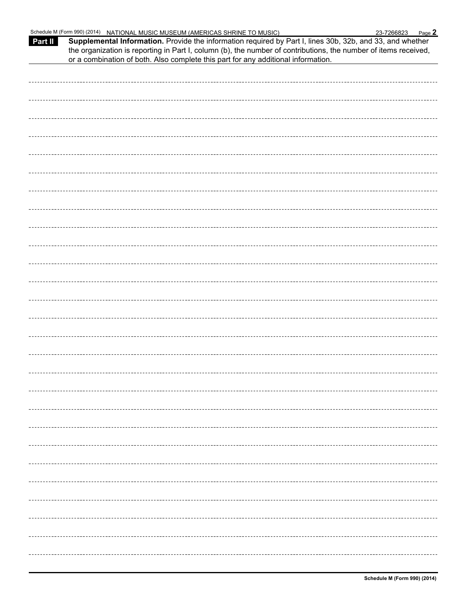| Part II | Schedule M (Form 990) (2014) NATIONAL MUSIC MUSEUM (AMERICAS SHRINE TO MUSIC)<br>Supplemental Information. Provide the information required by Part I, lines 30b, 32b, and 33, and whether<br>the organization is reporting in Part I, column (b), the number of contributions, the number of items received,<br>or a combination of both. Also complete this part for any additional information. | Page 2<br>23-7266823 |  |
|---------|----------------------------------------------------------------------------------------------------------------------------------------------------------------------------------------------------------------------------------------------------------------------------------------------------------------------------------------------------------------------------------------------------|----------------------|--|
|         |                                                                                                                                                                                                                                                                                                                                                                                                    |                      |  |
|         |                                                                                                                                                                                                                                                                                                                                                                                                    |                      |  |
|         |                                                                                                                                                                                                                                                                                                                                                                                                    |                      |  |
|         |                                                                                                                                                                                                                                                                                                                                                                                                    |                      |  |
|         |                                                                                                                                                                                                                                                                                                                                                                                                    |                      |  |
|         |                                                                                                                                                                                                                                                                                                                                                                                                    |                      |  |
|         |                                                                                                                                                                                                                                                                                                                                                                                                    |                      |  |
|         |                                                                                                                                                                                                                                                                                                                                                                                                    |                      |  |
|         |                                                                                                                                                                                                                                                                                                                                                                                                    |                      |  |
|         |                                                                                                                                                                                                                                                                                                                                                                                                    |                      |  |
|         |                                                                                                                                                                                                                                                                                                                                                                                                    |                      |  |
|         |                                                                                                                                                                                                                                                                                                                                                                                                    |                      |  |
|         |                                                                                                                                                                                                                                                                                                                                                                                                    |                      |  |
|         |                                                                                                                                                                                                                                                                                                                                                                                                    |                      |  |
|         |                                                                                                                                                                                                                                                                                                                                                                                                    |                      |  |
|         |                                                                                                                                                                                                                                                                                                                                                                                                    |                      |  |
|         |                                                                                                                                                                                                                                                                                                                                                                                                    |                      |  |
|         |                                                                                                                                                                                                                                                                                                                                                                                                    |                      |  |
|         |                                                                                                                                                                                                                                                                                                                                                                                                    |                      |  |
|         |                                                                                                                                                                                                                                                                                                                                                                                                    |                      |  |
|         |                                                                                                                                                                                                                                                                                                                                                                                                    |                      |  |
|         |                                                                                                                                                                                                                                                                                                                                                                                                    |                      |  |
|         |                                                                                                                                                                                                                                                                                                                                                                                                    |                      |  |
|         |                                                                                                                                                                                                                                                                                                                                                                                                    |                      |  |
|         |                                                                                                                                                                                                                                                                                                                                                                                                    |                      |  |
|         |                                                                                                                                                                                                                                                                                                                                                                                                    |                      |  |
|         |                                                                                                                                                                                                                                                                                                                                                                                                    |                      |  |
|         |                                                                                                                                                                                                                                                                                                                                                                                                    |                      |  |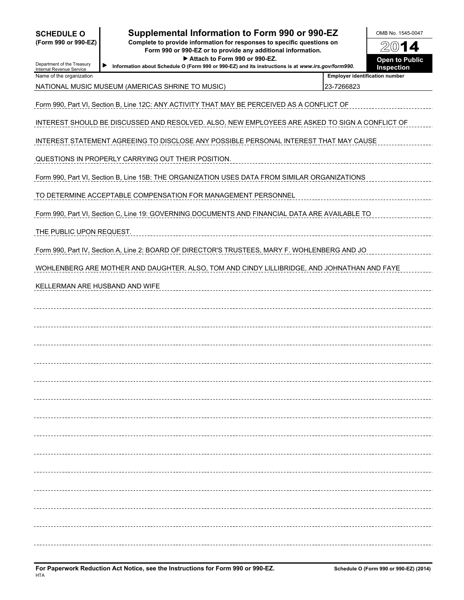| <b>SCHEDULE O</b>   |  |  |
|---------------------|--|--|
| (Form 990 or 990-F2 |  |  |

### **Supplemental Information to Form 990 or 990-EZ** North MB No. 1545-0047

**(Form 990 or 990-EZ) Complete to provide information for responses to specific questions on Form 990 or 990-EZ or to provide any additional information.** ▶ Attach to Form 990 or 990-EZ. **Open to Public** 

**Information about Schedule O (Form 990 or 990-EZ) and its instructions is at** *www.irs.gov/form990***.**

O. **Inspection**

| Department of the Treasury |  |
|----------------------------|--|
| Internal Revenue Service   |  |
| Name of the organization   |  |

NATIONAL MUSIC MUSEUM (AMERICAS SHRINE TO MUSIC) 23-7266823

**Employer identification number** 

| NATIONAL MUSIC MUSEUM (AMERICAS SHRINE TO MUSIC). |  |
|---------------------------------------------------|--|
|                                                   |  |

Form 990, Part VI, Section B, Line 12C: ANY ACTIVITY THAT MAY BE PERCEIVED AS A CONFLICT OF

INTEREST SHOULD BE DISCUSSED AND RESOLVED. ALSO, NEW EMPLOYEES ARE ASKED TO SIGN A CONFLICT OF

INTEREST STATEMENT AGREEING TO DISCLOSE ANY POSSIBLE PERSONAL INTEREST THAT MAY CAUSE

QUESTIONS IN PROPERLY CARRYING OUT THEIR POSITION.

Form 990, Part VI, Section B, Line 15B: THE ORGANIZATION USES DATA FROM SIMILAR ORGANIZATIONS

TO DETERMINE ACCEPTABLE COMPENSATION FOR MANAGEMENT PERSONNEL

Form 990, Part VI, Section C, Line 19: GOVERNING DOCUMENTS AND FINANCIAL DATA ARE AVAILABLE TO

THE PUBLIC UPON REQUEST.

Form 990, Part IV, Section A, Line 2: BOARD OF DIRECTOR'S TRUSTEES, MARY F. WOHLENBERG AND JO

WOHLENBERG ARE MOTHER AND DAUGHTER. ALSO, TOM AND CINDY LILLIBRIDGE, AND JOHNATHAN AND FAYE

KELLERMAN ARE HUSBAND AND WIFE